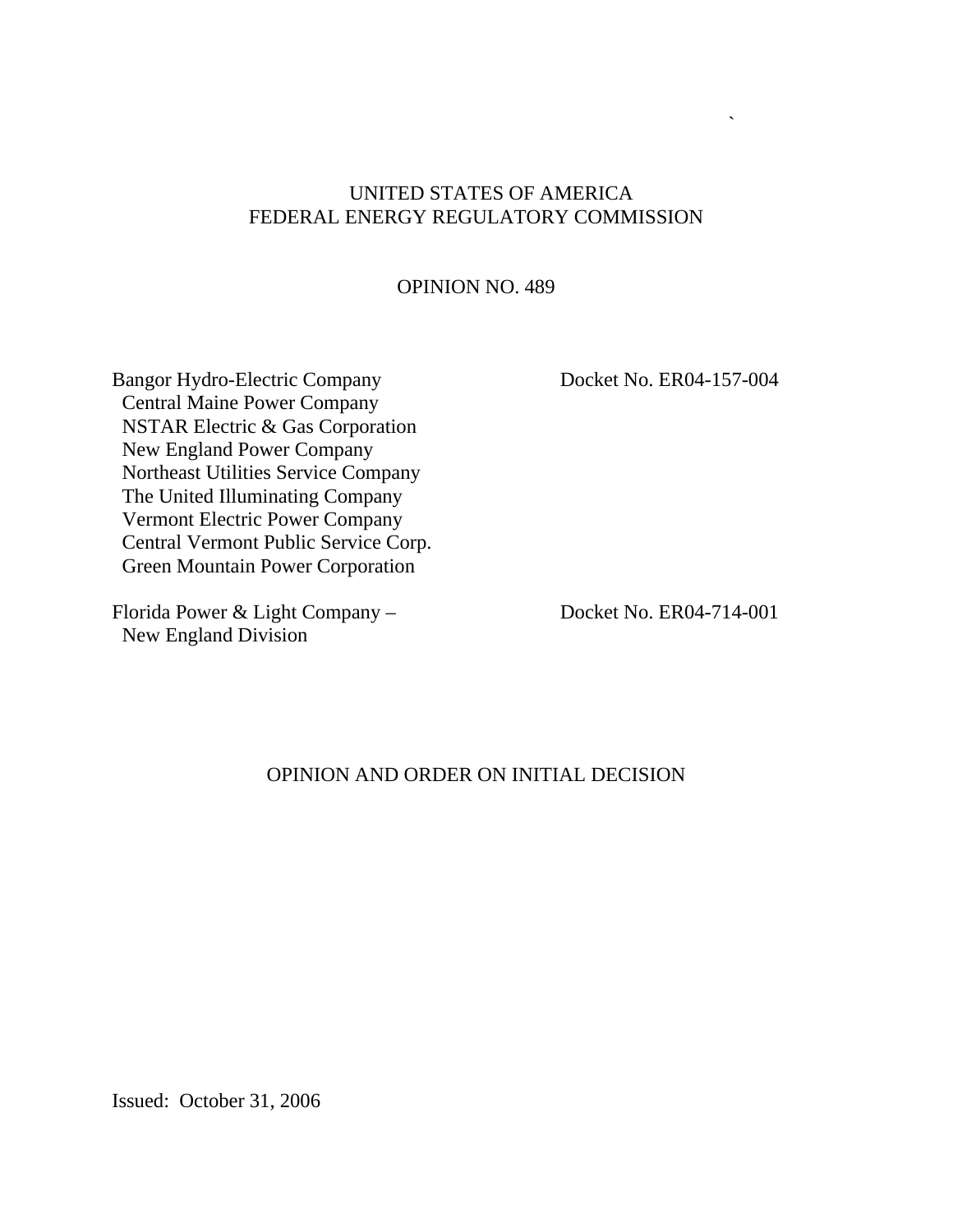#### UNITED STATES OF AMERICA FEDERAL ENERGY REGULATORY COMMISSION

#### OPINION NO. 489

Bangor Hydro-Electric Company Docket No. ER04-157-004 Central Maine Power Company NSTAR Electric & Gas Corporation New England Power Company Northeast Utilities Service Company The United Illuminating Company Vermont Electric Power Company Central Vermont Public Service Corp. Green Mountain Power Corporation

Florida Power & Light Company – Docket No. ER04-714-001 New England Division

 $\overline{\phantom{a}}$ 

#### OPINION AND ORDER ON INITIAL DECISION

Issued: October 31, 2006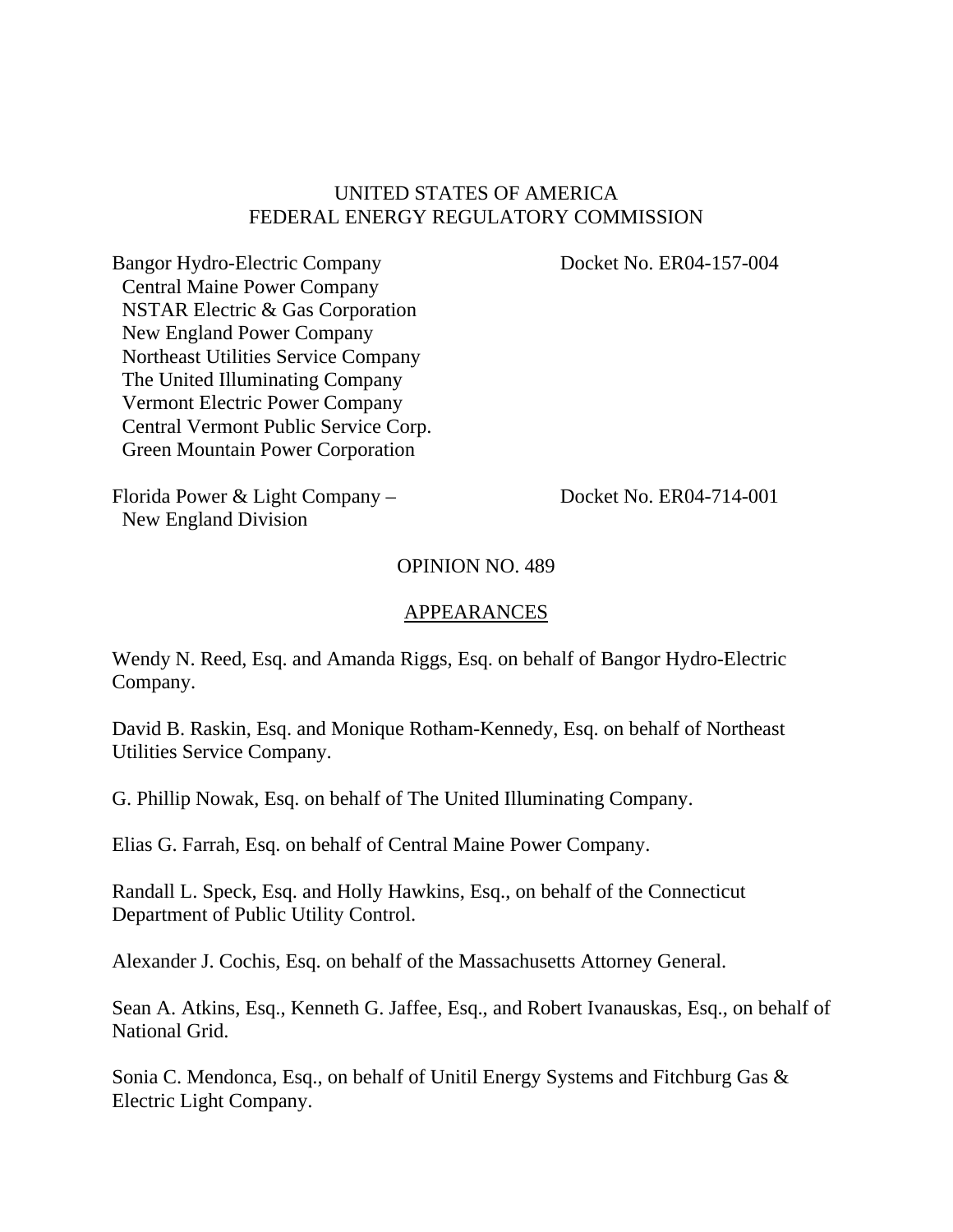#### UNITED STATES OF AMERICA FEDERAL ENERGY REGULATORY COMMISSION

Bangor Hydro-Electric Company Docket No. ER04-157-004 Central Maine Power Company NSTAR Electric & Gas Corporation New England Power Company Northeast Utilities Service Company The United Illuminating Company Vermont Electric Power Company Central Vermont Public Service Corp. Green Mountain Power Corporation

Florida Power & Light Company – Docket No. ER04-714-001 New England Division

#### OPINION NO. 489

#### APPEARANCES

Wendy N. Reed, Esq. and Amanda Riggs, Esq. on behalf of Bangor Hydro-Electric Company.

David B. Raskin, Esq. and Monique Rotham-Kennedy, Esq. on behalf of Northeast Utilities Service Company.

G. Phillip Nowak, Esq. on behalf of The United Illuminating Company.

Elias G. Farrah, Esq. on behalf of Central Maine Power Company.

Randall L. Speck, Esq. and Holly Hawkins, Esq., on behalf of the Connecticut Department of Public Utility Control.

Alexander J. Cochis, Esq. on behalf of the Massachusetts Attorney General.

Sean A. Atkins, Esq., Kenneth G. Jaffee, Esq., and Robert Ivanauskas, Esq., on behalf of National Grid.

Sonia C. Mendonca, Esq., on behalf of Unitil Energy Systems and Fitchburg Gas & Electric Light Company.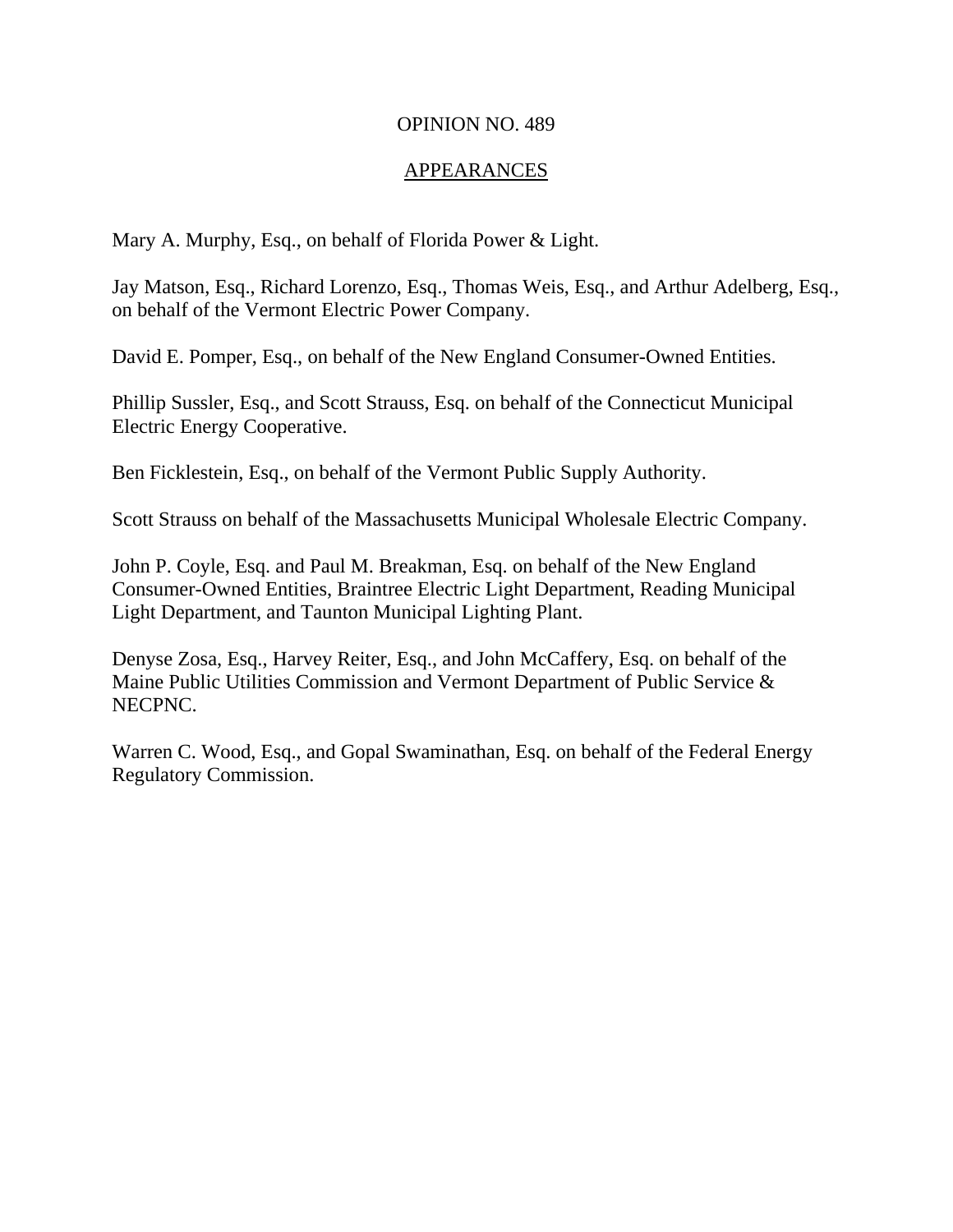#### OPINION NO. 489

#### APPEARANCES

Mary A. Murphy, Esq., on behalf of Florida Power & Light.

Jay Matson, Esq., Richard Lorenzo, Esq., Thomas Weis, Esq., and Arthur Adelberg, Esq., on behalf of the Vermont Electric Power Company.

David E. Pomper, Esq., on behalf of the New England Consumer-Owned Entities.

Phillip Sussler, Esq., and Scott Strauss, Esq. on behalf of the Connecticut Municipal Electric Energy Cooperative.

Ben Ficklestein, Esq., on behalf of the Vermont Public Supply Authority.

Scott Strauss on behalf of the Massachusetts Municipal Wholesale Electric Company.

John P. Coyle, Esq. and Paul M. Breakman, Esq. on behalf of the New England Consumer-Owned Entities, Braintree Electric Light Department, Reading Municipal Light Department, and Taunton Municipal Lighting Plant.

Denyse Zosa, Esq., Harvey Reiter, Esq., and John McCaffery, Esq. on behalf of the Maine Public Utilities Commission and Vermont Department of Public Service & NECPNC.

Warren C. Wood, Esq., and Gopal Swaminathan, Esq. on behalf of the Federal Energy Regulatory Commission.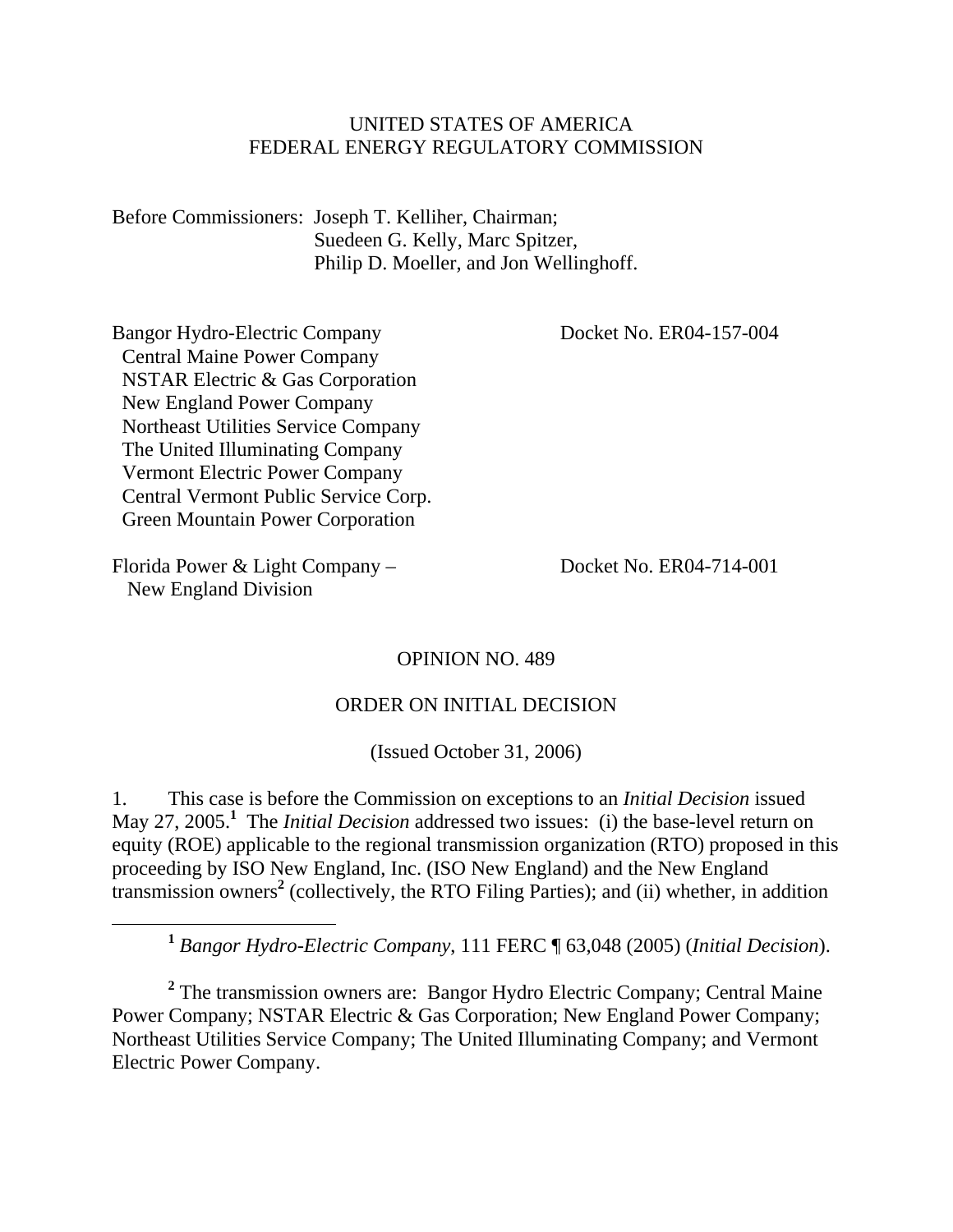#### UNITED STATES OF AMERICA FEDERAL ENERGY REGULATORY COMMISSION

Before Commissioners: Joseph T. Kelliher, Chairman; Suedeen G. Kelly, Marc Spitzer, Philip D. Moeller, and Jon Wellinghoff.

Bangor Hydro-Electric Company Docket No. ER04-157-004 Central Maine Power Company NSTAR Electric & Gas Corporation New England Power Company Northeast Utilities Service Company The United Illuminating Company Vermont Electric Power Company Central Vermont Public Service Corp. Green Mountain Power Corporation

Florida Power & Light Company – Docket No. ER04-714-001 New England Division

#### OPINION NO. 489

#### ORDER ON INITIAL DECISION

(Issued October 31, 2006)

1. This case is before the Commission on exceptions to an *Initial Decision* issued May 27, 2005.**<sup>1</sup>** The *Initial Decision* addressed two issues: (i) the base-level return on equity (ROE) applicable to the regional transmission organization (RTO) proposed in this proceeding by ISO New England, Inc. (ISO New England) and the New England transmission owners**<sup>2</sup>** (collectively, the RTO Filing Parties); and (ii) whether, in addition

**<sup>1</sup>** *Bangor Hydro-Electric Company*, 111 FERC ¶ 63,048 (2005) (*Initial Decision*).

<sup>2</sup> The transmission owners are: Bangor Hydro Electric Company; Central Maine Power Company; NSTAR Electric & Gas Corporation; New England Power Company; Northeast Utilities Service Company; The United Illuminating Company; and Vermont Electric Power Company.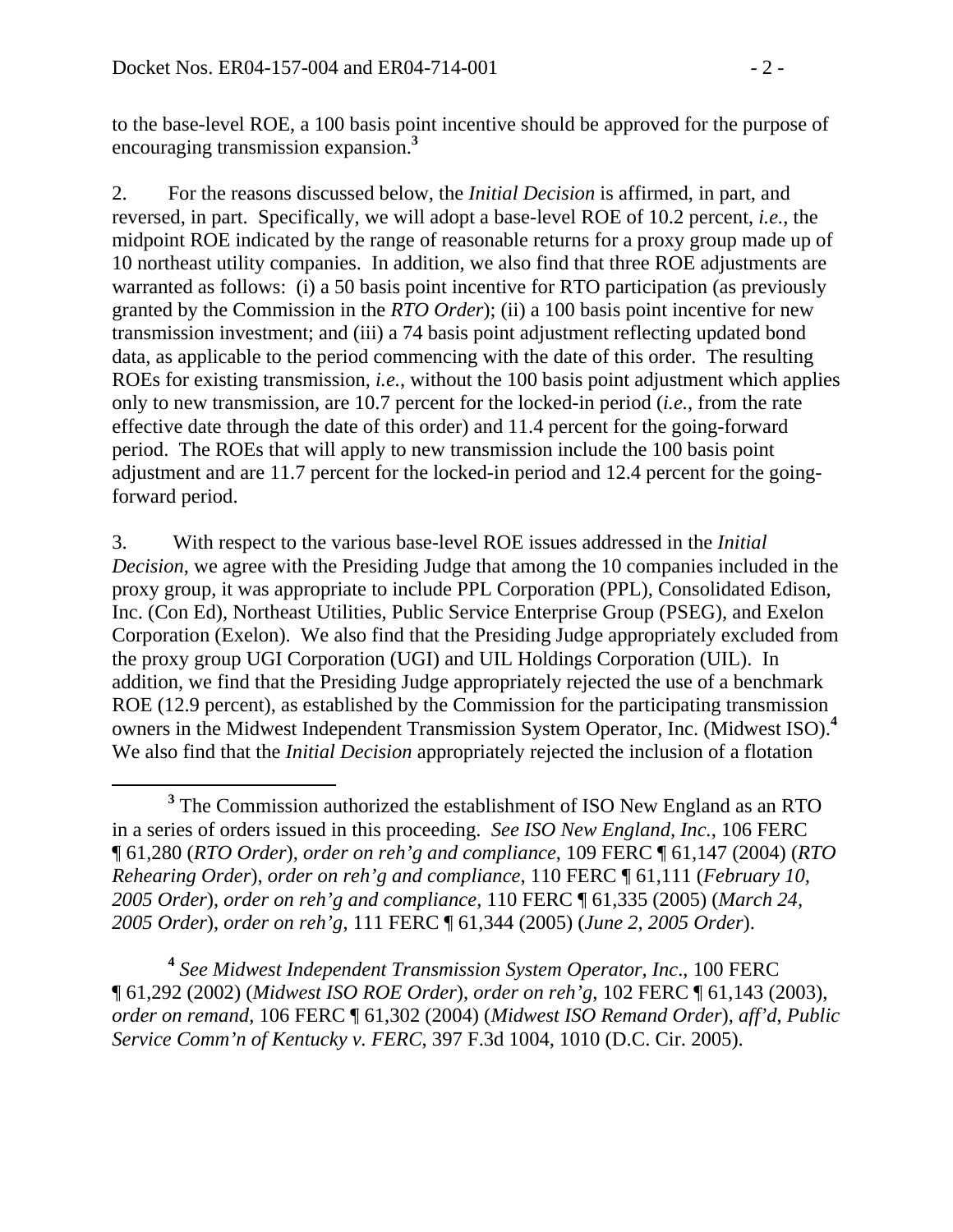to the base-level ROE, a 100 basis point incentive should be approved for the purpose of encouraging transmission expansion.**<sup>3</sup>**

2. For the reasons discussed below, the *Initial Decision* is affirmed, in part, and reversed, in part. Specifically, we will adopt a base-level ROE of 10.2 percent, *i.e.*, the midpoint ROE indicated by the range of reasonable returns for a proxy group made up of 10 northeast utility companies. In addition, we also find that three ROE adjustments are warranted as follows: (i) a 50 basis point incentive for RTO participation (as previously granted by the Commission in the *RTO Order*); (ii) a 100 basis point incentive for new transmission investment; and (iii) a 74 basis point adjustment reflecting updated bond data, as applicable to the period commencing with the date of this order. The resulting ROEs for existing transmission, *i.e.*, without the 100 basis point adjustment which applies only to new transmission, are 10.7 percent for the locked-in period (*i.e.*, from the rate effective date through the date of this order) and 11.4 percent for the going-forward period. The ROEs that will apply to new transmission include the 100 basis point adjustment and are 11.7 percent for the locked-in period and 12.4 percent for the goingforward period.

3. With respect to the various base-level ROE issues addressed in the *Initial Decision*, we agree with the Presiding Judge that among the 10 companies included in the proxy group, it was appropriate to include PPL Corporation (PPL), Consolidated Edison, Inc. (Con Ed), Northeast Utilities, Public Service Enterprise Group (PSEG), and Exelon Corporation (Exelon). We also find that the Presiding Judge appropriately excluded from the proxy group UGI Corporation (UGI) and UIL Holdings Corporation (UIL). In addition, we find that the Presiding Judge appropriately rejected the use of a benchmark ROE (12.9 percent), as established by the Commission for the participating transmission owners in the Midwest Independent Transmission System Operator, Inc. (Midwest ISO).**<sup>4</sup>** We also find that the *Initial Decision* appropriately rejected the inclusion of a flotation

**<sup>4</sup>** *See Midwest Independent Transmission System Operator, Inc*., 100 FERC ¶ 61,292 (2002) (*Midwest ISO ROE Order*), *order on reh'g*, 102 FERC ¶ 61,143 (2003), *order on remand*, 106 FERC ¶ 61,302 (2004) (*Midwest ISO Remand Order*), *aff'd*, *Public Service Comm'n of Kentucky v. FERC*, 397 F.3d 1004, 1010 (D.C. Cir. 2005).

**<sup>3</sup>** <sup>3</sup> The Commission authorized the establishment of ISO New England as an RTO in a series of orders issued in this proceeding. *See ISO New England, Inc.*, 106 FERC ¶ 61,280 (*RTO Order*), *order on reh'g and compliance*, 109 FERC ¶ 61,147 (2004) (*RTO Rehearing Order*), *order on reh'g and compliance*, 110 FERC ¶ 61,111 (*February 10, 2005 Order*), *order on reh'g and compliance,* 110 FERC ¶ 61,335 (2005) (*March 24, 2005 Order*), *order on reh'g*, 111 FERC ¶ 61,344 (2005) (*June 2, 2005 Order*).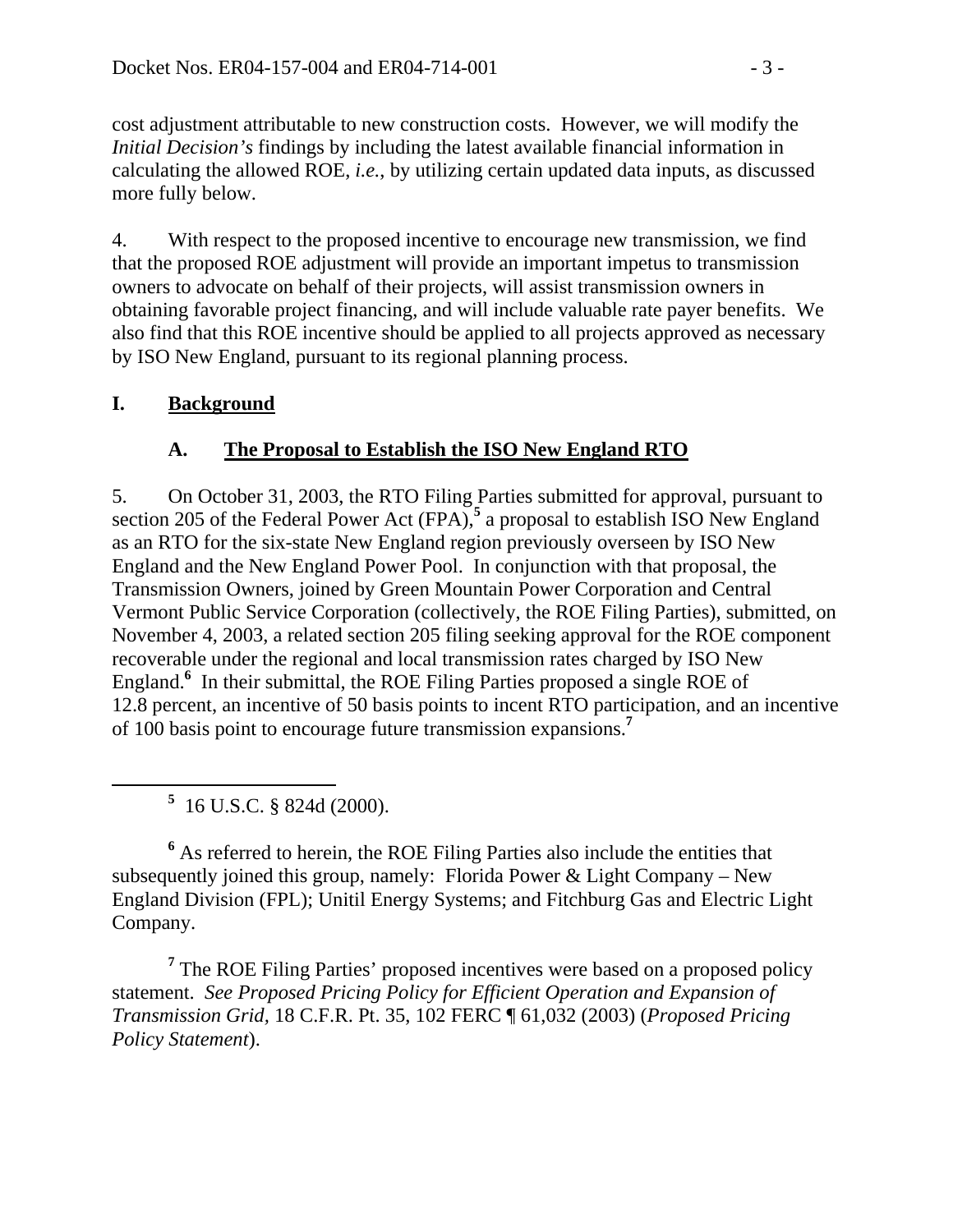cost adjustment attributable to new construction costs. However, we will modify the *Initial Decision's* findings by including the latest available financial information in calculating the allowed ROE, *i.e.*, by utilizing certain updated data inputs, as discussed more fully below.

4. With respect to the proposed incentive to encourage new transmission, we find that the proposed ROE adjustment will provide an important impetus to transmission owners to advocate on behalf of their projects, will assist transmission owners in obtaining favorable project financing, and will include valuable rate payer benefits. We also find that this ROE incentive should be applied to all projects approved as necessary by ISO New England, pursuant to its regional planning process.

### **I. Background**

## **A. The Proposal to Establish the ISO New England RTO**

5. On October 31, 2003, the RTO Filing Parties submitted for approval, pursuant to section 205 of the Federal Power Act (FPA),<sup>5</sup> a proposal to establish ISO New England as an RTO for the six-state New England region previously overseen by ISO New England and the New England Power Pool. In conjunction with that proposal, the Transmission Owners, joined by Green Mountain Power Corporation and Central Vermont Public Service Corporation (collectively, the ROE Filing Parties), submitted, on November 4, 2003, a related section 205 filing seeking approval for the ROE component recoverable under the regional and local transmission rates charged by ISO New England.<sup>6</sup> In their submittal, the ROE Filing Parties proposed a single ROE of 12.8 percent, an incentive of 50 basis points to incent RTO participation, and an incentive of 100 basis point to encourage future transmission expansions.**<sup>7</sup>**

 **<sup>5</sup>** 16 U.S.C. § 824d (2000).

<sup>6</sup> As referred to herein, the ROE Filing Parties also include the entities that subsequently joined this group, namely: Florida Power & Light Company – New England Division (FPL); Unitil Energy Systems; and Fitchburg Gas and Electric Light Company.

<sup>7</sup> The ROE Filing Parties' proposed incentives were based on a proposed policy statement. *See Proposed Pricing Policy for Efficient Operation and Expansion of Transmission Grid,* 18 C.F.R. Pt. 35, 102 FERC ¶ 61,032 (2003) (*Proposed Pricing Policy Statement*).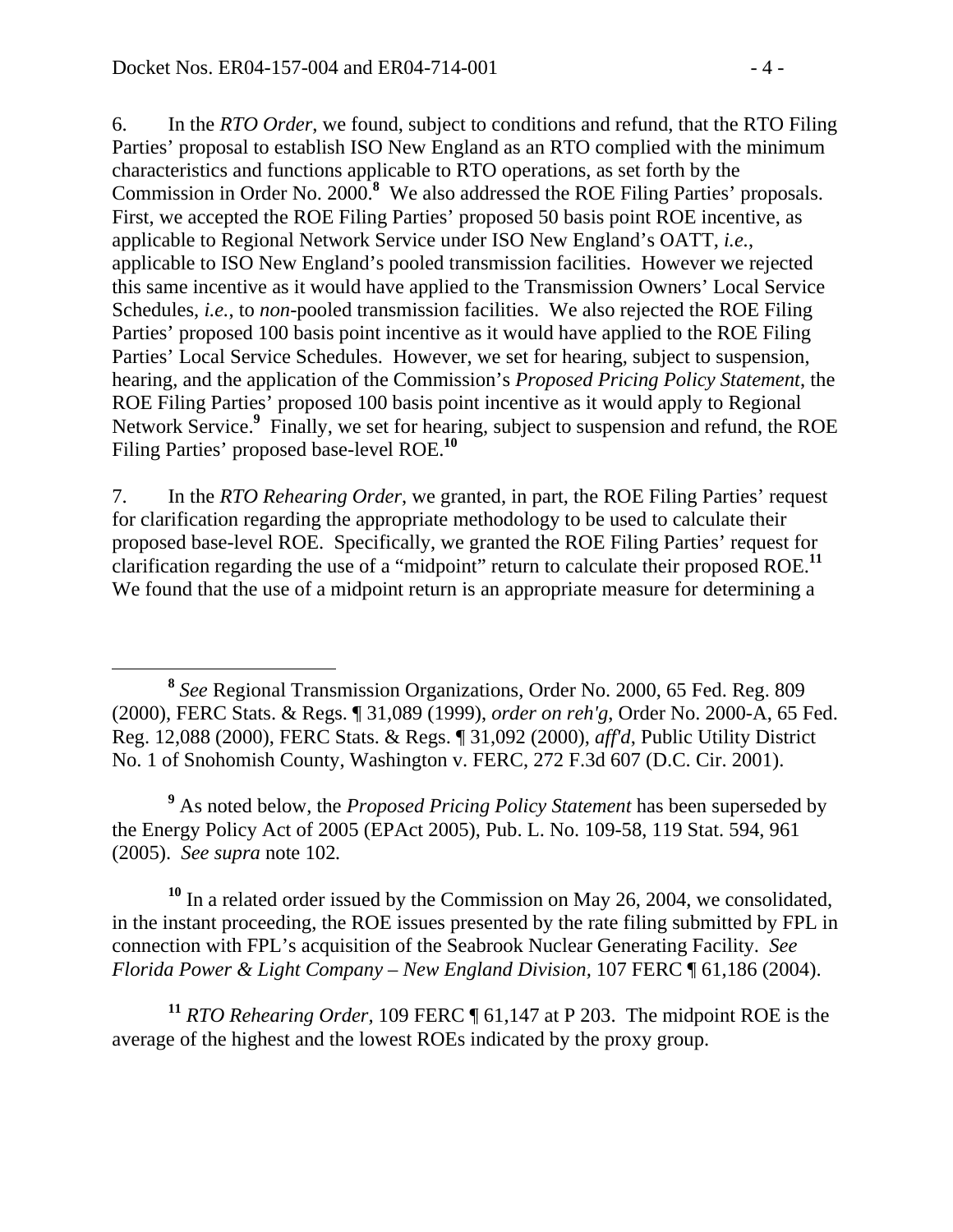6. In the *RTO Order*, we found, subject to conditions and refund, that the RTO Filing Parties' proposal to establish ISO New England as an RTO complied with the minimum characteristics and functions applicable to RTO operations, as set forth by the Commission in Order No. 2000.<sup>8</sup> We also addressed the ROE Filing Parties' proposals. First, we accepted the ROE Filing Parties' proposed 50 basis point ROE incentive, as applicable to Regional Network Service under ISO New England's OATT, *i.e.*, applicable to ISO New England's pooled transmission facilities. However we rejected this same incentive as it would have applied to the Transmission Owners' Local Service Schedules, *i.e.*, to *non-*pooled transmission facilities. We also rejected the ROE Filing Parties' proposed 100 basis point incentive as it would have applied to the ROE Filing Parties' Local Service Schedules. However, we set for hearing, subject to suspension, hearing, and the application of the Commission's *Proposed Pricing Policy Statement*, the ROE Filing Parties' proposed 100 basis point incentive as it would apply to Regional Network Service.<sup>9</sup> Finally, we set for hearing, subject to suspension and refund, the ROE Filing Parties' proposed base-level ROE.**<sup>10</sup>**

7. In the *RTO Rehearing Order*, we granted, in part, the ROE Filing Parties' request for clarification regarding the appropriate methodology to be used to calculate their proposed base-level ROE. Specifically, we granted the ROE Filing Parties' request for clarification regarding the use of a "midpoint" return to calculate their proposed ROE.**<sup>11</sup>** We found that the use of a midpoint return is an appropriate measure for determining a

<sup>9</sup> As noted below, the *Proposed Pricing Policy Statement* has been superseded by the Energy Policy Act of 2005 (EPAct 2005), Pub. L. No. 109-58, 119 Stat. 594, 961 (2005). *See supra* note 102*.*

**<sup>10</sup>** In a related order issued by the Commission on May 26, 2004, we consolidated, in the instant proceeding, the ROE issues presented by the rate filing submitted by FPL in connection with FPL's acquisition of the Seabrook Nuclear Generating Facility. *See Florida Power & Light Company – New England Division,* 107 FERC ¶ 61,186 (2004).

**<sup>11</sup>** *RTO Rehearing Order,* 109 FERC ¶ 61,147 at P 203. The midpoint ROE is the average of the highest and the lowest ROEs indicated by the proxy group.

**<sup>8</sup>** *See* Regional Transmission Organizations, Order No. 2000, 65 Fed. Reg. 809 (2000), FERC Stats. & Regs. ¶ 31,089 (1999), *order on reh'g*, Order No. 2000-A, 65 Fed. Reg. 12,088 (2000), FERC Stats. & Regs. ¶ 31,092 (2000), *aff'd*, Public Utility District No. 1 of Snohomish County, Washington v. FERC, 272 F.3d 607 (D.C. Cir. 2001).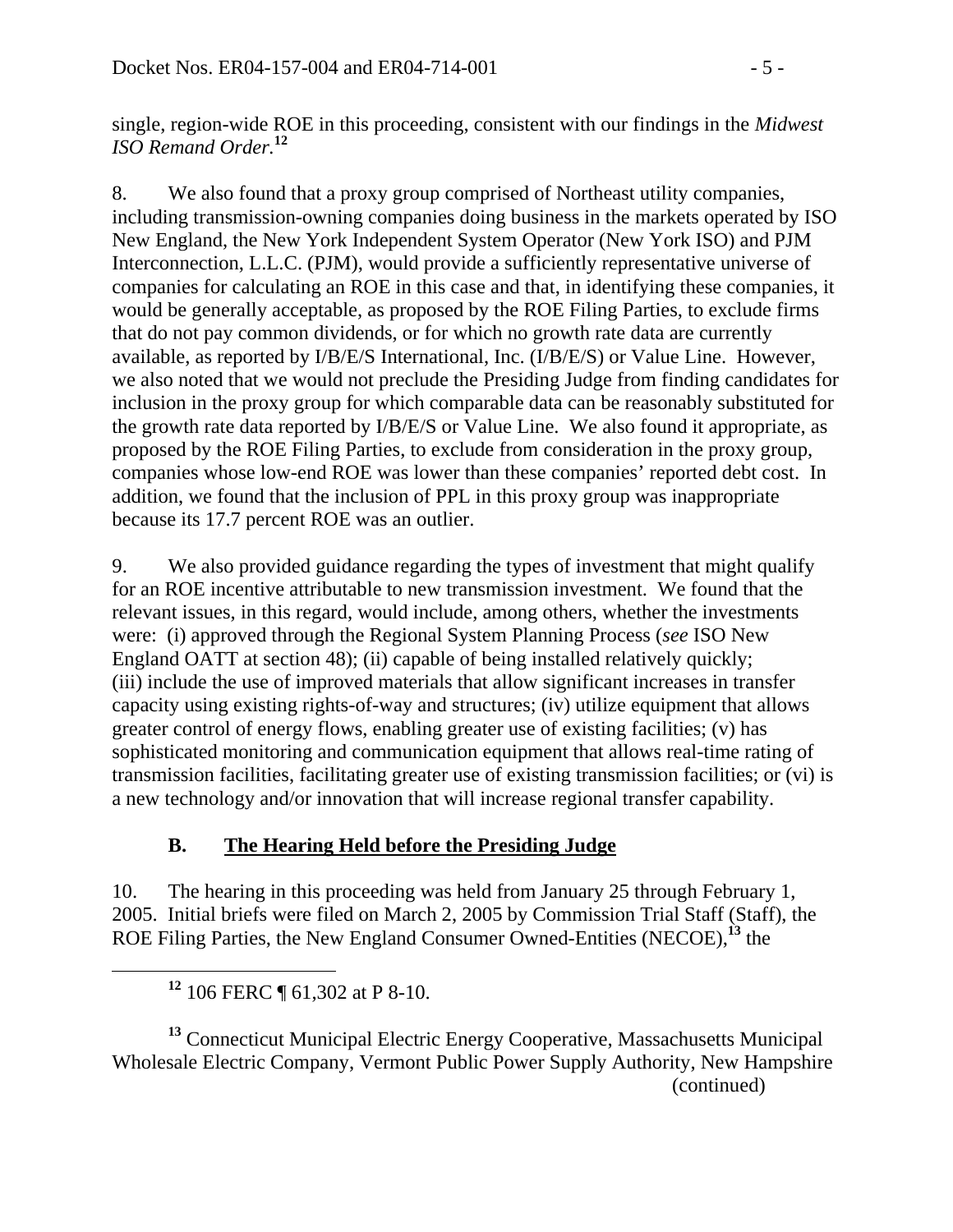single, region-wide ROE in this proceeding, consistent with our findings in the *Midwest ISO Remand Order.***<sup>12</sup>**

8. We also found that a proxy group comprised of Northeast utility companies, including transmission-owning companies doing business in the markets operated by ISO New England, the New York Independent System Operator (New York ISO) and PJM Interconnection, L.L.C. (PJM), would provide a sufficiently representative universe of companies for calculating an ROE in this case and that, in identifying these companies, it would be generally acceptable, as proposed by the ROE Filing Parties, to exclude firms that do not pay common dividends, or for which no growth rate data are currently available, as reported by I/B/E/S International, Inc. (I/B/E/S) or Value Line. However, we also noted that we would not preclude the Presiding Judge from finding candidates for inclusion in the proxy group for which comparable data can be reasonably substituted for the growth rate data reported by I/B/E/S or Value Line. We also found it appropriate, as proposed by the ROE Filing Parties, to exclude from consideration in the proxy group, companies whose low-end ROE was lower than these companies' reported debt cost. In addition, we found that the inclusion of PPL in this proxy group was inappropriate because its 17.7 percent ROE was an outlier.

9. We also provided guidance regarding the types of investment that might qualify for an ROE incentive attributable to new transmission investment. We found that the relevant issues, in this regard, would include, among others, whether the investments were: (i) approved through the Regional System Planning Process (*see* ISO New England OATT at section 48); (ii) capable of being installed relatively quickly; (iii) include the use of improved materials that allow significant increases in transfer capacity using existing rights-of-way and structures; (iv) utilize equipment that allows greater control of energy flows, enabling greater use of existing facilities; (v) has sophisticated monitoring and communication equipment that allows real-time rating of transmission facilities, facilitating greater use of existing transmission facilities; or (vi) is a new technology and/or innovation that will increase regional transfer capability.

# **B. The Hearing Held before the Presiding Judge**

10. The hearing in this proceeding was held from January 25 through February 1, 2005. Initial briefs were filed on March 2, 2005 by Commission Trial Staff (Staff), the ROE Filing Parties, the New England Consumer Owned-Entities (NECOE),**<sup>13</sup>** the

**<sup>13</sup>** Connecticut Municipal Electric Energy Cooperative, Massachusetts Municipal Wholesale Electric Company, Vermont Public Power Supply Authority, New Hampshire (continued)

**<sup>12</sup>** 106 FERC ¶ 61,302 at P 8-10.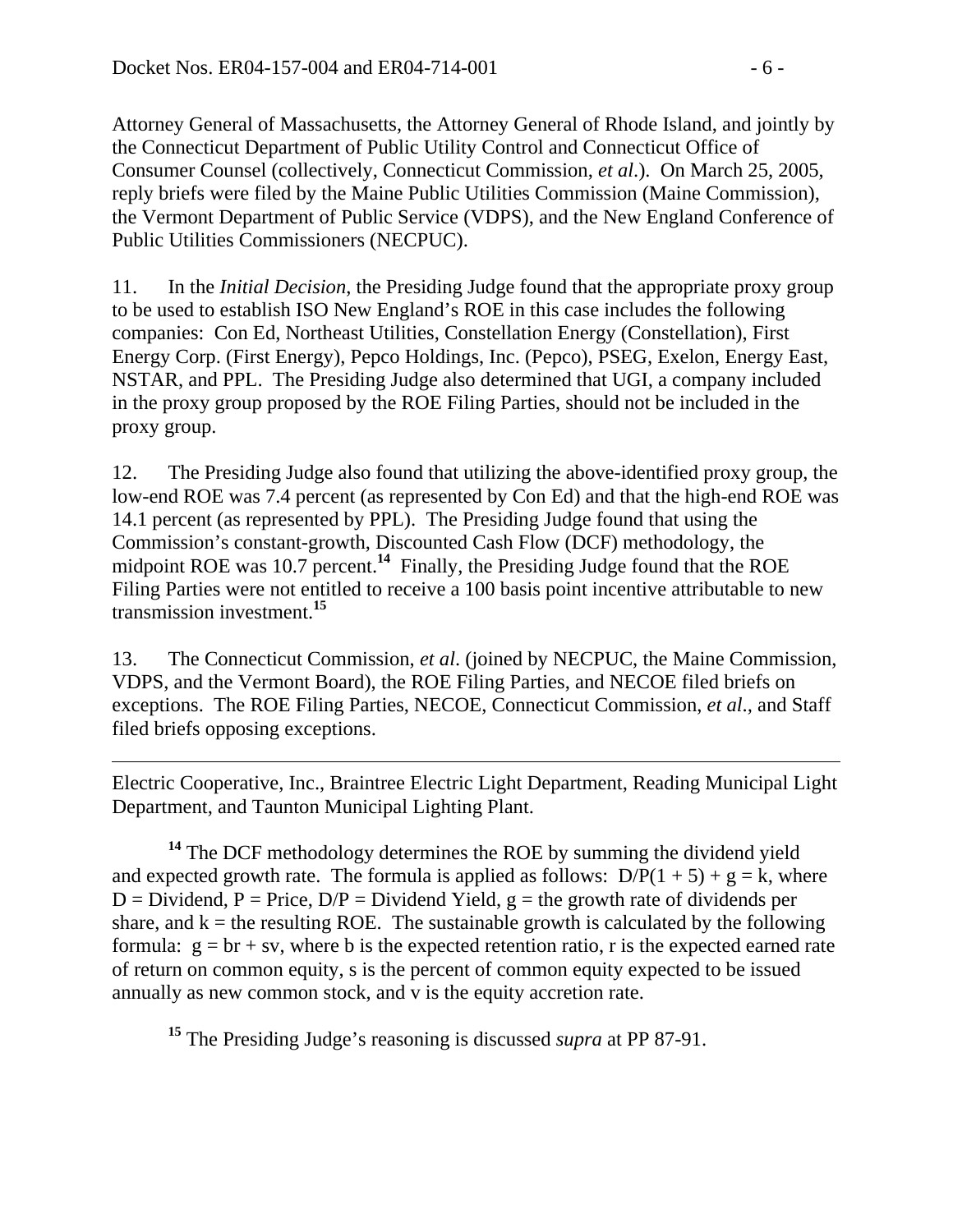$\overline{a}$ 

Attorney General of Massachusetts, the Attorney General of Rhode Island, and jointly by the Connecticut Department of Public Utility Control and Connecticut Office of Consumer Counsel (collectively, Connecticut Commission, *et al*.). On March 25, 2005, reply briefs were filed by the Maine Public Utilities Commission (Maine Commission), the Vermont Department of Public Service (VDPS), and the New England Conference of Public Utilities Commissioners (NECPUC).

11. In the *Initial Decision*, the Presiding Judge found that the appropriate proxy group to be used to establish ISO New England's ROE in this case includes the following companies: Con Ed, Northeast Utilities, Constellation Energy (Constellation), First Energy Corp. (First Energy), Pepco Holdings, Inc. (Pepco), PSEG, Exelon, Energy East, NSTAR, and PPL. The Presiding Judge also determined that UGI, a company included in the proxy group proposed by the ROE Filing Parties, should not be included in the proxy group.

12. The Presiding Judge also found that utilizing the above-identified proxy group, the low-end ROE was 7.4 percent (as represented by Con Ed) and that the high-end ROE was 14.1 percent (as represented by PPL). The Presiding Judge found that using the Commission's constant-growth, Discounted Cash Flow (DCF) methodology, the midpoint ROE was 10.7 percent.<sup>14</sup> Finally, the Presiding Judge found that the ROE Filing Parties were not entitled to receive a 100 basis point incentive attributable to new transmission investment.**<sup>15</sup>**

13. The Connecticut Commission, *et al*. (joined by NECPUC, the Maine Commission, VDPS, and the Vermont Board), the ROE Filing Parties, and NECOE filed briefs on exceptions. The ROE Filing Parties, NECOE, Connecticut Commission, *et al*.*,* and Staff filed briefs opposing exceptions.

Electric Cooperative, Inc., Braintree Electric Light Department, Reading Municipal Light Department, and Taunton Municipal Lighting Plant.

**<sup>14</sup>** The DCF methodology determines the ROE by summing the dividend yield and expected growth rate. The formula is applied as follows:  $D/P(1 + 5) + g = k$ , where  $D = Dividend$ ,  $P = Price$ ,  $D/P = Dividend$  Yield,  $g = the growth$  rate of dividends per share, and  $k =$  the resulting ROE. The sustainable growth is calculated by the following formula:  $g = br + sv$ , where b is the expected retention ratio, r is the expected earned rate of return on common equity, s is the percent of common equity expected to be issued annually as new common stock, and v is the equity accretion rate.

**<sup>15</sup>** The Presiding Judge's reasoning is discussed *supra* at PP 87-91.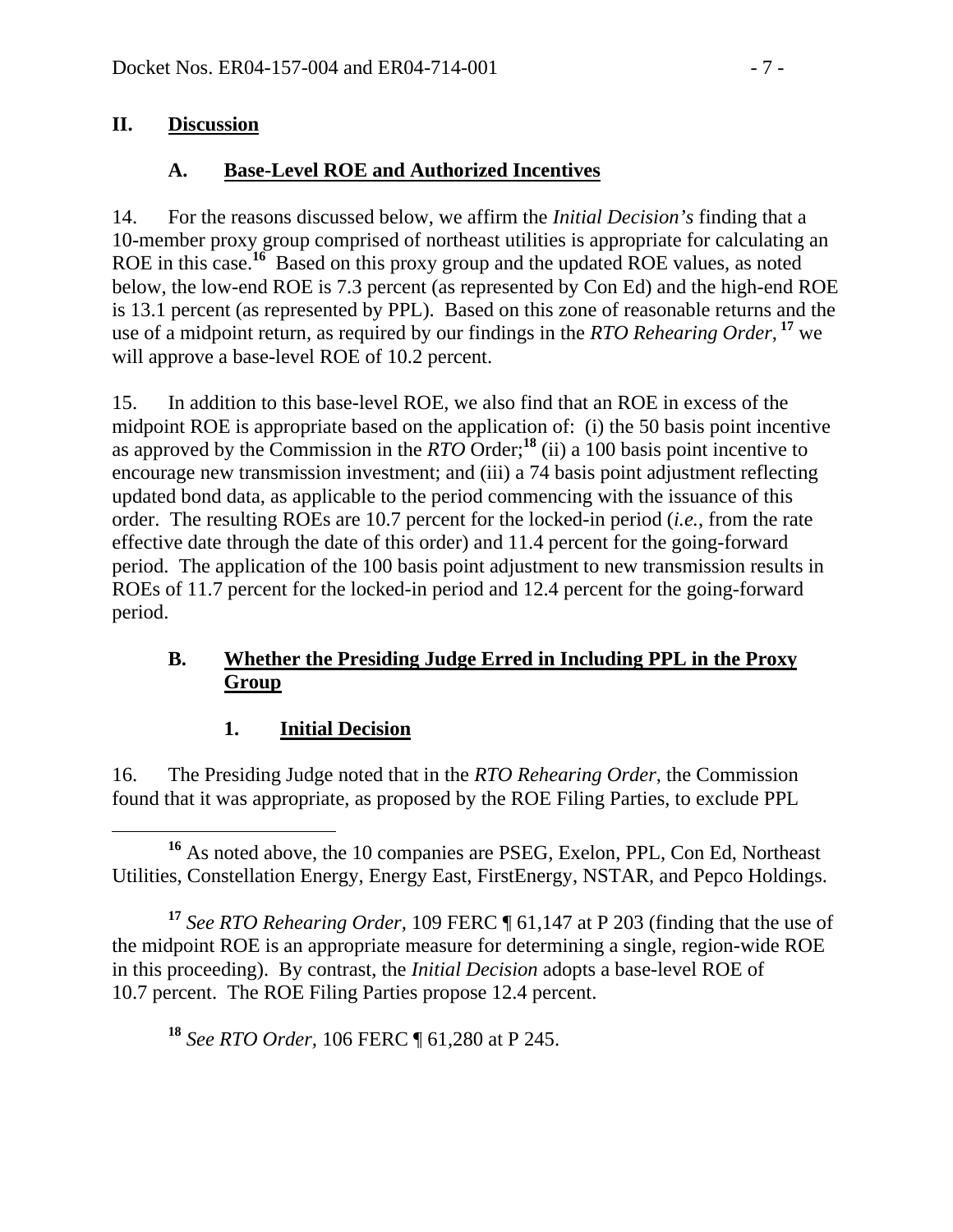#### **II. Discussion**

### **A. Base-Level ROE and Authorized Incentives**

14. For the reasons discussed below, we affirm the *Initial Decision's* finding that a 10-member proxy group comprised of northeast utilities is appropriate for calculating an ROE in this case.**<sup>16</sup>** Based on this proxy group and the updated ROE values, as noted below, the low-end ROE is 7.3 percent (as represented by Con Ed) and the high-end ROE is 13.1 percent (as represented by PPL). Based on this zone of reasonable returns and the use of a midpoint return, as required by our findings in the *RTO Rehearing Order*,  $17$  we will approve a base-level ROE of 10.2 percent.

15. In addition to this base-level ROE, we also find that an ROE in excess of the midpoint ROE is appropriate based on the application of: (i) the 50 basis point incentive as approved by the Commission in the *RTO* Order;<sup>18</sup> (ii) a 100 basis point incentive to encourage new transmission investment; and (iii) a 74 basis point adjustment reflecting updated bond data, as applicable to the period commencing with the issuance of this order. The resulting ROEs are 10.7 percent for the locked-in period (*i.e.*, from the rate effective date through the date of this order) and 11.4 percent for the going-forward period. The application of the 100 basis point adjustment to new transmission results in ROEs of 11.7 percent for the locked-in period and 12.4 percent for the going-forward period.

#### **B. Whether the Presiding Judge Erred in Including PPL in the Proxy Group**

### **1. Initial Decision**

16. The Presiding Judge noted that in the *RTO Rehearing Order*, the Commission found that it was appropriate, as proposed by the ROE Filing Parties, to exclude PPL

 **<sup>16</sup>** As noted above, the 10 companies are PSEG, Exelon, PPL, Con Ed, Northeast Utilities, Constellation Energy, Energy East, FirstEnergy, NSTAR, and Pepco Holdings.

**<sup>17</sup>** *See RTO Rehearing Order,* 109 FERC ¶ 61,147 at P 203 (finding that the use of the midpoint ROE is an appropriate measure for determining a single, region-wide ROE in this proceeding). By contrast, the *Initial Decision* adopts a base-level ROE of 10.7 percent. The ROE Filing Parties propose 12.4 percent.

**<sup>18</sup>** *See RTO Order,* 106 FERC ¶ 61,280 at P 245.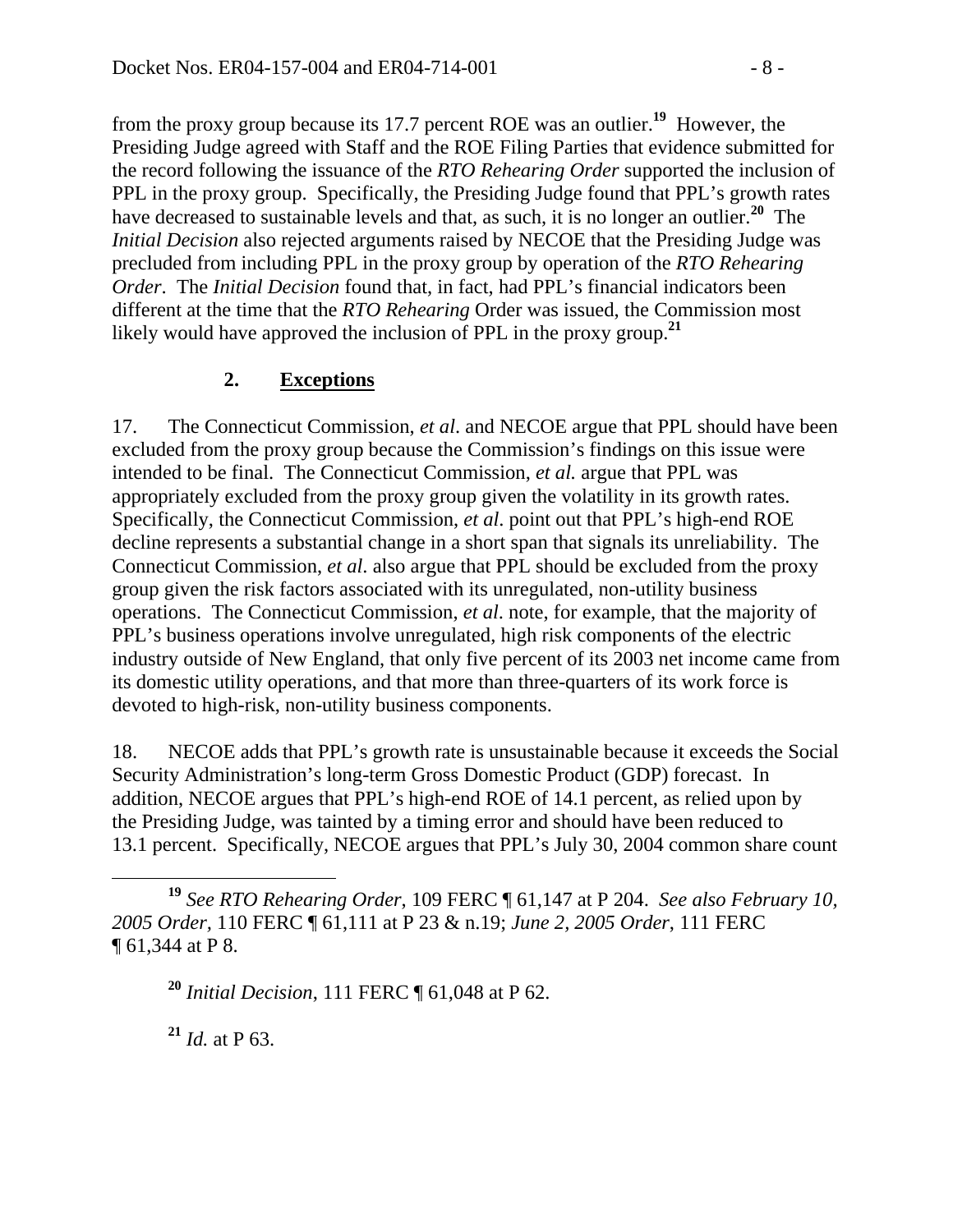from the proxy group because its 17.7 percent ROE was an outlier.**<sup>19</sup>** However, the Presiding Judge agreed with Staff and the ROE Filing Parties that evidence submitted for the record following the issuance of the *RTO Rehearing Order* supported the inclusion of PPL in the proxy group. Specifically, the Presiding Judge found that PPL's growth rates have decreased to sustainable levels and that, as such, it is no longer an outlier.**<sup>20</sup>** The *Initial Decision* also rejected arguments raised by NECOE that the Presiding Judge was precluded from including PPL in the proxy group by operation of the *RTO Rehearing Order*. The *Initial Decision* found that, in fact, had PPL's financial indicators been different at the time that the *RTO Rehearing* Order was issued, the Commission most likely would have approved the inclusion of PPL in the proxy group.<sup>21</sup>

#### **2. Exceptions**

17. The Connecticut Commission, *et al*. and NECOE argue that PPL should have been excluded from the proxy group because the Commission's findings on this issue were intended to be final. The Connecticut Commission, *et al.* argue that PPL was appropriately excluded from the proxy group given the volatility in its growth rates. Specifically, the Connecticut Commission, *et al*. point out that PPL's high-end ROE decline represents a substantial change in a short span that signals its unreliability. The Connecticut Commission, *et al*. also argue that PPL should be excluded from the proxy group given the risk factors associated with its unregulated, non-utility business operations. The Connecticut Commission, *et al*. note, for example, that the majority of PPL's business operations involve unregulated, high risk components of the electric industry outside of New England, that only five percent of its 2003 net income came from its domestic utility operations, and that more than three-quarters of its work force is devoted to high-risk, non-utility business components.

18. NECOE adds that PPL's growth rate is unsustainable because it exceeds the Social Security Administration's long-term Gross Domestic Product (GDP) forecast. In addition, NECOE argues that PPL's high-end ROE of 14.1 percent, as relied upon by the Presiding Judge, was tainted by a timing error and should have been reduced to 13.1 percent. Specifically, NECOE argues that PPL's July 30, 2004 common share count

**<sup>21</sup>** *Id.* at P 63.

**<sup>19</sup>** *See RTO Rehearing Order*, 109 FERC ¶ 61,147 at P 204. *See also February 10, 2005 Order,* 110 FERC ¶ 61,111 at P 23 & n.19; *June 2, 2005 Order*, 111 FERC ¶ 61,344 at P 8.

**<sup>20</sup>** *Initial Decision*, 111 FERC ¶ 61,048 at P 62.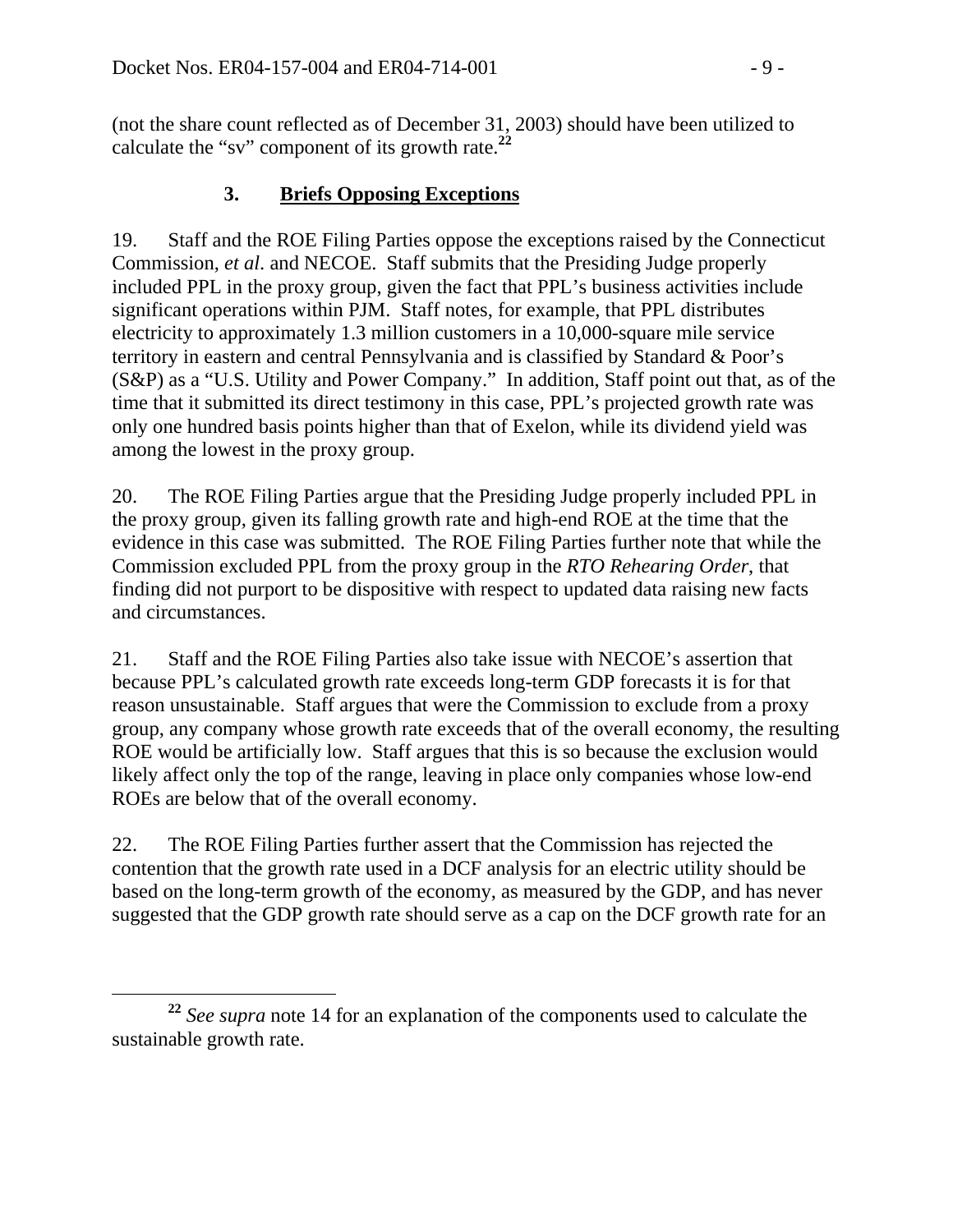(not the share count reflected as of December 31, 2003) should have been utilized to calculate the "sv" component of its growth rate.**<sup>22</sup>**

## **3. Briefs Opposing Exceptions**

19. Staff and the ROE Filing Parties oppose the exceptions raised by the Connecticut Commission, *et al*. and NECOE. Staff submits that the Presiding Judge properly included PPL in the proxy group, given the fact that PPL's business activities include significant operations within PJM. Staff notes, for example, that PPL distributes electricity to approximately 1.3 million customers in a 10,000-square mile service territory in eastern and central Pennsylvania and is classified by Standard & Poor's (S&P) as a "U.S. Utility and Power Company." In addition, Staff point out that, as of the time that it submitted its direct testimony in this case, PPL's projected growth rate was only one hundred basis points higher than that of Exelon, while its dividend yield was among the lowest in the proxy group.

20. The ROE Filing Parties argue that the Presiding Judge properly included PPL in the proxy group, given its falling growth rate and high-end ROE at the time that the evidence in this case was submitted. The ROE Filing Parties further note that while the Commission excluded PPL from the proxy group in the *RTO Rehearing Order*, that finding did not purport to be dispositive with respect to updated data raising new facts and circumstances.

21. Staff and the ROE Filing Parties also take issue with NECOE's assertion that because PPL's calculated growth rate exceeds long-term GDP forecasts it is for that reason unsustainable. Staff argues that were the Commission to exclude from a proxy group, any company whose growth rate exceeds that of the overall economy, the resulting ROE would be artificially low. Staff argues that this is so because the exclusion would likely affect only the top of the range, leaving in place only companies whose low-end ROEs are below that of the overall economy.

22. The ROE Filing Parties further assert that the Commission has rejected the contention that the growth rate used in a DCF analysis for an electric utility should be based on the long-term growth of the economy, as measured by the GDP, and has never suggested that the GDP growth rate should serve as a cap on the DCF growth rate for an

**<sup>22</sup>** *See supra* note 14 for an explanation of the components used to calculate the sustainable growth rate.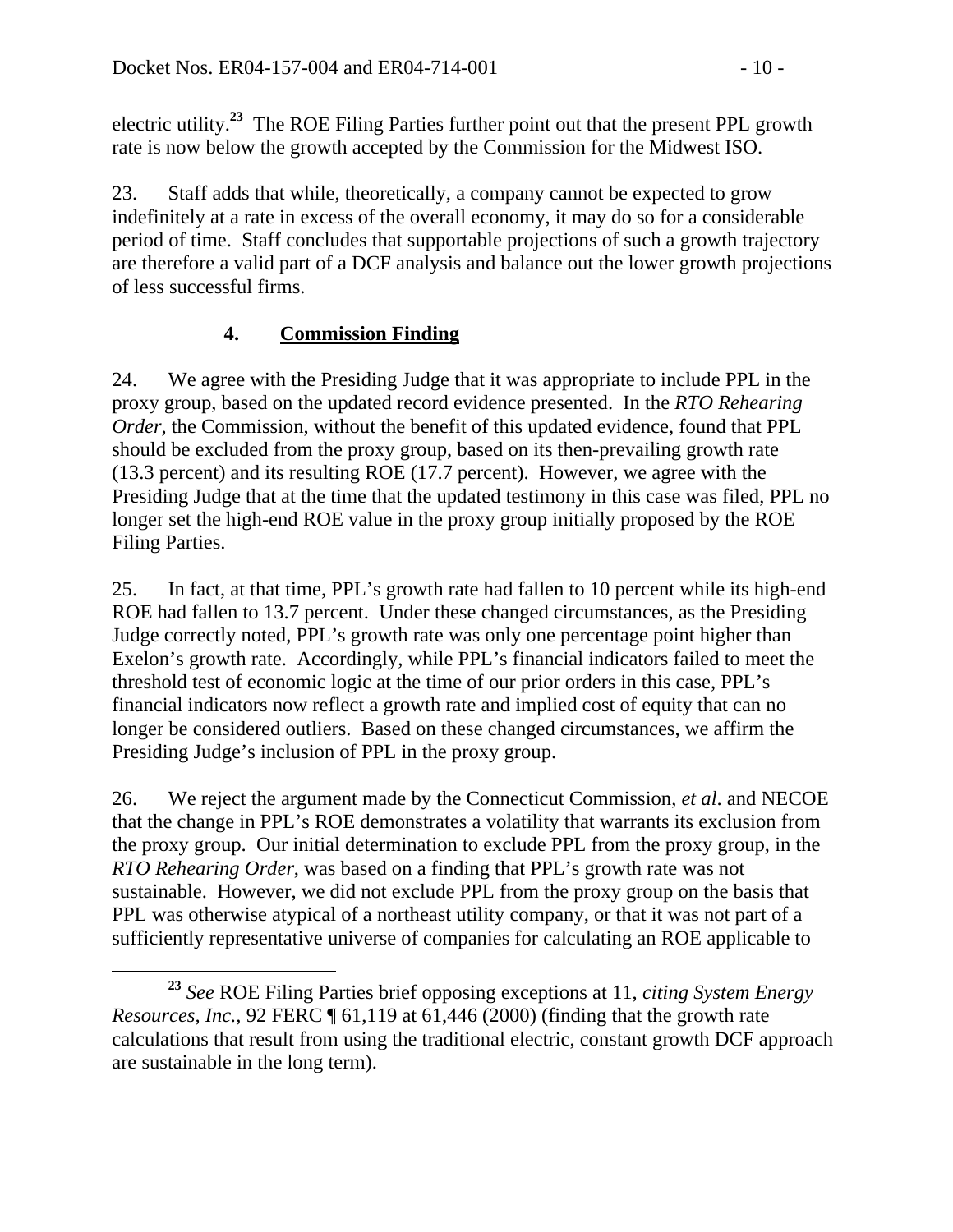electric utility.**<sup>23</sup>** The ROE Filing Parties further point out that the present PPL growth rate is now below the growth accepted by the Commission for the Midwest ISO.

23. Staff adds that while, theoretically, a company cannot be expected to grow indefinitely at a rate in excess of the overall economy, it may do so for a considerable period of time. Staff concludes that supportable projections of such a growth trajectory are therefore a valid part of a DCF analysis and balance out the lower growth projections of less successful firms.

### **4. Commission Finding**

24. We agree with the Presiding Judge that it was appropriate to include PPL in the proxy group, based on the updated record evidence presented. In the *RTO Rehearing Order*, the Commission, without the benefit of this updated evidence, found that PPL should be excluded from the proxy group, based on its then-prevailing growth rate (13.3 percent) and its resulting ROE (17.7 percent). However, we agree with the Presiding Judge that at the time that the updated testimony in this case was filed, PPL no longer set the high-end ROE value in the proxy group initially proposed by the ROE Filing Parties.

25. In fact, at that time, PPL's growth rate had fallen to 10 percent while its high-end ROE had fallen to 13.7 percent. Under these changed circumstances, as the Presiding Judge correctly noted, PPL's growth rate was only one percentage point higher than Exelon's growth rate. Accordingly, while PPL's financial indicators failed to meet the threshold test of economic logic at the time of our prior orders in this case, PPL's financial indicators now reflect a growth rate and implied cost of equity that can no longer be considered outliers. Based on these changed circumstances, we affirm the Presiding Judge's inclusion of PPL in the proxy group.

26. We reject the argument made by the Connecticut Commission, *et al*. and NECOE that the change in PPL's ROE demonstrates a volatility that warrants its exclusion from the proxy group. Our initial determination to exclude PPL from the proxy group, in the *RTO Rehearing Order*, was based on a finding that PPL's growth rate was not sustainable. However, we did not exclude PPL from the proxy group on the basis that PPL was otherwise atypical of a northeast utility company, or that it was not part of a sufficiently representative universe of companies for calculating an ROE applicable to

**<sup>23</sup>** *See* ROE Filing Parties brief opposing exceptions at 11, *citing System Energy Resources, Inc., 92 FERC*  $\P$  61,119 at 61,446 (2000) (finding that the growth rate calculations that result from using the traditional electric, constant growth DCF approach are sustainable in the long term).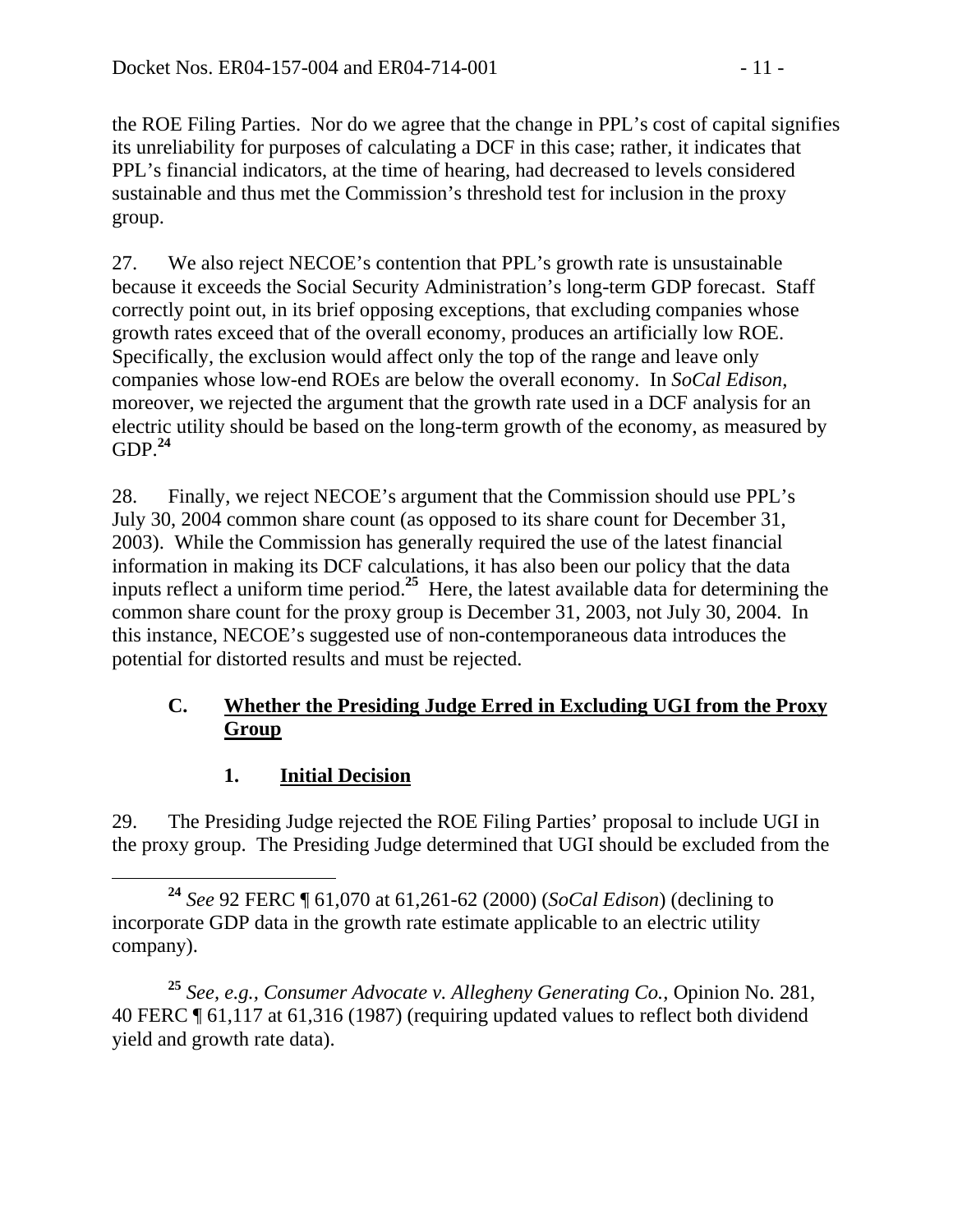the ROE Filing Parties. Nor do we agree that the change in PPL's cost of capital signifies its unreliability for purposes of calculating a DCF in this case; rather, it indicates that PPL's financial indicators, at the time of hearing, had decreased to levels considered sustainable and thus met the Commission's threshold test for inclusion in the proxy group.

27. We also reject NECOE's contention that PPL's growth rate is unsustainable because it exceeds the Social Security Administration's long-term GDP forecast. Staff correctly point out, in its brief opposing exceptions, that excluding companies whose growth rates exceed that of the overall economy, produces an artificially low ROE. Specifically, the exclusion would affect only the top of the range and leave only companies whose low-end ROEs are below the overall economy. In *SoCal Edison,* moreover, we rejected the argument that the growth rate used in a DCF analysis for an electric utility should be based on the long-term growth of the economy, as measured by  $GDP<sup>24</sup>$ 

28. Finally, we reject NECOE's argument that the Commission should use PPL's July 30, 2004 common share count (as opposed to its share count for December 31, 2003). While the Commission has generally required the use of the latest financial information in making its DCF calculations, it has also been our policy that the data inputs reflect a uniform time period.**<sup>25</sup>** Here, the latest available data for determining the common share count for the proxy group is December 31, 2003, not July 30, 2004. In this instance, NECOE's suggested use of non-contemporaneous data introduces the potential for distorted results and must be rejected.

### **C. Whether the Presiding Judge Erred in Excluding UGI from the Proxy Group**

## **1. Initial Decision**

29. The Presiding Judge rejected the ROE Filing Parties' proposal to include UGI in the proxy group. The Presiding Judge determined that UGI should be excluded from the

**<sup>24</sup>** *See* 92 FERC ¶ 61,070 at 61,261-62 (2000) (*SoCal Edison*) (declining to incorporate GDP data in the growth rate estimate applicable to an electric utility company).

**<sup>25</sup>** *See, e.g., Consumer Advocate v. Allegheny Generating Co.,* Opinion No. 281, 40 FERC ¶ 61,117 at 61,316 (1987) (requiring updated values to reflect both dividend yield and growth rate data).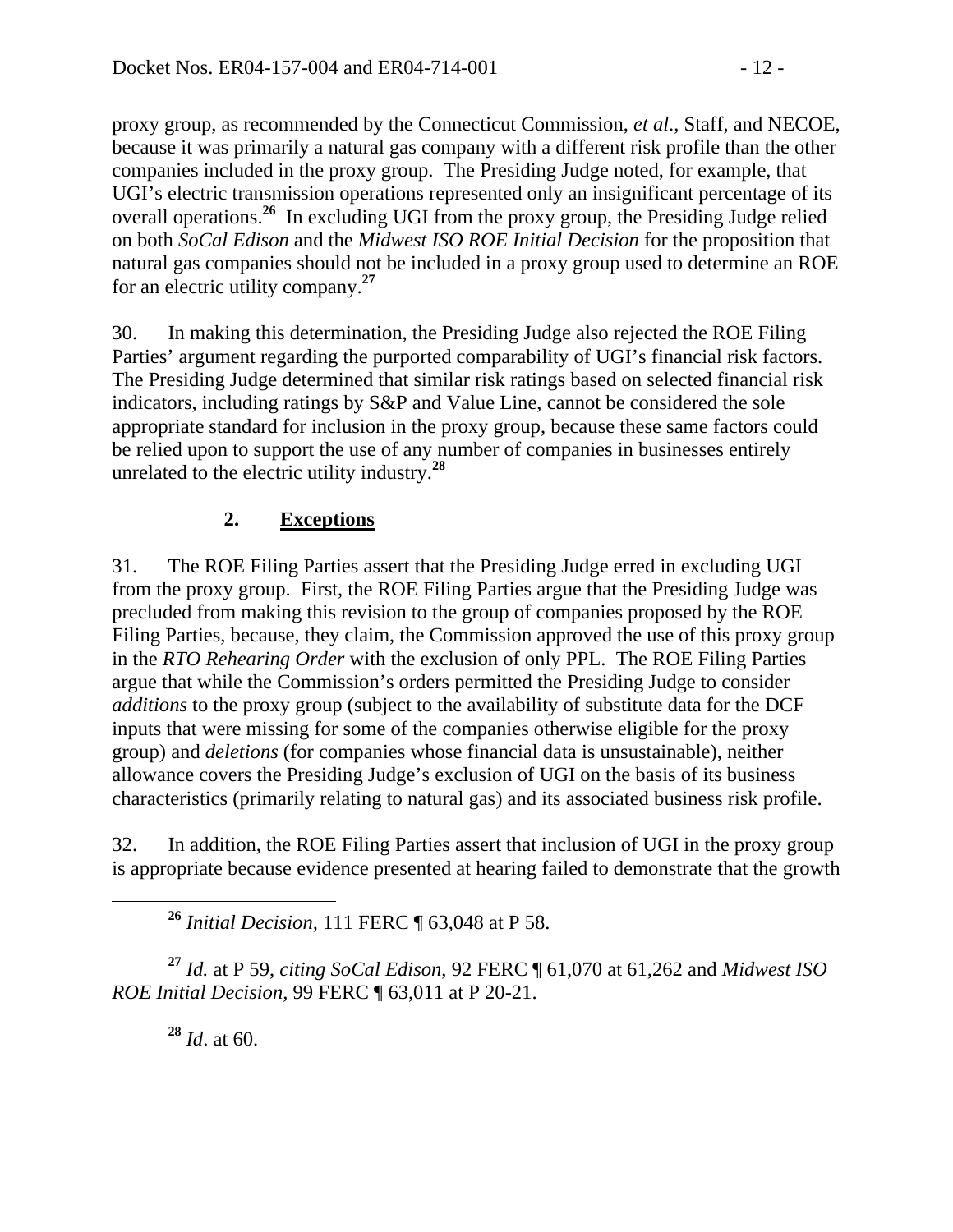proxy group, as recommended by the Connecticut Commission, *et al*., Staff, and NECOE, because it was primarily a natural gas company with a different risk profile than the other companies included in the proxy group. The Presiding Judge noted, for example, that UGI's electric transmission operations represented only an insignificant percentage of its overall operations.**<sup>26</sup>** In excluding UGI from the proxy group, the Presiding Judge relied on both *SoCal Edison* and the *Midwest ISO ROE Initial Decision* for the proposition that natural gas companies should not be included in a proxy group used to determine an ROE for an electric utility company.**<sup>27</sup>**

30. In making this determination, the Presiding Judge also rejected the ROE Filing Parties' argument regarding the purported comparability of UGI's financial risk factors. The Presiding Judge determined that similar risk ratings based on selected financial risk indicators, including ratings by S&P and Value Line, cannot be considered the sole appropriate standard for inclusion in the proxy group, because these same factors could be relied upon to support the use of any number of companies in businesses entirely unrelated to the electric utility industry.**<sup>28</sup>**

# **2. Exceptions**

31. The ROE Filing Parties assert that the Presiding Judge erred in excluding UGI from the proxy group. First, the ROE Filing Parties argue that the Presiding Judge was precluded from making this revision to the group of companies proposed by the ROE Filing Parties, because, they claim, the Commission approved the use of this proxy group in the *RTO Rehearing Order* with the exclusion of only PPL. The ROE Filing Parties argue that while the Commission's orders permitted the Presiding Judge to consider *additions* to the proxy group (subject to the availability of substitute data for the DCF inputs that were missing for some of the companies otherwise eligible for the proxy group) and *deletions* (for companies whose financial data is unsustainable), neither allowance covers the Presiding Judge's exclusion of UGI on the basis of its business characteristics (primarily relating to natural gas) and its associated business risk profile.

32. In addition, the ROE Filing Parties assert that inclusion of UGI in the proxy group is appropriate because evidence presented at hearing failed to demonstrate that the growth

**<sup>26</sup>** *Initial Decision,* 111 FERC ¶ 63,048 at P 58.

**<sup>27</sup>** *Id.* at P 59, *citing SoCal Edison*, 92 FERC ¶ 61,070 at 61,262 and *Midwest ISO ROE Initial Decision,* 99 FERC ¶ 63,011 at P 20-21.

**<sup>28</sup>** *Id*. at 60.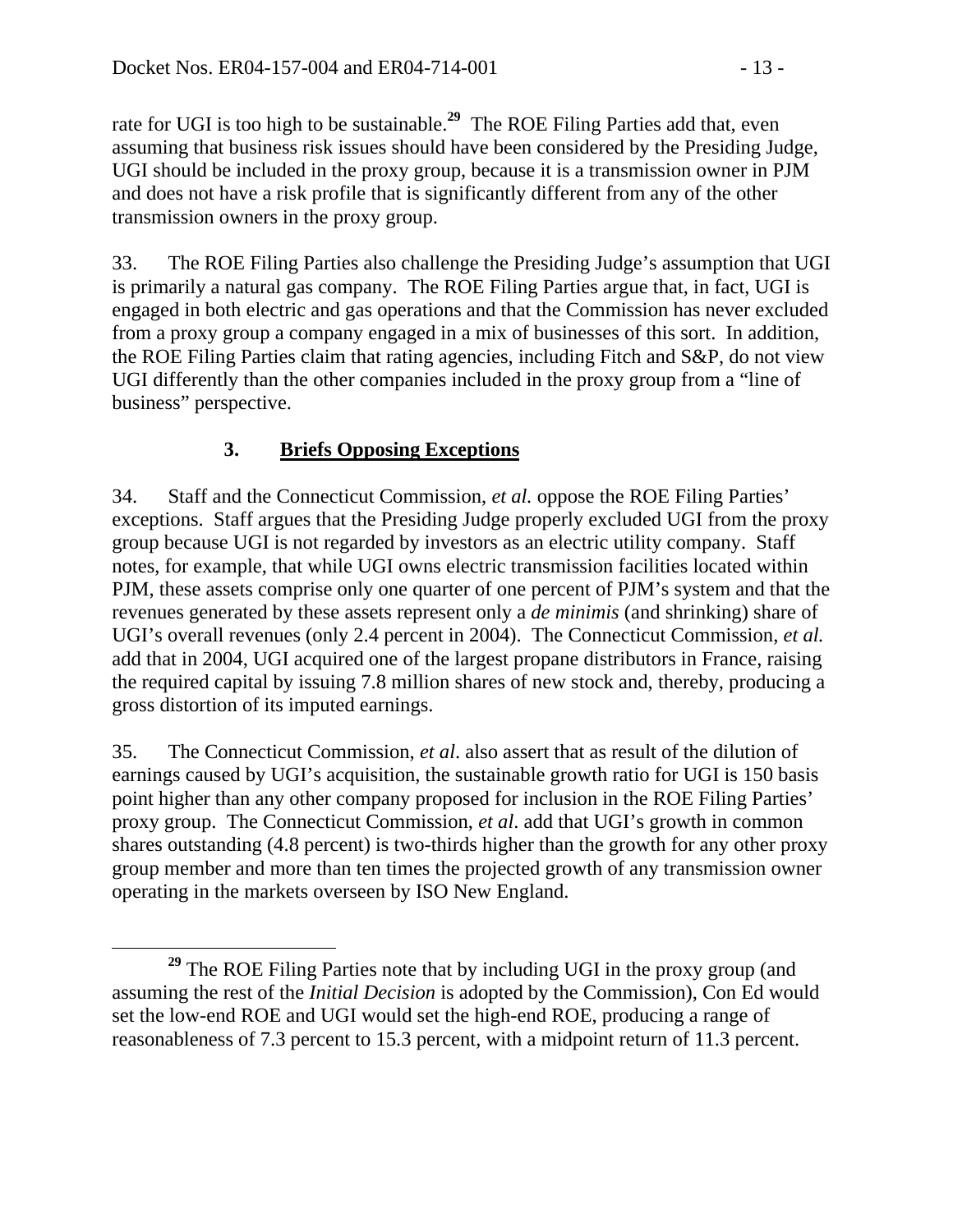rate for UGI is too high to be sustainable.**<sup>29</sup>** The ROE Filing Parties add that, even assuming that business risk issues should have been considered by the Presiding Judge, UGI should be included in the proxy group, because it is a transmission owner in PJM and does not have a risk profile that is significantly different from any of the other transmission owners in the proxy group.

33. The ROE Filing Parties also challenge the Presiding Judge's assumption that UGI is primarily a natural gas company. The ROE Filing Parties argue that, in fact, UGI is engaged in both electric and gas operations and that the Commission has never excluded from a proxy group a company engaged in a mix of businesses of this sort. In addition, the ROE Filing Parties claim that rating agencies, including Fitch and S&P, do not view UGI differently than the other companies included in the proxy group from a "line of business" perspective.

## **3. Briefs Opposing Exceptions**

34. Staff and the Connecticut Commission, *et al.* oppose the ROE Filing Parties' exceptions. Staff argues that the Presiding Judge properly excluded UGI from the proxy group because UGI is not regarded by investors as an electric utility company. Staff notes, for example, that while UGI owns electric transmission facilities located within PJM, these assets comprise only one quarter of one percent of PJM's system and that the revenues generated by these assets represent only a *de minimis* (and shrinking) share of UGI's overall revenues (only 2.4 percent in 2004). The Connecticut Commission, *et al.* add that in 2004, UGI acquired one of the largest propane distributors in France, raising the required capital by issuing 7.8 million shares of new stock and, thereby, producing a gross distortion of its imputed earnings.

35. The Connecticut Commission, *et al*. also assert that as result of the dilution of earnings caused by UGI's acquisition, the sustainable growth ratio for UGI is 150 basis point higher than any other company proposed for inclusion in the ROE Filing Parties' proxy group. The Connecticut Commission, *et al*. add that UGI's growth in common shares outstanding (4.8 percent) is two-thirds higher than the growth for any other proxy group member and more than ten times the projected growth of any transmission owner operating in the markets overseen by ISO New England.

**<sup>29</sup>** The ROE Filing Parties note that by including UGI in the proxy group (and assuming the rest of the *Initial Decision* is adopted by the Commission), Con Ed would set the low-end ROE and UGI would set the high-end ROE, producing a range of reasonableness of 7.3 percent to 15.3 percent, with a midpoint return of 11.3 percent.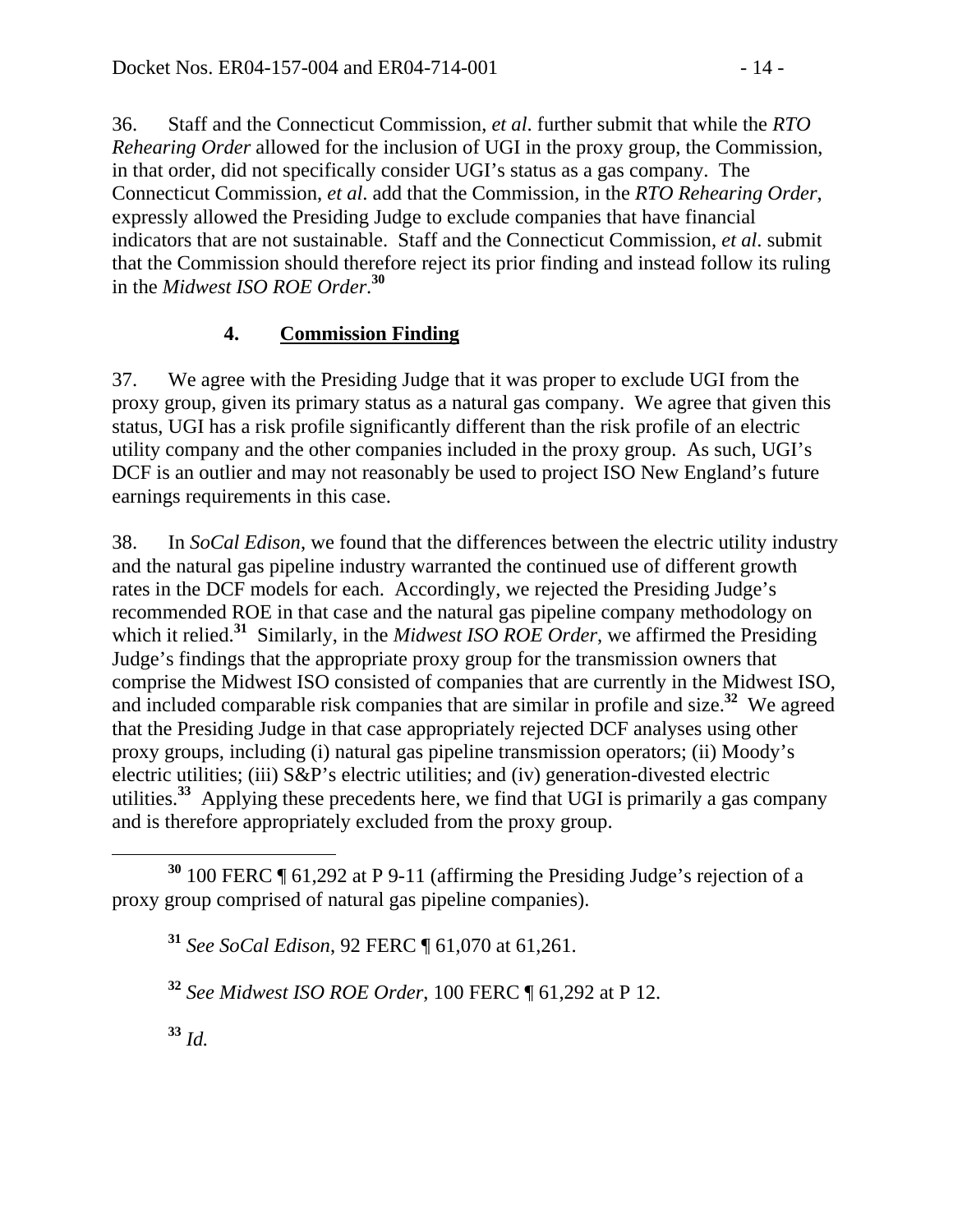36. Staff and the Connecticut Commission, *et al*. further submit that while the *RTO Rehearing Order* allowed for the inclusion of UGI in the proxy group, the Commission, in that order, did not specifically consider UGI's status as a gas company. The Connecticut Commission, *et al*. add that the Commission, in the *RTO Rehearing Order*, expressly allowed the Presiding Judge to exclude companies that have financial indicators that are not sustainable. Staff and the Connecticut Commission, *et al*. submit that the Commission should therefore reject its prior finding and instead follow its ruling in the *Midwest ISO ROE Order*. **30**

### **4. Commission Finding**

37. We agree with the Presiding Judge that it was proper to exclude UGI from the proxy group, given its primary status as a natural gas company. We agree that given this status, UGI has a risk profile significantly different than the risk profile of an electric utility company and the other companies included in the proxy group. As such, UGI's DCF is an outlier and may not reasonably be used to project ISO New England's future earnings requirements in this case.

38. In *SoCal Edison*, we found that the differences between the electric utility industry and the natural gas pipeline industry warranted the continued use of different growth rates in the DCF models for each. Accordingly, we rejected the Presiding Judge's recommended ROE in that case and the natural gas pipeline company methodology on which it relied.**<sup>31</sup>** Similarly, in the *Midwest ISO ROE Order*, we affirmed the Presiding Judge's findings that the appropriate proxy group for the transmission owners that comprise the Midwest ISO consisted of companies that are currently in the Midwest ISO, and included comparable risk companies that are similar in profile and size.**<sup>32</sup>** We agreed that the Presiding Judge in that case appropriately rejected DCF analyses using other proxy groups, including (i) natural gas pipeline transmission operators; (ii) Moody's electric utilities; (iii) S&P's electric utilities; and (iv) generation-divested electric utilities.**<sup>33</sup>** Applying these precedents here, we find that UGI is primarily a gas company and is therefore appropriately excluded from the proxy group.

**<sup>33</sup>** *Id.*

**<sup>30</sup>** 100 FERC ¶ 61,292 at P 9-11 (affirming the Presiding Judge's rejection of a proxy group comprised of natural gas pipeline companies).

**<sup>31</sup>** *See SoCal Edison*, 92 FERC ¶ 61,070 at 61,261.

**<sup>32</sup>** *See Midwest ISO ROE Order*, 100 FERC ¶ 61,292 at P 12.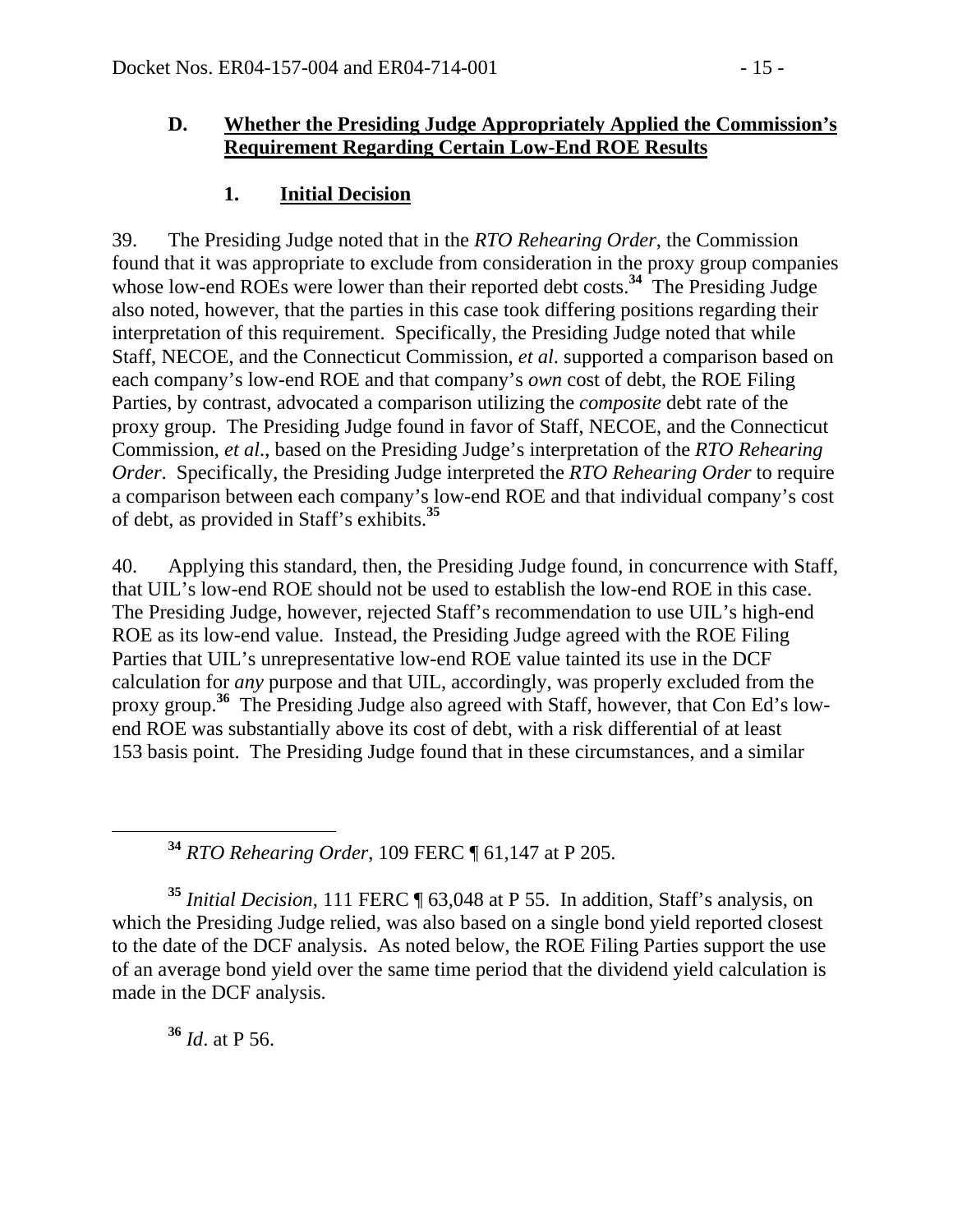#### **D. Whether the Presiding Judge Appropriately Applied the Commission's Requirement Regarding Certain Low-End ROE Results**

#### **1. Initial Decision**

39. The Presiding Judge noted that in the *RTO Rehearing Order*, the Commission found that it was appropriate to exclude from consideration in the proxy group companies whose low-end ROEs were lower than their reported debt costs.<sup>34</sup> The Presiding Judge also noted, however, that the parties in this case took differing positions regarding their interpretation of this requirement. Specifically, the Presiding Judge noted that while Staff, NECOE, and the Connecticut Commission, *et al*. supported a comparison based on each company's low-end ROE and that company's *own* cost of debt, the ROE Filing Parties, by contrast, advocated a comparison utilizing the *composite* debt rate of the proxy group. The Presiding Judge found in favor of Staff, NECOE, and the Connecticut Commission, *et al*., based on the Presiding Judge's interpretation of the *RTO Rehearing Order*. Specifically, the Presiding Judge interpreted the *RTO Rehearing Order* to require a comparison between each company's low-end ROE and that individual company's cost of debt, as provided in Staff's exhibits.**<sup>35</sup>**

40. Applying this standard, then, the Presiding Judge found, in concurrence with Staff, that UIL's low-end ROE should not be used to establish the low-end ROE in this case. The Presiding Judge, however, rejected Staff's recommendation to use UIL's high-end ROE as its low-end value. Instead, the Presiding Judge agreed with the ROE Filing Parties that UIL's unrepresentative low-end ROE value tainted its use in the DCF calculation for *any* purpose and that UIL, accordingly, was properly excluded from the proxy group.**<sup>36</sup>** The Presiding Judge also agreed with Staff, however, that Con Ed's lowend ROE was substantially above its cost of debt, with a risk differential of at least 153 basis point. The Presiding Judge found that in these circumstances, and a similar

**<sup>34</sup>** *RTO Rehearing Order*, 109 FERC ¶ 61,147 at P 205.

**<sup>35</sup>** *Initial Decision*, 111 FERC ¶ 63,048 at P 55. In addition, Staff's analysis, on which the Presiding Judge relied, was also based on a single bond yield reported closest to the date of the DCF analysis. As noted below, the ROE Filing Parties support the use of an average bond yield over the same time period that the dividend yield calculation is made in the DCF analysis.

**<sup>36</sup>** *Id*. at P 56.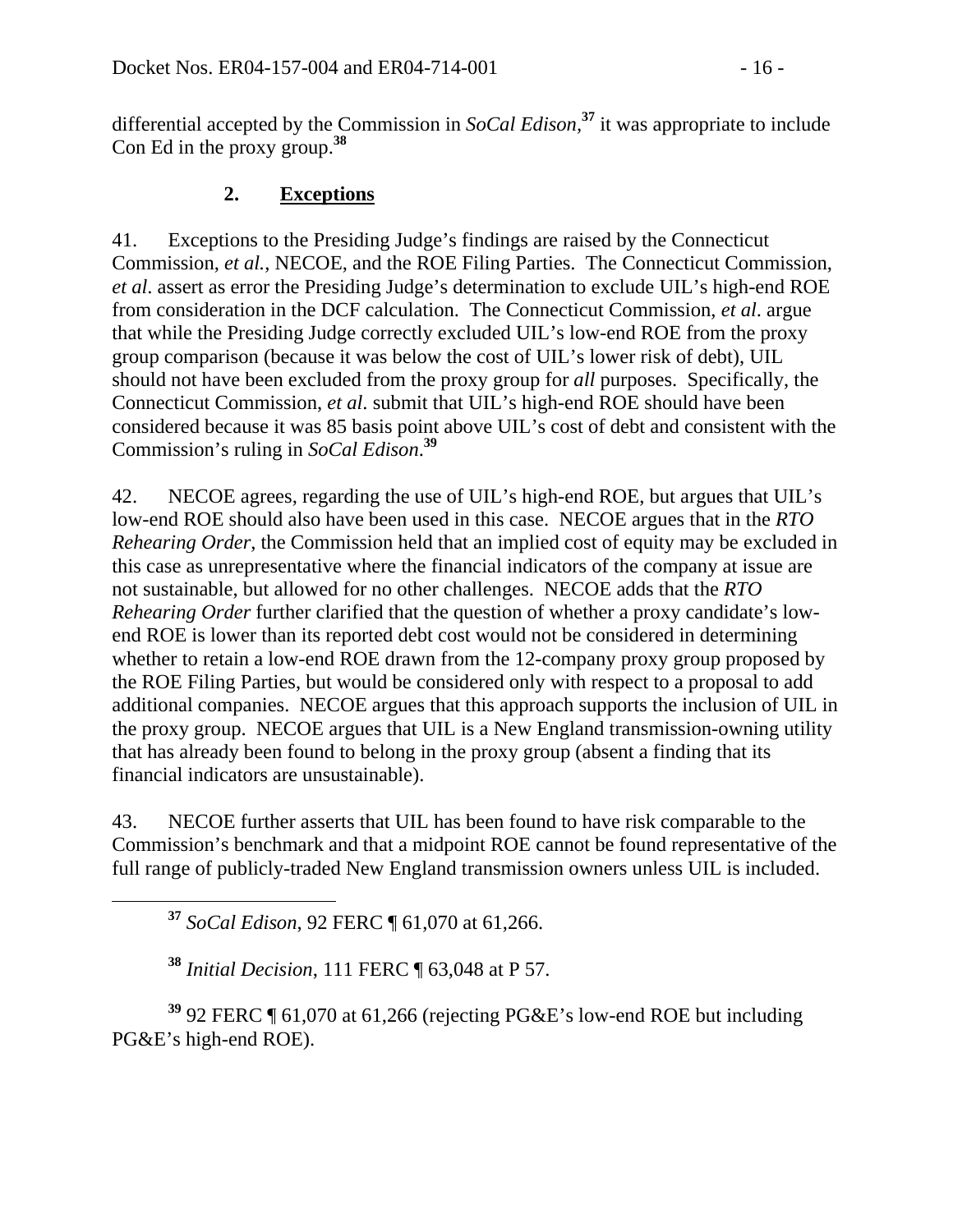differential accepted by the Commission in *SoCal Edison,***<sup>37</sup>** it was appropriate to include Con Ed in the proxy group.**<sup>38</sup>**

### **2. Exceptions**

41. Exceptions to the Presiding Judge's findings are raised by the Connecticut Commission, *et al.*, NECOE, and the ROE Filing Parties. The Connecticut Commission, *et al*. assert as error the Presiding Judge's determination to exclude UIL's high-end ROE from consideration in the DCF calculation. The Connecticut Commission, *et al*. argue that while the Presiding Judge correctly excluded UIL's low-end ROE from the proxy group comparison (because it was below the cost of UIL's lower risk of debt), UIL should not have been excluded from the proxy group for *all* purposes. Specifically, the Connecticut Commission, *et al*. submit that UIL's high-end ROE should have been considered because it was 85 basis point above UIL's cost of debt and consistent with the Commission's ruling in *SoCal Edison*. **39**

42. NECOE agrees, regarding the use of UIL's high-end ROE, but argues that UIL's low-end ROE should also have been used in this case. NECOE argues that in the *RTO Rehearing Order*, the Commission held that an implied cost of equity may be excluded in this case as unrepresentative where the financial indicators of the company at issue are not sustainable, but allowed for no other challenges. NECOE adds that the *RTO Rehearing Order* further clarified that the question of whether a proxy candidate's lowend ROE is lower than its reported debt cost would not be considered in determining whether to retain a low-end ROE drawn from the 12-company proxy group proposed by the ROE Filing Parties, but would be considered only with respect to a proposal to add additional companies. NECOE argues that this approach supports the inclusion of UIL in the proxy group. NECOE argues that UIL is a New England transmission-owning utility that has already been found to belong in the proxy group (absent a finding that its financial indicators are unsustainable).

43. NECOE further asserts that UIL has been found to have risk comparable to the Commission's benchmark and that a midpoint ROE cannot be found representative of the full range of publicly-traded New England transmission owners unless UIL is included.

**<sup>37</sup>** *SoCal Edison*, 92 FERC ¶ 61,070 at 61,266.

**<sup>38</sup>** *Initial Decision*, 111 FERC ¶ 63,048 at P 57.

**<sup>39</sup>** 92 FERC ¶ 61,070 at 61,266 (rejecting PG&E's low-end ROE but including PG&E's high-end ROE).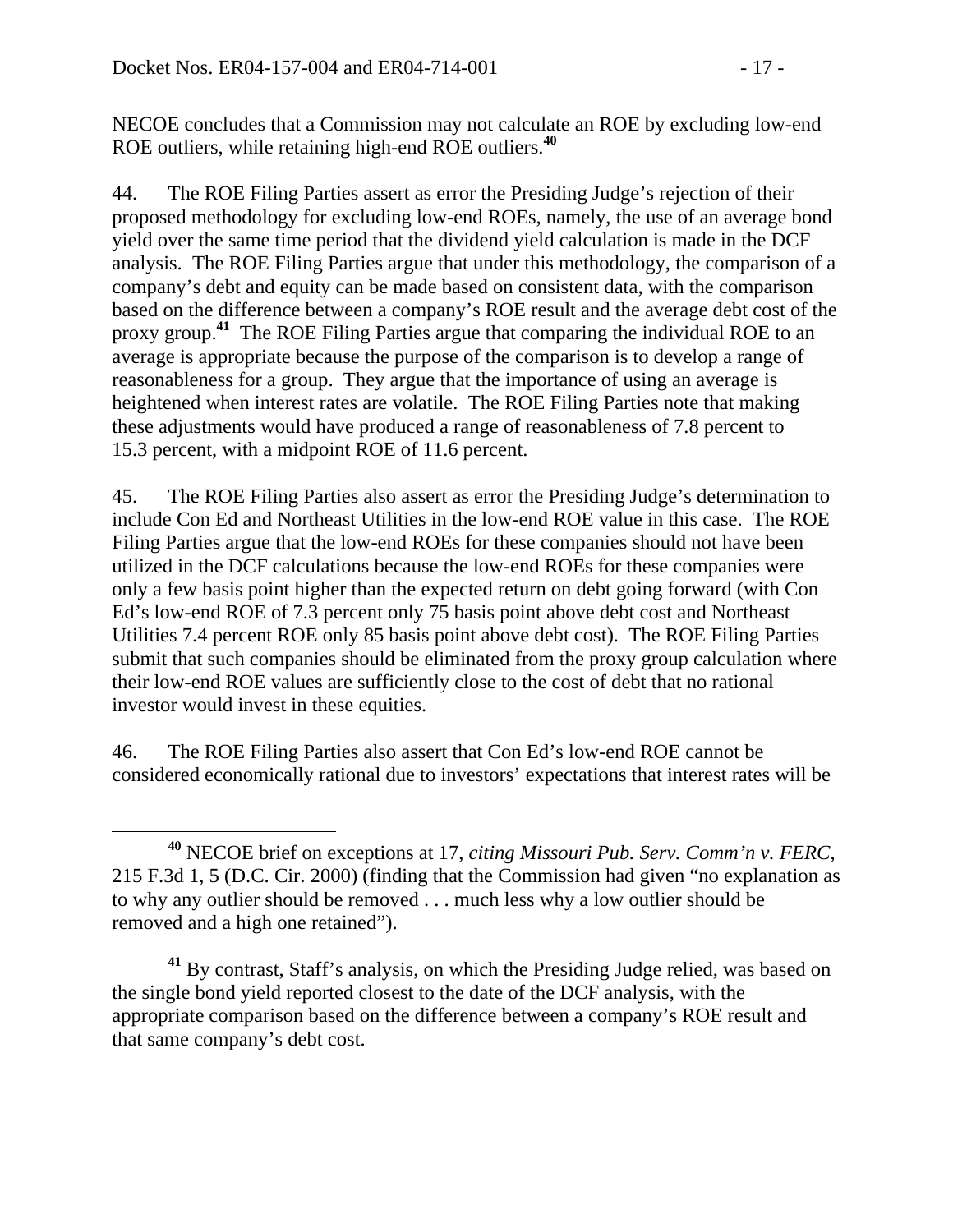NECOE concludes that a Commission may not calculate an ROE by excluding low-end ROE outliers, while retaining high-end ROE outliers.**<sup>40</sup>**

44. The ROE Filing Parties assert as error the Presiding Judge's rejection of their proposed methodology for excluding low-end ROEs, namely, the use of an average bond yield over the same time period that the dividend yield calculation is made in the DCF analysis. The ROE Filing Parties argue that under this methodology, the comparison of a company's debt and equity can be made based on consistent data, with the comparison based on the difference between a company's ROE result and the average debt cost of the proxy group.<sup>41</sup> The ROE Filing Parties argue that comparing the individual ROE to an average is appropriate because the purpose of the comparison is to develop a range of reasonableness for a group. They argue that the importance of using an average is heightened when interest rates are volatile.The ROE Filing Parties note that making these adjustments would have produced a range of reasonableness of 7.8 percent to 15.3 percent, with a midpoint ROE of 11.6 percent.

45. The ROE Filing Parties also assert as error the Presiding Judge's determination to include Con Ed and Northeast Utilities in the low-end ROE value in this case. The ROE Filing Parties argue that the low-end ROEs for these companies should not have been utilized in the DCF calculations because the low-end ROEs for these companies were only a few basis point higher than the expected return on debt going forward (with Con Ed's low-end ROE of 7.3 percent only 75 basis point above debt cost and Northeast Utilities 7.4 percent ROE only 85 basis point above debt cost). The ROE Filing Parties submit that such companies should be eliminated from the proxy group calculation where their low-end ROE values are sufficiently close to the cost of debt that no rational investor would invest in these equities.

46. The ROE Filing Parties also assert that Con Ed's low-end ROE cannot be considered economically rational due to investors' expectations that interest rates will be

**<sup>41</sup>** By contrast, Staff's analysis, on which the Presiding Judge relied, was based on the single bond yield reported closest to the date of the DCF analysis, with the appropriate comparison based on the difference between a company's ROE result and that same company's debt cost.

**<sup>40</sup>** NECOE brief on exceptions at 17, *citing Missouri Pub. Serv. Comm'n v. FERC*, 215 F.3d 1, 5 (D.C. Cir. 2000) (finding that the Commission had given "no explanation as to why any outlier should be removed . . . much less why a low outlier should be removed and a high one retained").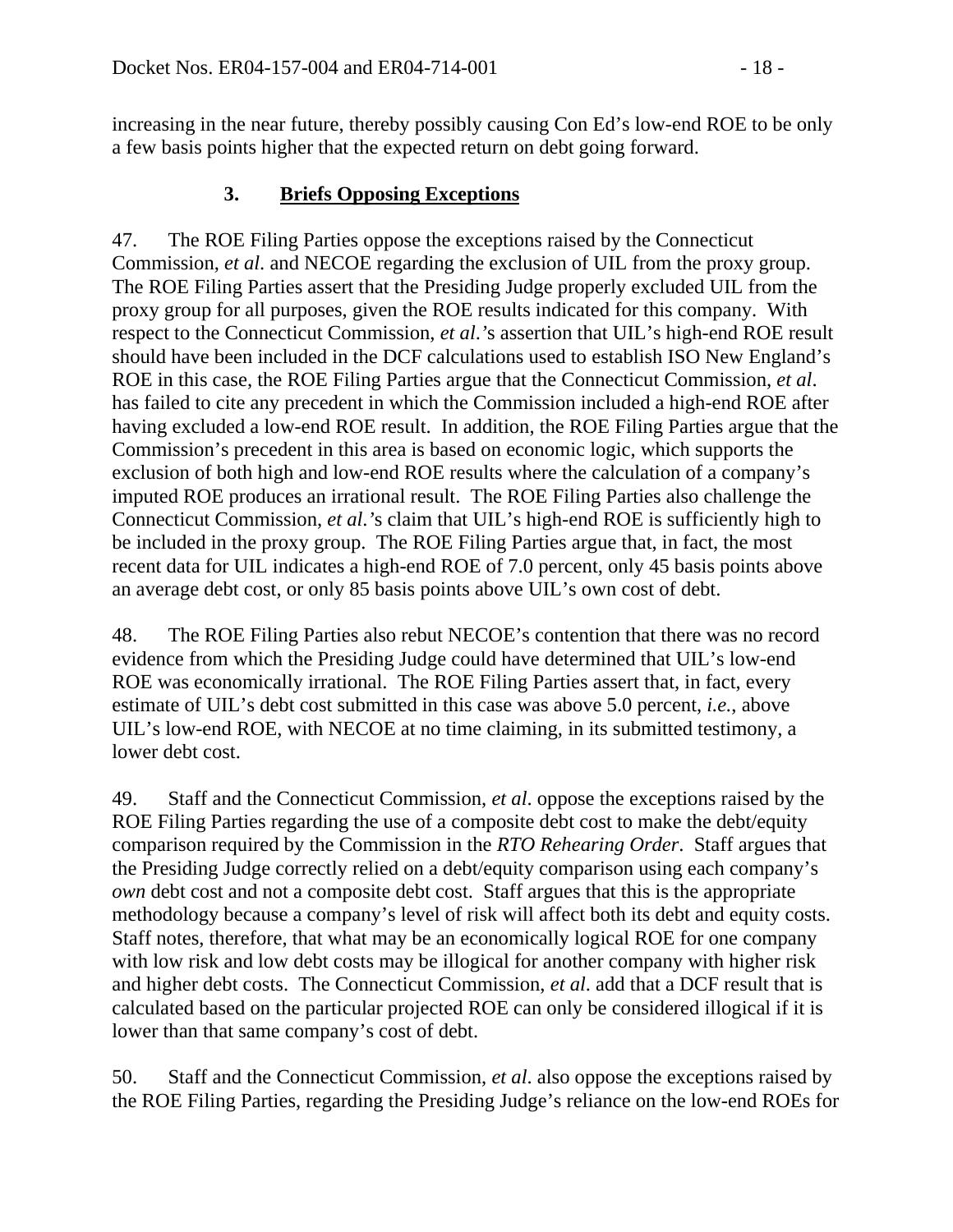increasing in the near future, thereby possibly causing Con Ed's low-end ROE to be only a few basis points higher that the expected return on debt going forward.

#### **3. Briefs Opposing Exceptions**

47. The ROE Filing Parties oppose the exceptions raised by the Connecticut Commission, *et al*. and NECOE regarding the exclusion of UIL from the proxy group. The ROE Filing Parties assert that the Presiding Judge properly excluded UIL from the proxy group for all purposes, given the ROE results indicated for this company. With respect to the Connecticut Commission, *et al*.*'*s assertion that UIL's high-end ROE result should have been included in the DCF calculations used to establish ISO New England's ROE in this case, the ROE Filing Parties argue that the Connecticut Commission, *et al*. has failed to cite any precedent in which the Commission included a high-end ROE after having excluded a low-end ROE result. In addition, the ROE Filing Parties argue that the Commission's precedent in this area is based on economic logic, which supports the exclusion of both high and low-end ROE results where the calculation of a company's imputed ROE produces an irrational result. The ROE Filing Parties also challenge the Connecticut Commission, *et al*.*'*s claim that UIL's high-end ROE is sufficiently high to be included in the proxy group. The ROE Filing Parties argue that, in fact, the most recent data for UIL indicates a high-end ROE of 7.0 percent, only 45 basis points above an average debt cost, or only 85 basis points above UIL's own cost of debt.

48. The ROE Filing Parties also rebut NECOE's contention that there was no record evidence from which the Presiding Judge could have determined that UIL's low-end ROE was economically irrational. The ROE Filing Parties assert that, in fact, every estimate of UIL's debt cost submitted in this case was above 5.0 percent, *i.e.*, above UIL's low-end ROE, with NECOE at no time claiming, in its submitted testimony, a lower debt cost.

49. Staff and the Connecticut Commission, *et al*. oppose the exceptions raised by the ROE Filing Parties regarding the use of a composite debt cost to make the debt/equity comparison required by the Commission in the *RTO Rehearing Order*. Staff argues that the Presiding Judge correctly relied on a debt/equity comparison using each company's *own* debt cost and not a composite debt cost. Staff argues that this is the appropriate methodology because a company's level of risk will affect both its debt and equity costs. Staff notes, therefore, that what may be an economically logical ROE for one company with low risk and low debt costs may be illogical for another company with higher risk and higher debt costs. The Connecticut Commission, *et al*. add that a DCF result that is calculated based on the particular projected ROE can only be considered illogical if it is lower than that same company's cost of debt.

50. Staff and the Connecticut Commission, *et al*. also oppose the exceptions raised by the ROE Filing Parties, regarding the Presiding Judge's reliance on the low-end ROEs for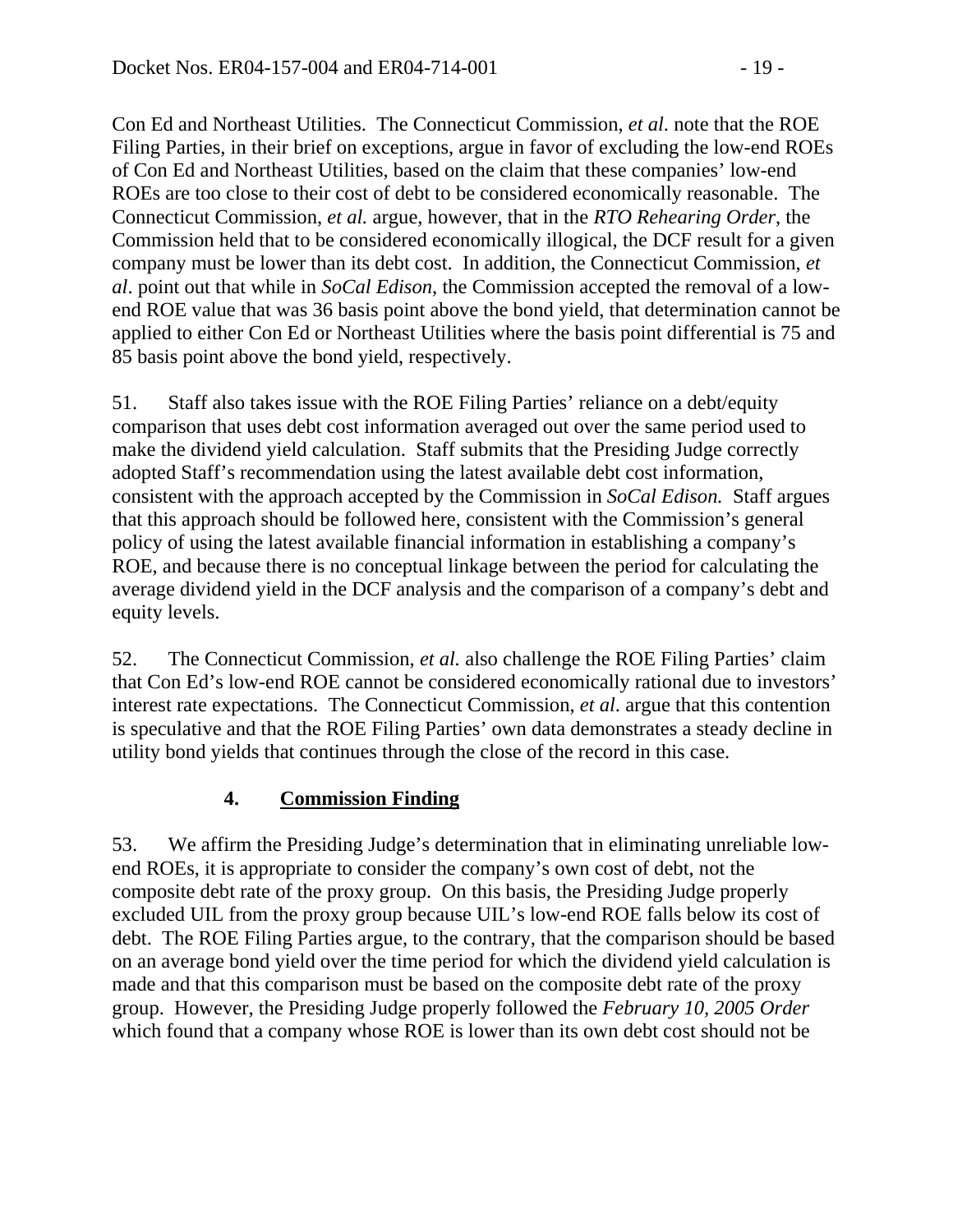Con Ed and Northeast Utilities. The Connecticut Commission, *et al*. note that the ROE Filing Parties, in their brief on exceptions, argue in favor of excluding the low-end ROEs of Con Ed and Northeast Utilities, based on the claim that these companies' low-end ROEs are too close to their cost of debt to be considered economically reasonable. The Connecticut Commission, *et al.* argue, however, that in the *RTO Rehearing Order*, the Commission held that to be considered economically illogical, the DCF result for a given company must be lower than its debt cost. In addition, the Connecticut Commission, *et al*. point out that while in *SoCal Edison*, the Commission accepted the removal of a lowend ROE value that was 36 basis point above the bond yield, that determination cannot be applied to either Con Ed or Northeast Utilities where the basis point differential is 75 and 85 basis point above the bond yield, respectively.

51. Staff also takes issue with the ROE Filing Parties' reliance on a debt/equity comparison that uses debt cost information averaged out over the same period used to make the dividend yield calculation. Staff submits that the Presiding Judge correctly adopted Staff's recommendation using the latest available debt cost information, consistent with the approach accepted by the Commission in *SoCal Edison.* Staff argues that this approach should be followed here, consistent with the Commission's general policy of using the latest available financial information in establishing a company's ROE, and because there is no conceptual linkage between the period for calculating the average dividend yield in the DCF analysis and the comparison of a company's debt and equity levels.

52. The Connecticut Commission, *et al.* also challenge the ROE Filing Parties' claim that Con Ed's low-end ROE cannot be considered economically rational due to investors' interest rate expectations. The Connecticut Commission, *et al*. argue that this contention is speculative and that the ROE Filing Parties' own data demonstrates a steady decline in utility bond yields that continues through the close of the record in this case.

## **4. Commission Finding**

53. We affirm the Presiding Judge's determination that in eliminating unreliable lowend ROEs, it is appropriate to consider the company's own cost of debt, not the composite debt rate of the proxy group. On this basis, the Presiding Judge properly excluded UIL from the proxy group because UIL's low-end ROE falls below its cost of debt. The ROE Filing Parties argue, to the contrary, that the comparison should be based on an average bond yield over the time period for which the dividend yield calculation is made and that this comparison must be based on the composite debt rate of the proxy group. However, the Presiding Judge properly followed the *February 10, 2005 Order* which found that a company whose ROE is lower than its own debt cost should not be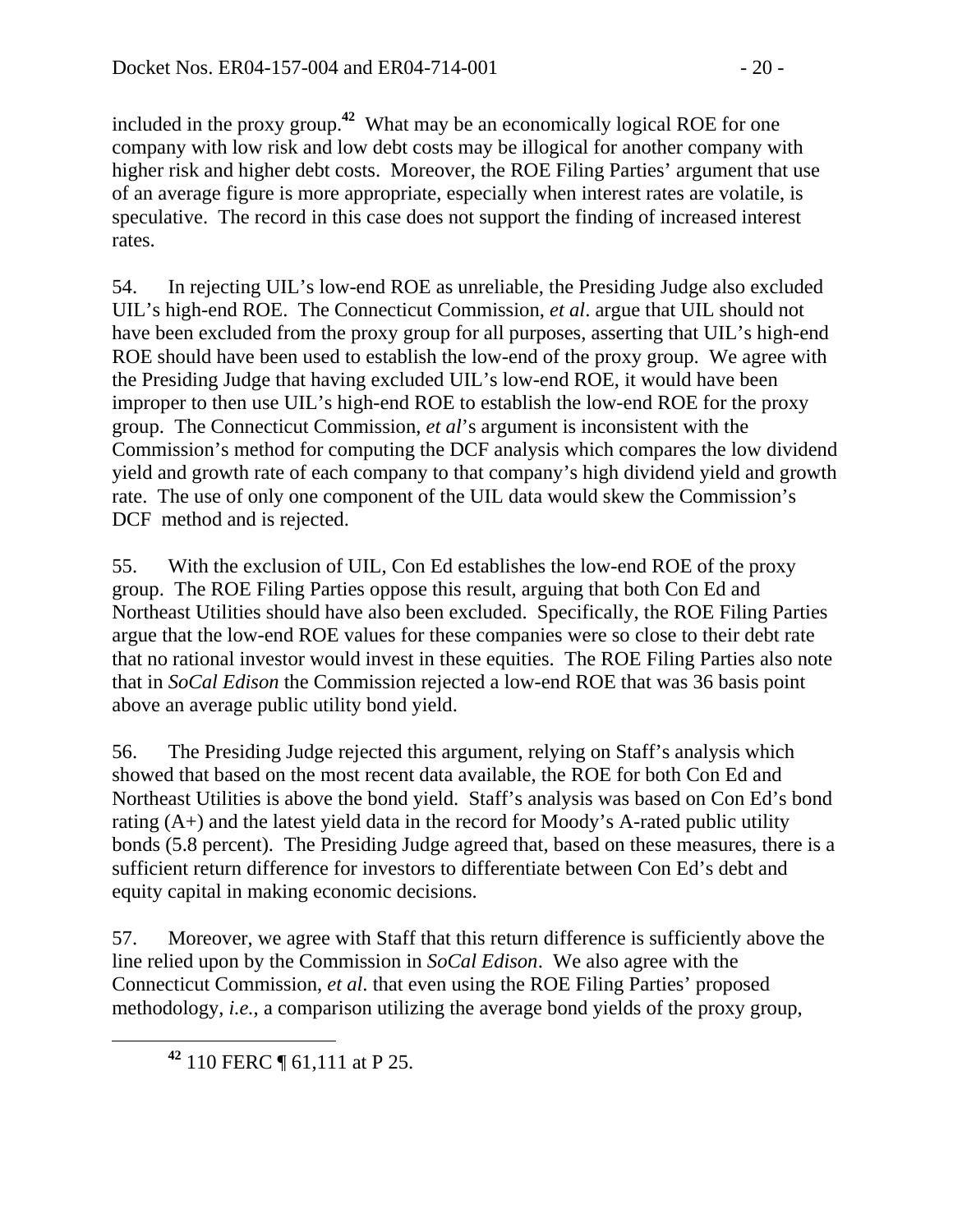included in the proxy group.**<sup>42</sup>** What may be an economically logical ROE for one company with low risk and low debt costs may be illogical for another company with higher risk and higher debt costs. Moreover, the ROE Filing Parties' argument that use of an average figure is more appropriate, especially when interest rates are volatile, is speculative. The record in this case does not support the finding of increased interest rates.

54. In rejecting UIL's low-end ROE as unreliable, the Presiding Judge also excluded UIL's high-end ROE. The Connecticut Commission, *et al*. argue that UIL should not have been excluded from the proxy group for all purposes, asserting that UIL's high-end ROE should have been used to establish the low-end of the proxy group. We agree with the Presiding Judge that having excluded UIL's low-end ROE, it would have been improper to then use UIL's high-end ROE to establish the low-end ROE for the proxy group. The Connecticut Commission, *et al*'s argument is inconsistent with the Commission's method for computing the DCF analysis which compares the low dividend yield and growth rate of each company to that company's high dividend yield and growth rate. The use of only one component of the UIL data would skew the Commission's DCF method and is rejected.

55. With the exclusion of UIL, Con Ed establishes the low-end ROE of the proxy group. The ROE Filing Parties oppose this result, arguing that both Con Ed and Northeast Utilities should have also been excluded. Specifically, the ROE Filing Parties argue that the low-end ROE values for these companies were so close to their debt rate that no rational investor would invest in these equities. The ROE Filing Parties also note that in *SoCal Edison* the Commission rejected a low-end ROE that was 36 basis point above an average public utility bond yield.

56. The Presiding Judge rejected this argument, relying on Staff's analysis which showed that based on the most recent data available, the ROE for both Con Ed and Northeast Utilities is above the bond yield. Staff's analysis was based on Con Ed's bond rating (A+) and the latest yield data in the record for Moody's A-rated public utility bonds (5.8 percent). The Presiding Judge agreed that, based on these measures, there is a sufficient return difference for investors to differentiate between Con Ed's debt and equity capital in making economic decisions.

57. Moreover, we agree with Staff that this return difference is sufficiently above the line relied upon by the Commission in *SoCal Edison*. We also agree with the Connecticut Commission, *et al*. that even using the ROE Filing Parties' proposed methodology, *i.e.*, a comparison utilizing the average bond yields of the proxy group,

**<sup>42</sup>** 110 FERC ¶ 61,111 at P 25.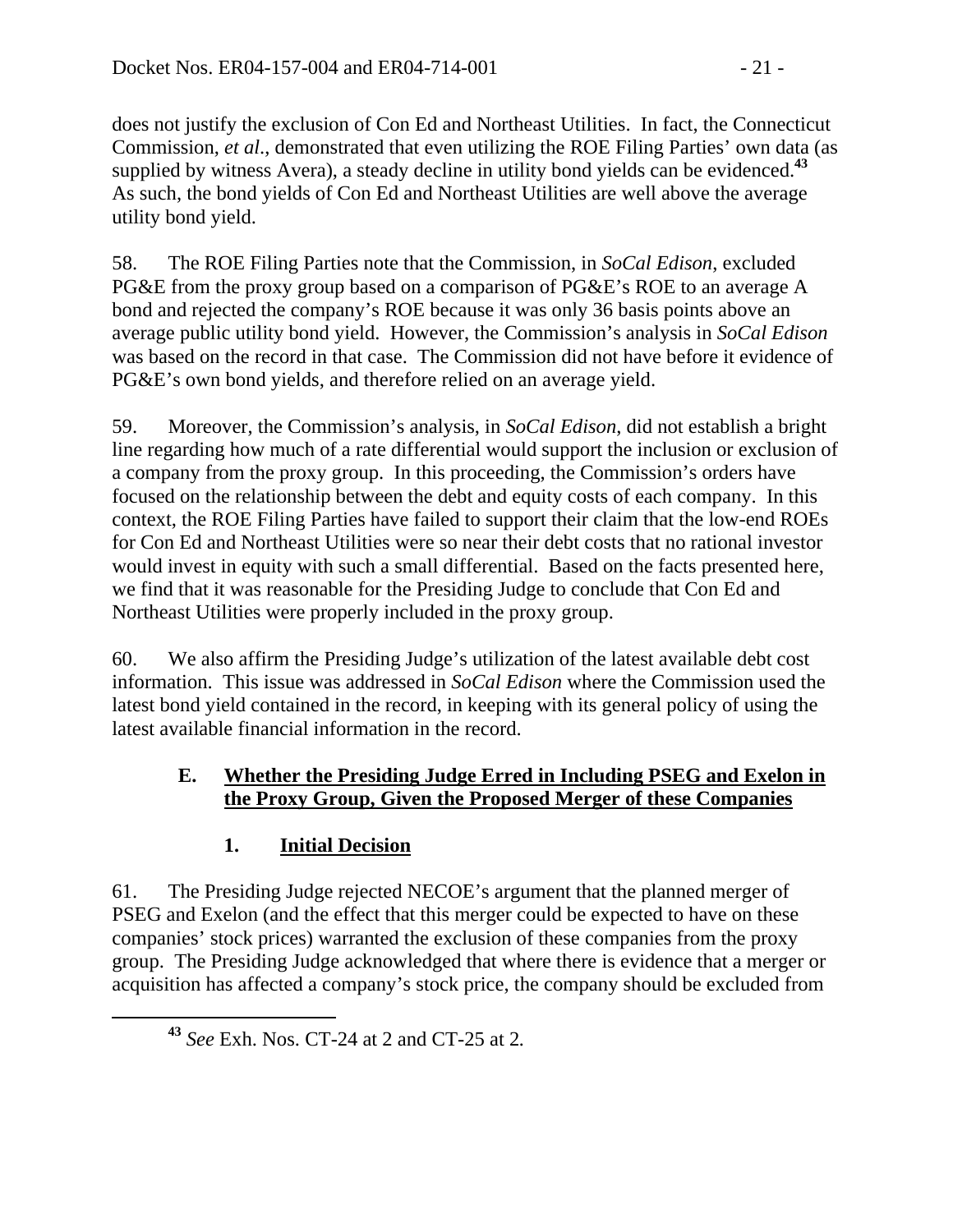does not justify the exclusion of Con Ed and Northeast Utilities. In fact, the Connecticut Commission, *et al*., demonstrated that even utilizing the ROE Filing Parties' own data (as supplied by witness Avera), a steady decline in utility bond yields can be evidenced.**<sup>43</sup>** As such, the bond yields of Con Ed and Northeast Utilities are well above the average utility bond yield.

58. The ROE Filing Parties note that the Commission, in *SoCal Edison*, excluded PG&E from the proxy group based on a comparison of PG&E's ROE to an average A bond and rejected the company's ROE because it was only 36 basis points above an average public utility bond yield. However, the Commission's analysis in *SoCal Edison* was based on the record in that case. The Commission did not have before it evidence of PG&E's own bond yields, and therefore relied on an average yield.

59. Moreover, the Commission's analysis, in *SoCal Edison*, did not establish a bright line regarding how much of a rate differential would support the inclusion or exclusion of a company from the proxy group. In this proceeding, the Commission's orders have focused on the relationship between the debt and equity costs of each company. In this context, the ROE Filing Parties have failed to support their claim that the low-end ROEs for Con Ed and Northeast Utilities were so near their debt costs that no rational investor would invest in equity with such a small differential. Based on the facts presented here, we find that it was reasonable for the Presiding Judge to conclude that Con Ed and Northeast Utilities were properly included in the proxy group.

60. We also affirm the Presiding Judge's utilization of the latest available debt cost information. This issue was addressed in *SoCal Edison* where the Commission used the latest bond yield contained in the record, in keeping with its general policy of using the latest available financial information in the record.

### **E. Whether the Presiding Judge Erred in Including PSEG and Exelon in the Proxy Group, Given the Proposed Merger of these Companies**

## **1. Initial Decision**

61. The Presiding Judge rejected NECOE's argument that the planned merger of PSEG and Exelon (and the effect that this merger could be expected to have on these companies' stock prices) warranted the exclusion of these companies from the proxy group. The Presiding Judge acknowledged that where there is evidence that a merger or acquisition has affected a company's stock price, the company should be excluded from

**<sup>43</sup>** *See* Exh. Nos. CT-24 at 2 and CT-25 at 2*.*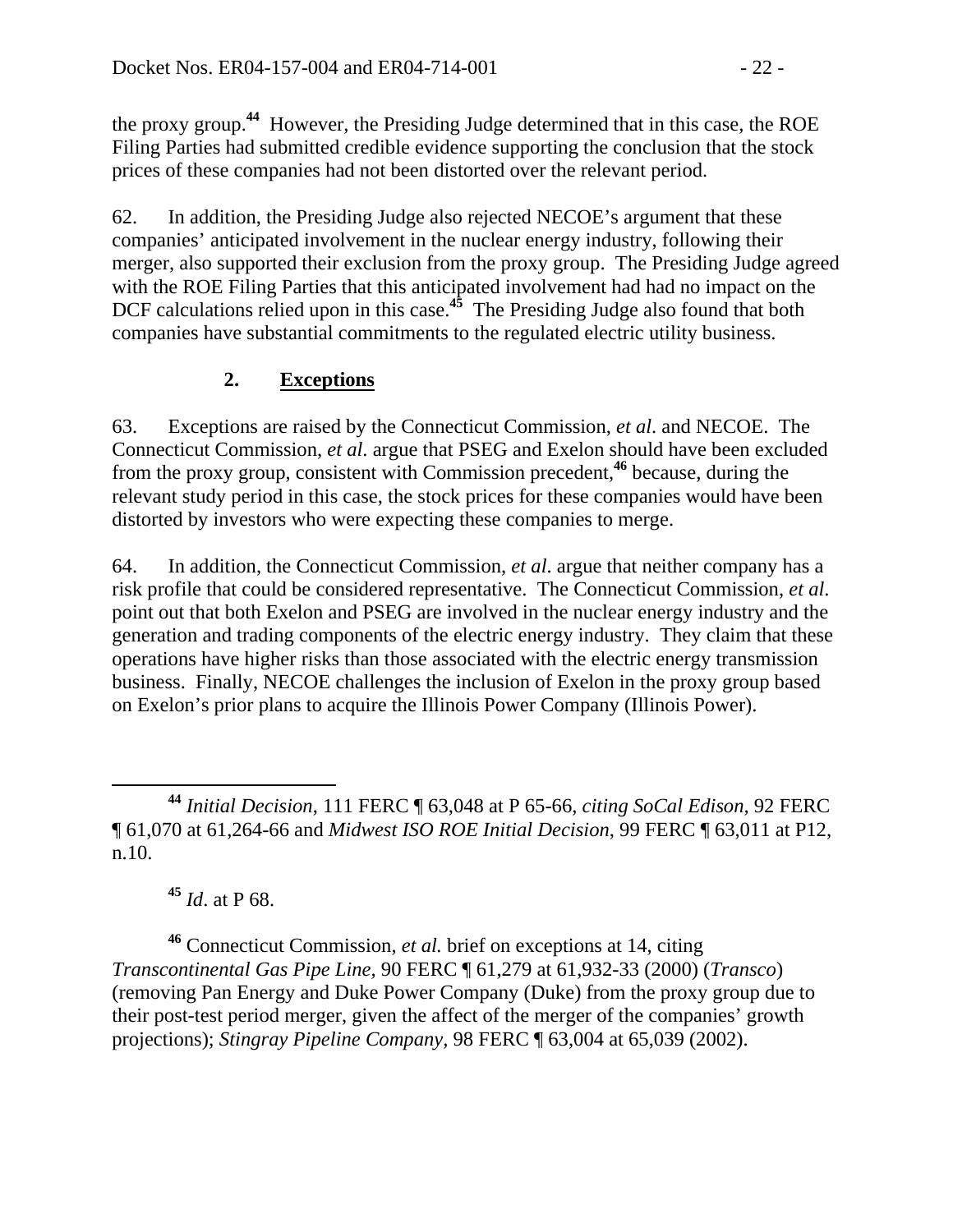the proxy group.**<sup>44</sup>** However, the Presiding Judge determined that in this case, the ROE Filing Parties had submitted credible evidence supporting the conclusion that the stock prices of these companies had not been distorted over the relevant period.

62. In addition, the Presiding Judge also rejected NECOE's argument that these companies' anticipated involvement in the nuclear energy industry, following their merger, also supported their exclusion from the proxy group. The Presiding Judge agreed with the ROE Filing Parties that this anticipated involvement had had no impact on the DCF calculations relied upon in this case.<sup>45</sup> The Presiding Judge also found that both companies have substantial commitments to the regulated electric utility business.

## **2. Exceptions**

63. Exceptions are raised by the Connecticut Commission, *et al*. and NECOE. The Connecticut Commission, *et al*. argue that PSEG and Exelon should have been excluded from the proxy group, consistent with Commission precedent,**<sup>46</sup>** because, during the relevant study period in this case, the stock prices for these companies would have been distorted by investors who were expecting these companies to merge.

64. In addition, the Connecticut Commission, *et al*. argue that neither company has a risk profile that could be considered representative. The Connecticut Commission, *et al*. point out that both Exelon and PSEG are involved in the nuclear energy industry and the generation and trading components of the electric energy industry. They claim that these operations have higher risks than those associated with the electric energy transmission business. Finally, NECOE challenges the inclusion of Exelon in the proxy group based on Exelon's prior plans to acquire the Illinois Power Company (Illinois Power).

 **<sup>44</sup>** *Initial Decision*, 111 FERC ¶ 63,048 at P 65-66, *citing SoCal Edison,* 92 FERC ¶ 61,070 at 61,264-66 and *Midwest ISO ROE Initial Decision*, 99 FERC ¶ 63,011 at P12, n.10.

**<sup>45</sup>** *Id*. at P 68.

**<sup>46</sup>** Connecticut Commission, *et al.* brief on exceptions at 14, citing *Transcontinental Gas Pipe Line,* 90 FERC ¶ 61,279 at 61,932-33 (2000) (*Transco*) (removing Pan Energy and Duke Power Company (Duke) from the proxy group due to their post-test period merger, given the affect of the merger of the companies' growth projections); *Stingray Pipeline Company*, 98 FERC ¶ 63,004 at 65,039 (2002).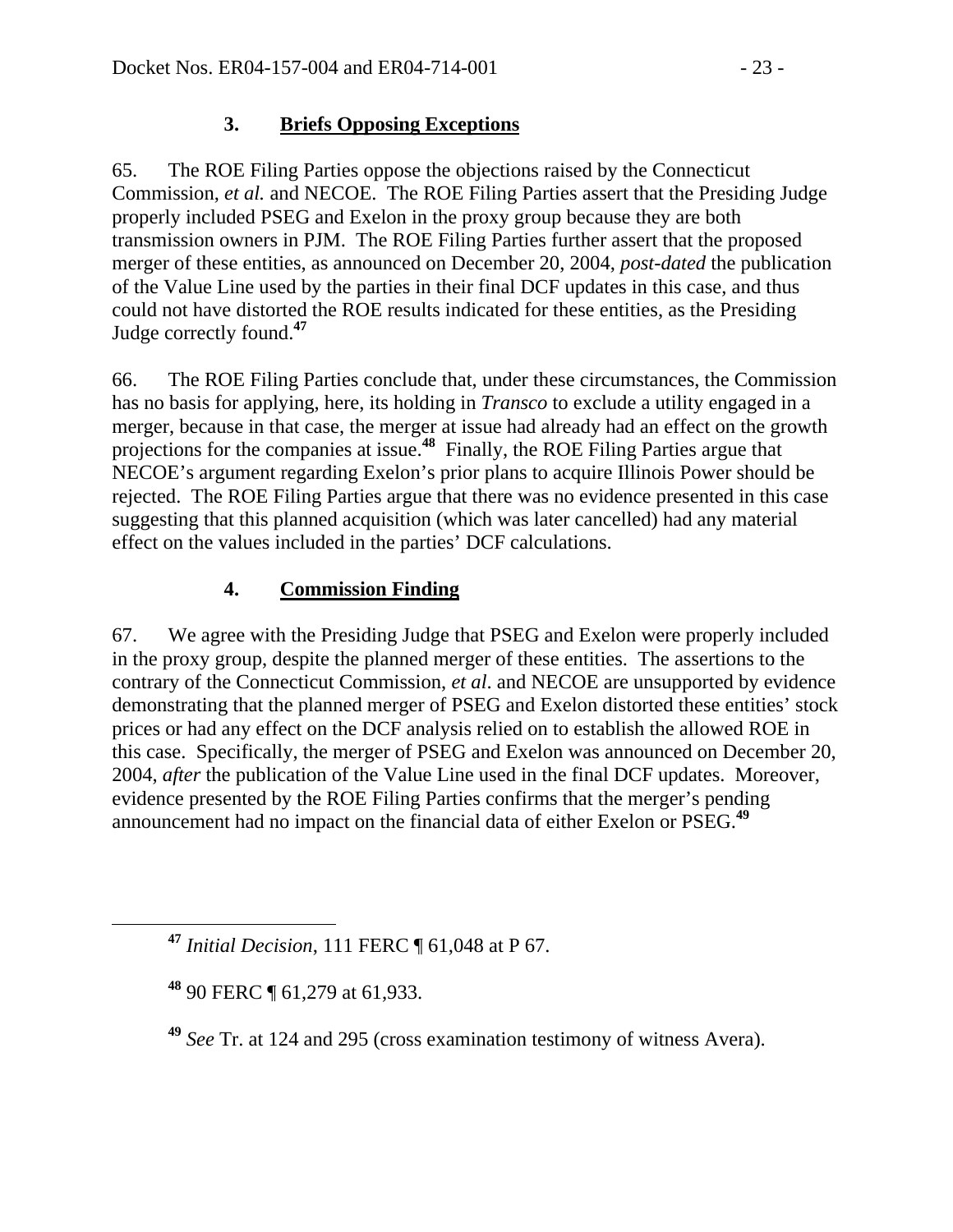## **3. Briefs Opposing Exceptions**

65. The ROE Filing Parties oppose the objections raised by the Connecticut Commission, *et al.* and NECOE. The ROE Filing Parties assert that the Presiding Judge properly included PSEG and Exelon in the proxy group because they are both transmission owners in PJM. The ROE Filing Parties further assert that the proposed merger of these entities, as announced on December 20, 2004, *post-dated* the publication of the Value Line used by the parties in their final DCF updates in this case, and thus could not have distorted the ROE results indicated for these entities, as the Presiding Judge correctly found.**<sup>47</sup>**

66. The ROE Filing Parties conclude that, under these circumstances, the Commission has no basis for applying, here, its holding in *Transco* to exclude a utility engaged in a merger, because in that case, the merger at issue had already had an effect on the growth projections for the companies at issue.<sup>48</sup> Finally, the ROE Filing Parties argue that NECOE's argument regarding Exelon's prior plans to acquire Illinois Power should be rejected. The ROE Filing Parties argue that there was no evidence presented in this case suggesting that this planned acquisition (which was later cancelled) had any material effect on the values included in the parties' DCF calculations.

### **4. Commission Finding**

67. We agree with the Presiding Judge that PSEG and Exelon were properly included in the proxy group, despite the planned merger of these entities. The assertions to the contrary of the Connecticut Commission, *et al*. and NECOE are unsupported by evidence demonstrating that the planned merger of PSEG and Exelon distorted these entities' stock prices or had any effect on the DCF analysis relied on to establish the allowed ROE in this case. Specifically, the merger of PSEG and Exelon was announced on December 20, 2004, *after* the publication of the Value Line used in the final DCF updates. Moreover, evidence presented by the ROE Filing Parties confirms that the merger's pending announcement had no impact on the financial data of either Exelon or PSEG.**<sup>49</sup>**

**<sup>47</sup>** *Initial Decision*, 111 FERC ¶ 61,048 at P 67.

**<sup>48</sup>** 90 FERC ¶ 61,279 at 61,933.

**<sup>49</sup>** *See* Tr. at 124 and 295 (cross examination testimony of witness Avera).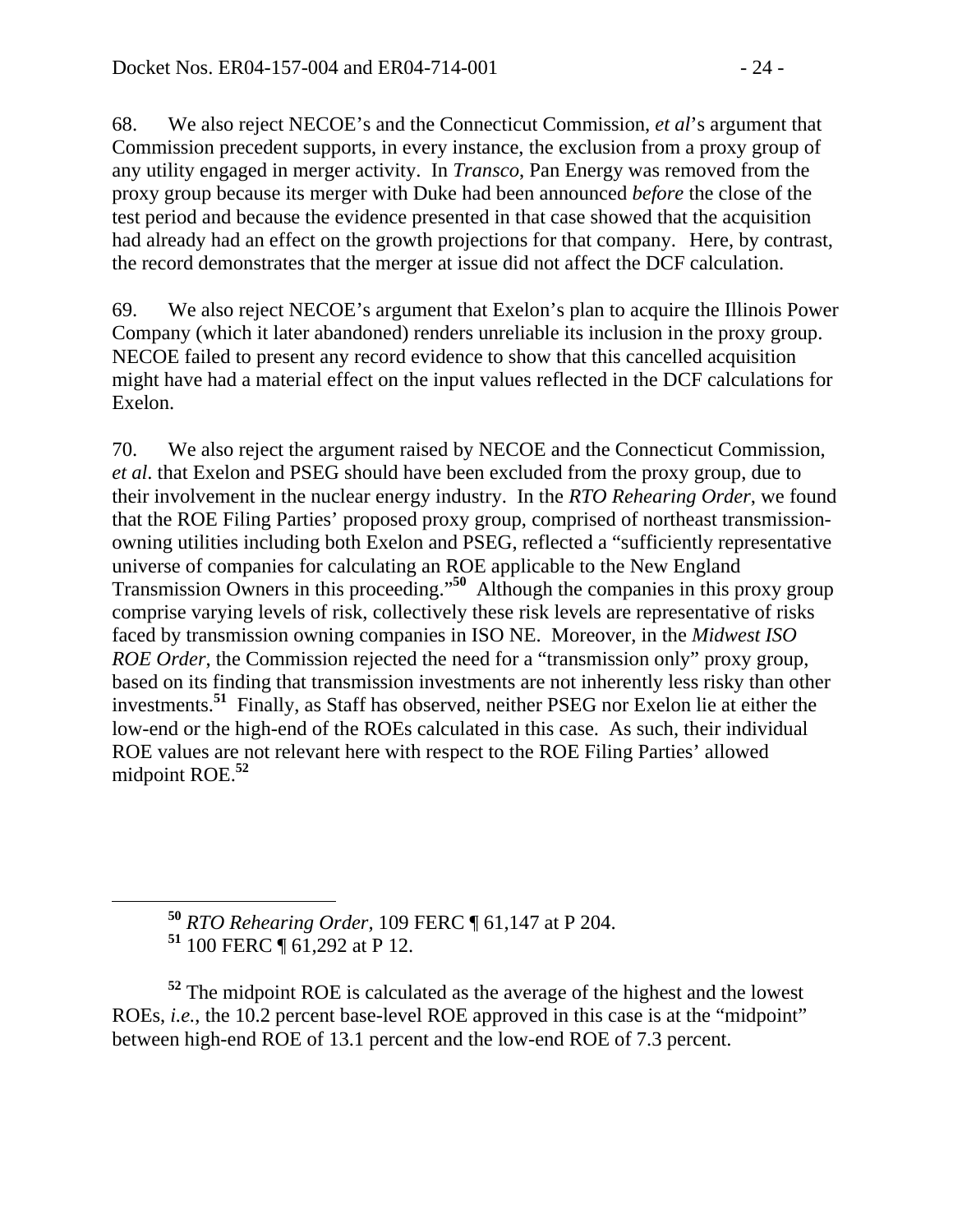68. We also reject NECOE's and the Connecticut Commission, *et al*'s argument that Commission precedent supports, in every instance, the exclusion from a proxy group of any utility engaged in merger activity. In *Transco*, Pan Energy was removed from the proxy group because its merger with Duke had been announced *before* the close of the test period and because the evidence presented in that case showed that the acquisition had already had an effect on the growth projections for that company. Here, by contrast, the record demonstrates that the merger at issue did not affect the DCF calculation.

69. We also reject NECOE's argument that Exelon's plan to acquire the Illinois Power Company (which it later abandoned) renders unreliable its inclusion in the proxy group. NECOE failed to present any record evidence to show that this cancelled acquisition might have had a material effect on the input values reflected in the DCF calculations for Exelon.

70. We also reject the argument raised by NECOE and the Connecticut Commission, *et al*. that Exelon and PSEG should have been excluded from the proxy group, due to their involvement in the nuclear energy industry. In the *RTO Rehearing Order*, we found that the ROE Filing Parties' proposed proxy group, comprised of northeast transmissionowning utilities including both Exelon and PSEG, reflected a "sufficiently representative universe of companies for calculating an ROE applicable to the New England Transmission Owners in this proceeding."**<sup>50</sup>** Although the companies in this proxy group comprise varying levels of risk, collectively these risk levels are representative of risks faced by transmission owning companies in ISO NE. Moreover, in the *Midwest ISO ROE Order*, the Commission rejected the need for a "transmission only" proxy group, based on its finding that transmission investments are not inherently less risky than other investments.**51** Finally, as Staff has observed, neither PSEG nor Exelon lie at either the low-end or the high-end of the ROEs calculated in this case. As such, their individual ROE values are not relevant here with respect to the ROE Filing Parties' allowed midpoint ROE.**<sup>52</sup>**

 **<sup>50</sup>** *RTO Rehearing Order,* 109 FERC ¶ 61,147 at P 204. **<sup>51</sup>** 100 FERC ¶ 61,292 at P 12.

**<sup>52</sup>** The midpoint ROE is calculated as the average of the highest and the lowest ROEs, *i.e.*, the 10.2 percent base-level ROE approved in this case is at the "midpoint" between high-end ROE of 13.1 percent and the low-end ROE of 7.3 percent.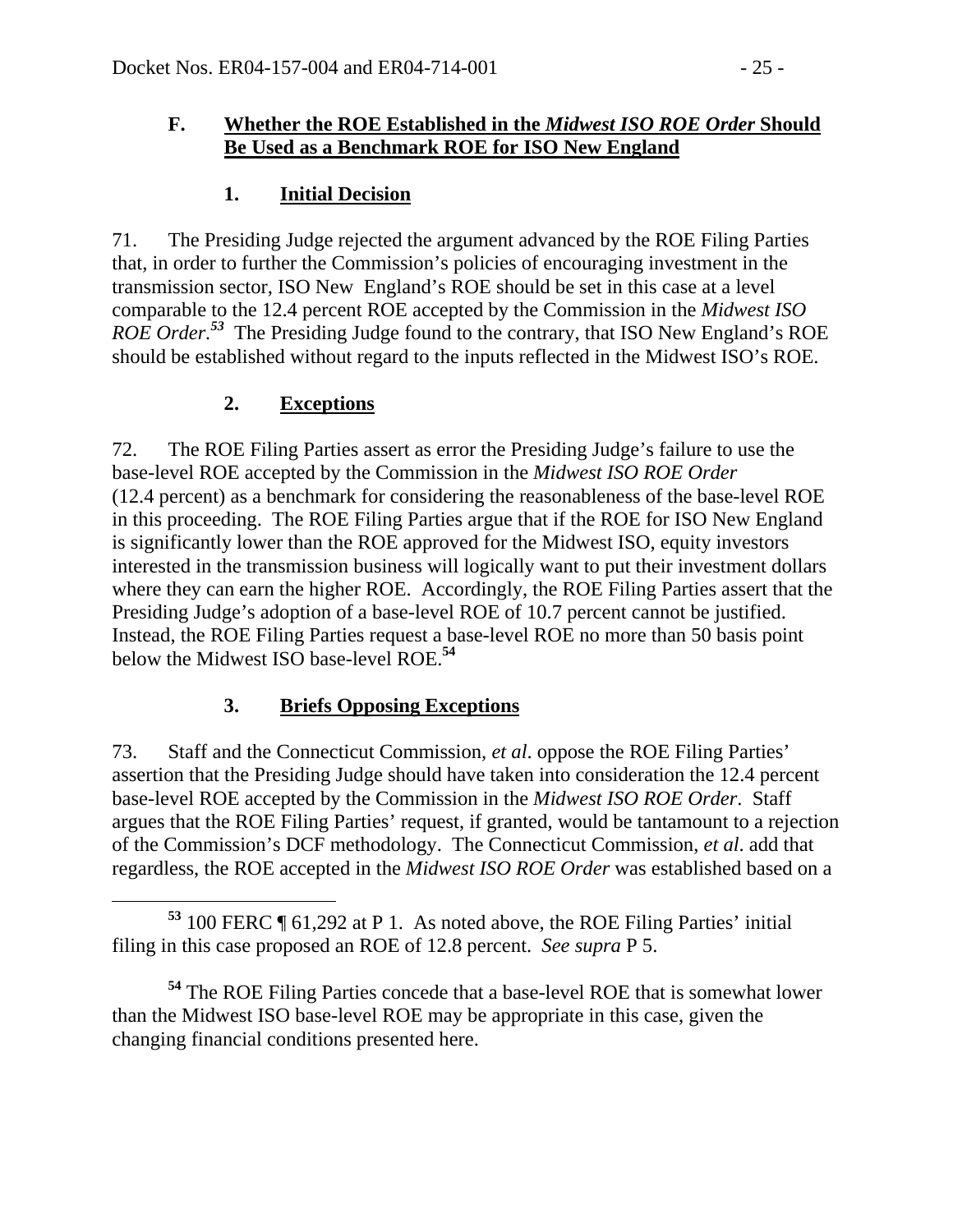#### **F. Whether the ROE Established in the** *Midwest ISO ROE Order* **Should Be Used as a Benchmark ROE for ISO New England**

### **1. Initial Decision**

71. The Presiding Judge rejected the argument advanced by the ROE Filing Parties that, in order to further the Commission's policies of encouraging investment in the transmission sector, ISO New England's ROE should be set in this case at a level comparable to the 12.4 percent ROE accepted by the Commission in the *Midwest ISO ROE Order.<sup>53</sup>* The Presiding Judge found to the contrary, that ISO New England's ROE should be established without regard to the inputs reflected in the Midwest ISO's ROE.

### **2. Exceptions**

72. The ROE Filing Parties assert as error the Presiding Judge's failure to use the base-level ROE accepted by the Commission in the *Midwest ISO ROE Order*  (12.4 percent) as a benchmark for considering the reasonableness of the base-level ROE in this proceeding. The ROE Filing Parties argue that if the ROE for ISO New England is significantly lower than the ROE approved for the Midwest ISO, equity investors interested in the transmission business will logically want to put their investment dollars where they can earn the higher ROE. Accordingly, the ROE Filing Parties assert that the Presiding Judge's adoption of a base-level ROE of 10.7 percent cannot be justified. Instead, the ROE Filing Parties request a base-level ROE no more than 50 basis point below the Midwest ISO base-level ROE.**<sup>54</sup>**

### **3. Briefs Opposing Exceptions**

73. Staff and the Connecticut Commission, *et al*. oppose the ROE Filing Parties' assertion that the Presiding Judge should have taken into consideration the 12.4 percent base-level ROE accepted by the Commission in the *Midwest ISO ROE Order*.Staff argues that the ROE Filing Parties' request, if granted, would be tantamount to a rejection of the Commission's DCF methodology. The Connecticut Commission, *et al*. add that regardless, the ROE accepted in the *Midwest ISO ROE Order* was established based on a

**<sup>54</sup>** The ROE Filing Parties concede that a base-level ROE that is somewhat lower than the Midwest ISO base-level ROE may be appropriate in this case, given the changing financial conditions presented here.

**<sup>53</sup>** 100 FERC ¶ 61,292 at P 1. As noted above, the ROE Filing Parties' initial filing in this case proposed an ROE of 12.8 percent. *See supra* P 5.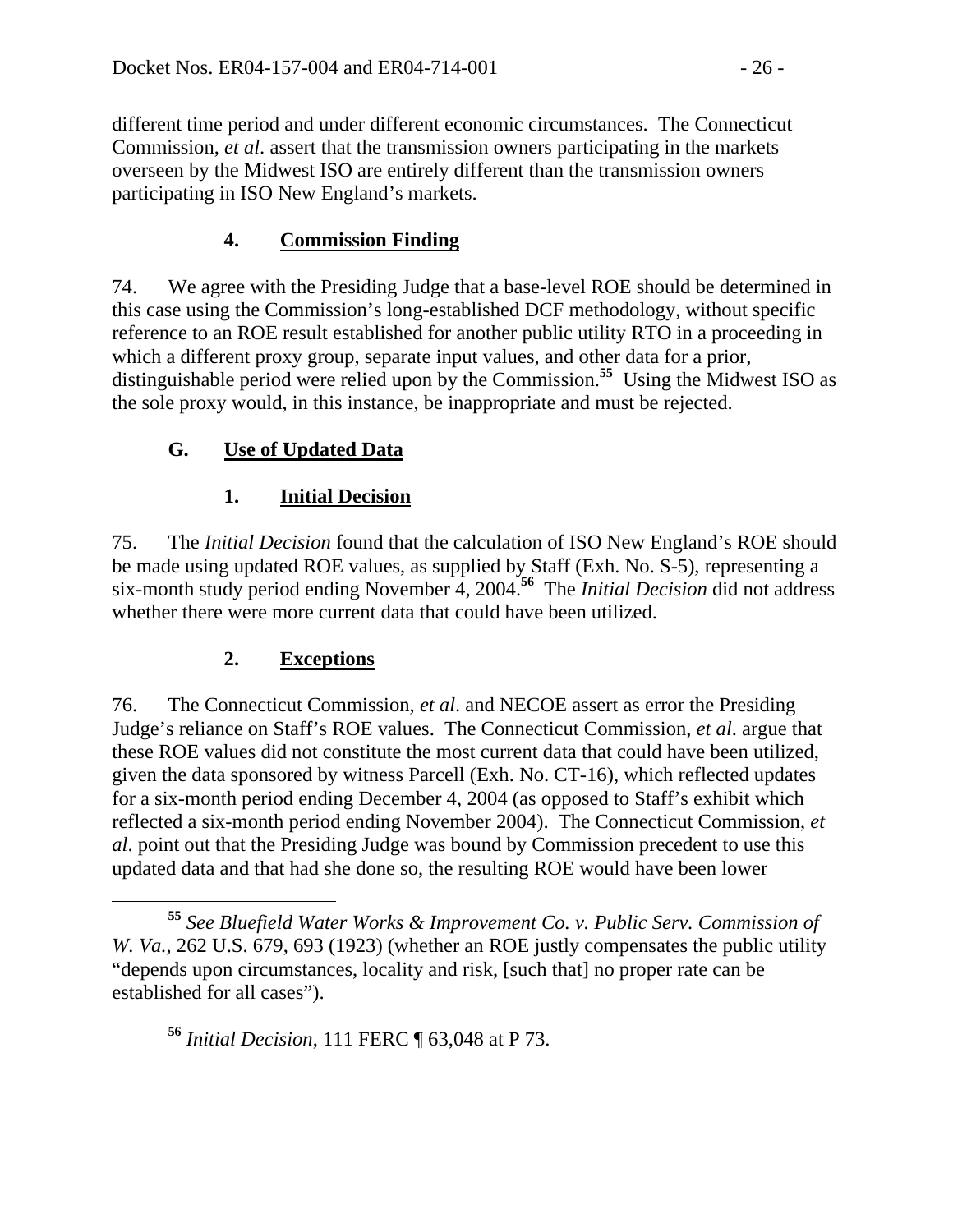different time period and under different economic circumstances. The Connecticut Commission, *et al*. assert that the transmission owners participating in the markets overseen by the Midwest ISO are entirely different than the transmission owners participating in ISO New England's markets.

## **4. Commission Finding**

74. We agree with the Presiding Judge that a base-level ROE should be determined in this case using the Commission's long-established DCF methodology, without specific reference to an ROE result established for another public utility RTO in a proceeding in which a different proxy group, separate input values, and other data for a prior, distinguishable period were relied upon by the Commission.**<sup>55</sup>** Using the Midwest ISO as the sole proxy would, in this instance, be inappropriate and must be rejected.

## **G. Use of Updated Data**

## **1. Initial Decision**

75. The *Initial Decision* found that the calculation of ISO New England's ROE should be made using updated ROE values, as supplied by Staff (Exh. No. S-5), representing a six-month study period ending November 4, 2004.**<sup>56</sup>** The *Initial Decision* did not address whether there were more current data that could have been utilized.

## **2. Exceptions**

76. The Connecticut Commission, *et al*. and NECOE assert as error the Presiding Judge's reliance on Staff's ROE values. The Connecticut Commission, *et al*. argue that these ROE values did not constitute the most current data that could have been utilized, given the data sponsored by witness Parcell (Exh. No. CT-16), which reflected updates for a six-month period ending December 4, 2004 (as opposed to Staff's exhibit which reflected a six-month period ending November 2004). The Connecticut Commission, *et al*. point out that the Presiding Judge was bound by Commission precedent to use this updated data and that had she done so, the resulting ROE would have been lower

**<sup>56</sup>** *Initial Decision*, 111 FERC ¶ 63,048 at P 73.

**<sup>55</sup>** *See Bluefield Water Works & Improvement Co. v. Public Serv. Commission of W. Va.*, 262 U.S. 679, 693 (1923) (whether an ROE justly compensates the public utility "depends upon circumstances, locality and risk, [such that] no proper rate can be established for all cases").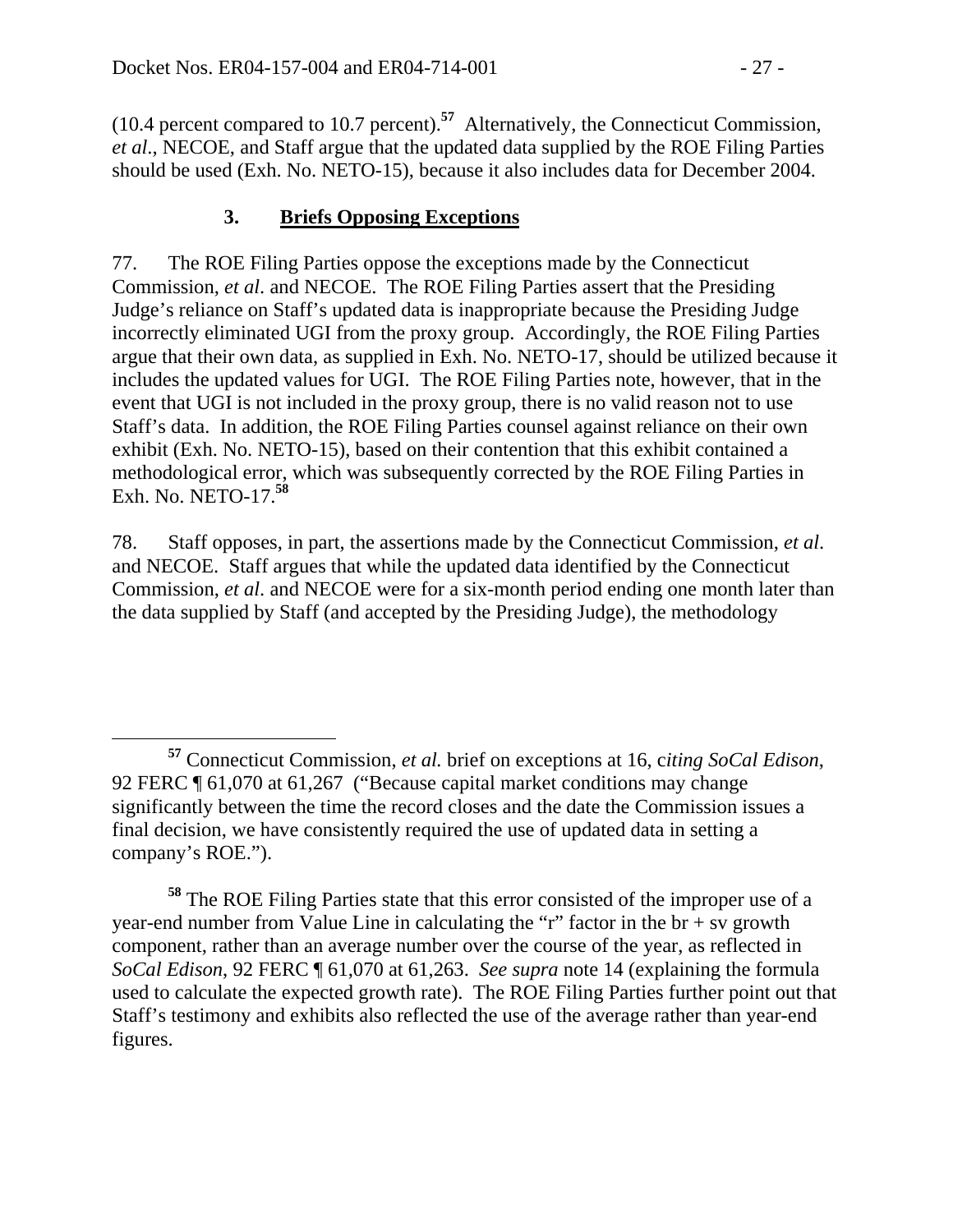(10.4 percent compared to 10.7 percent).**<sup>57</sup>** Alternatively, the Connecticut Commission, *et al*., NECOE, and Staff argue that the updated data supplied by the ROE Filing Parties should be used (Exh. No. NETO-15), because it also includes data for December 2004.

## **3. Briefs Opposing Exceptions**

77. The ROE Filing Parties oppose the exceptions made by the Connecticut Commission, *et al*. and NECOE. The ROE Filing Parties assert that the Presiding Judge's reliance on Staff's updated data is inappropriate because the Presiding Judge incorrectly eliminated UGI from the proxy group. Accordingly, the ROE Filing Parties argue that their own data, as supplied in Exh. No. NETO-17, should be utilized because it includes the updated values for UGI. The ROE Filing Parties note, however, that in the event that UGI is not included in the proxy group, there is no valid reason not to use Staff's data. In addition, the ROE Filing Parties counsel against reliance on their own exhibit (Exh. No. NETO-15), based on their contention that this exhibit contained a methodological error, which was subsequently corrected by the ROE Filing Parties in Exh. No. NETO-17.**<sup>58</sup>**

78. Staff opposes, in part, the assertions made by the Connecticut Commission, *et al*. and NECOE. Staff argues that while the updated data identified by the Connecticut Commission, *et al*. and NECOE were for a six-month period ending one month later than the data supplied by Staff (and accepted by the Presiding Judge), the methodology

**<sup>57</sup>** Connecticut Commission, *et al.* brief on exceptions at 16, c*iting SoCal Edison*, 92 FERC ¶ 61,070 at 61,267 ("Because capital market conditions may change significantly between the time the record closes and the date the Commission issues a final decision, we have consistently required the use of updated data in setting a company's ROE.").

**<sup>58</sup>** The ROE Filing Parties state that this error consisted of the improper use of a year-end number from Value Line in calculating the "r" factor in the br + sv growth component, rather than an average number over the course of the year, as reflected in *SoCal Edison*, 92 FERC ¶ 61,070 at 61,263. *See supra* note 14 (explaining the formula used to calculate the expected growth rate). The ROE Filing Parties further point out that Staff's testimony and exhibits also reflected the use of the average rather than year-end figures.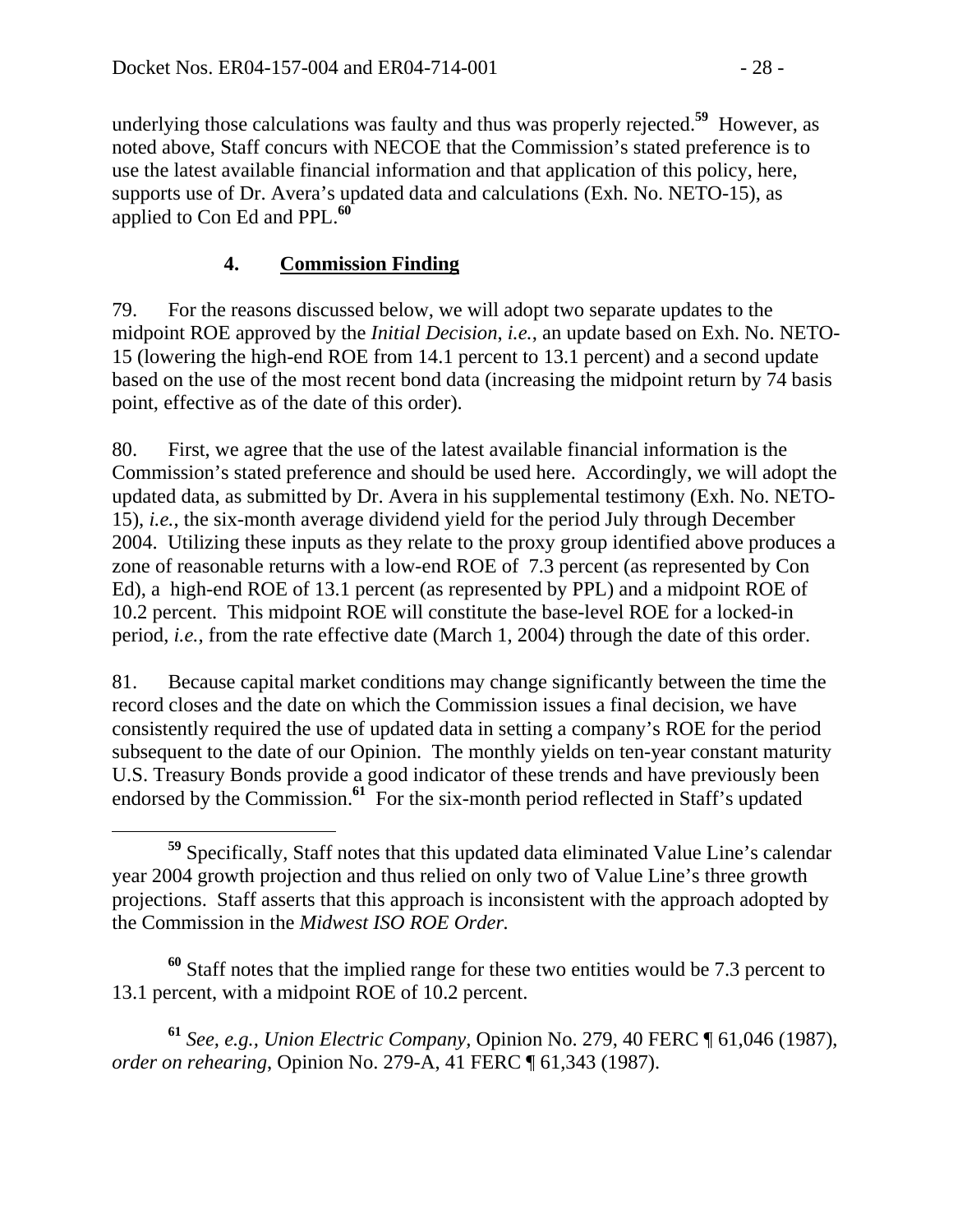underlying those calculations was faulty and thus was properly rejected.**<sup>59</sup>** However, as noted above, Staff concurs with NECOE that the Commission's stated preference is to use the latest available financial information and that application of this policy, here, supports use of Dr. Avera's updated data and calculations (Exh. No. NETO-15), as applied to Con Ed and PPL.**<sup>60</sup>**

## **4. Commission Finding**

79. For the reasons discussed below, we will adopt two separate updates to the midpoint ROE approved by the *Initial Decision*, *i.e.*, an update based on Exh. No. NETO-15 (lowering the high-end ROE from 14.1 percent to 13.1 percent) and a second update based on the use of the most recent bond data (increasing the midpoint return by 74 basis point, effective as of the date of this order).

80. First, we agree that the use of the latest available financial information is the Commission's stated preference and should be used here. Accordingly, we will adopt the updated data, as submitted by Dr. Avera in his supplemental testimony (Exh. No. NETO-15), *i.e.*, the six-month average dividend yield for the period July through December 2004. Utilizing these inputs as they relate to the proxy group identified above produces a zone of reasonable returns with a low-end ROE of 7.3 percent (as represented by Con Ed), a high-end ROE of 13.1 percent (as represented by PPL) and a midpoint ROE of 10.2 percent. This midpoint ROE will constitute the base-level ROE for a locked-in period, *i.e.*, from the rate effective date (March 1, 2004) through the date of this order.

81. Because capital market conditions may change significantly between the time the record closes and the date on which the Commission issues a final decision, we have consistently required the use of updated data in setting a company's ROE for the period subsequent to the date of our Opinion.The monthly yields on ten-year constant maturity U.S. Treasury Bonds provide a good indicator of these trends and have previously been endorsed by the Commission.<sup>61</sup> For the six-month period reflected in Staff's updated

**<sup>60</sup>** Staff notes that the implied range for these two entities would be 7.3 percent to 13.1 percent, with a midpoint ROE of 10.2 percent.

**<sup>61</sup>** *See, e.g., Union Electric Company,* Opinion No. 279, 40 FERC ¶ 61,046 (1987), *order on rehearing*, Opinion No. 279-A, 41 FERC ¶ 61,343 (1987).

**<sup>59</sup>** Specifically, Staff notes that this updated data eliminated Value Line's calendar year 2004 growth projection and thus relied on only two of Value Line's three growth projections. Staff asserts that this approach is inconsistent with the approach adopted by the Commission in the *Midwest ISO ROE Order.*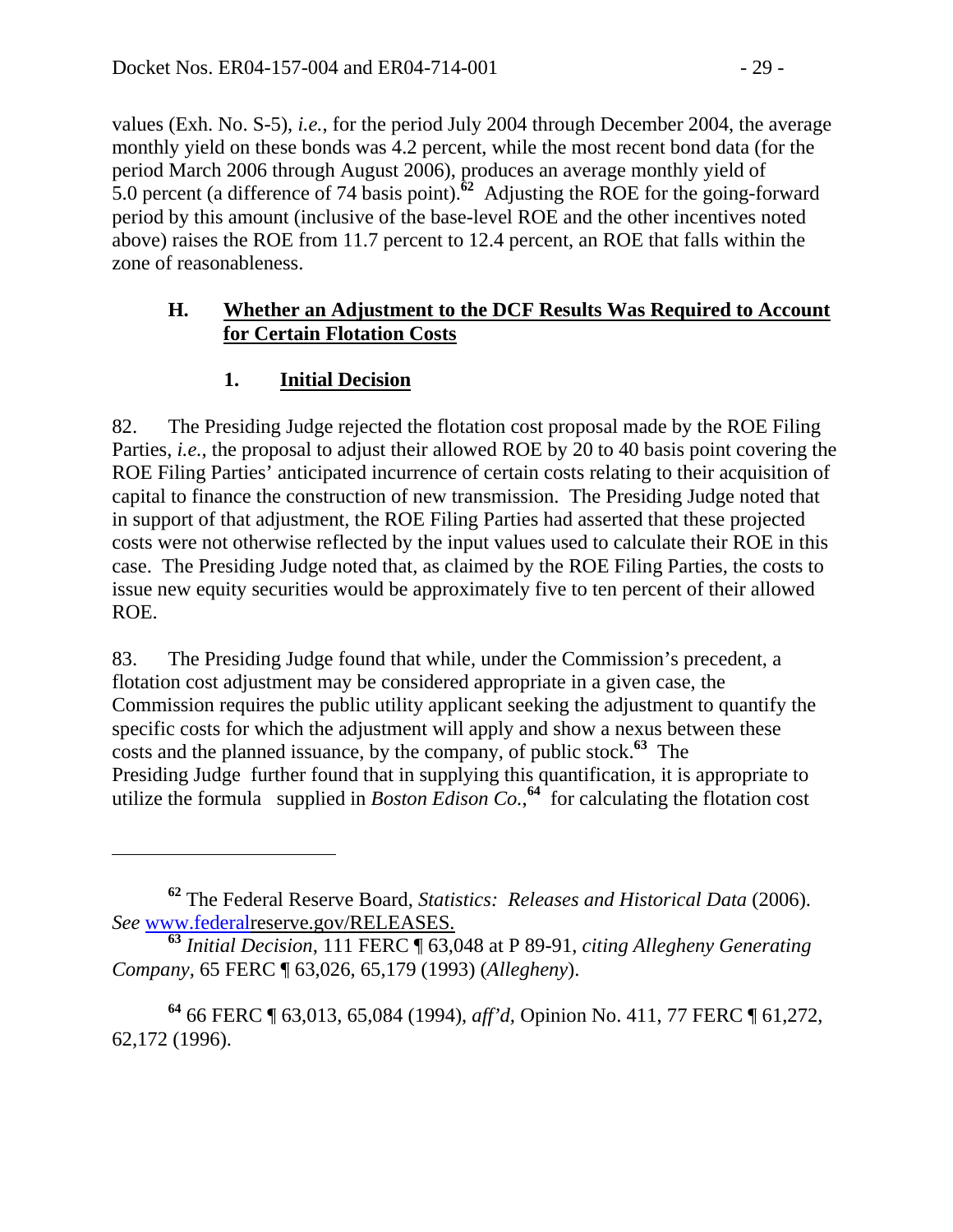values (Exh. No. S-5), *i.e.*, for the period July 2004 through December 2004, the average monthly yield on these bonds was 4.2 percent, while the most recent bond data (for the period March 2006 through August 2006), produces an average monthly yield of 5.0 percent (a difference of 74 basis point).**<sup>62</sup>** Adjusting the ROE for the going-forward period by this amount (inclusive of the base-level ROE and the other incentives noted above) raises the ROE from 11.7 percent to 12.4 percent, an ROE that falls within the zone of reasonableness.

#### **H. Whether an Adjustment to the DCF Results Was Required to Account for Certain Flotation Costs**

### **1. Initial Decision**

 $\overline{a}$ 

82. The Presiding Judge rejected the flotation cost proposal made by the ROE Filing Parties, *i.e.*, the proposal to adjust their allowed ROE by 20 to 40 basis point covering the ROE Filing Parties' anticipated incurrence of certain costs relating to their acquisition of capital to finance the construction of new transmission. The Presiding Judge noted that in support of that adjustment, the ROE Filing Parties had asserted that these projected costs were not otherwise reflected by the input values used to calculate their ROE in this case. The Presiding Judge noted that, as claimed by the ROE Filing Parties, the costs to issue new equity securities would be approximately five to ten percent of their allowed ROE.

83. The Presiding Judge found that while, under the Commission's precedent, a flotation cost adjustment may be considered appropriate in a given case, the Commission requires the public utility applicant seeking the adjustment to quantify the specific costs for which the adjustment will apply and show a nexus between these costs and the planned issuance, by the company, of public stock.**<sup>63</sup>** The Presiding Judge further found that in supplying this quantification, it is appropriate to utilize the formula supplied in *Boston Edison Co.*<sup>64</sup> for calculating the flotation cost

**<sup>62</sup>** The Federal Reserve Board, *Statistics: Releases and Historical Data* (2006). *See* www.federalreserve.gov/RELEASES.

**<sup>63</sup>** *Initial Decision*, 111 FERC ¶ 63,048 at P 89-91, *citing Allegheny Generating Company,* 65 FERC ¶ 63,026, 65,179 (1993) (*Allegheny*).

**<sup>64</sup>** 66 FERC ¶ 63,013, 65,084 (1994), *aff'd,* Opinion No. 411, 77 FERC ¶ 61,272, 62,172 (1996).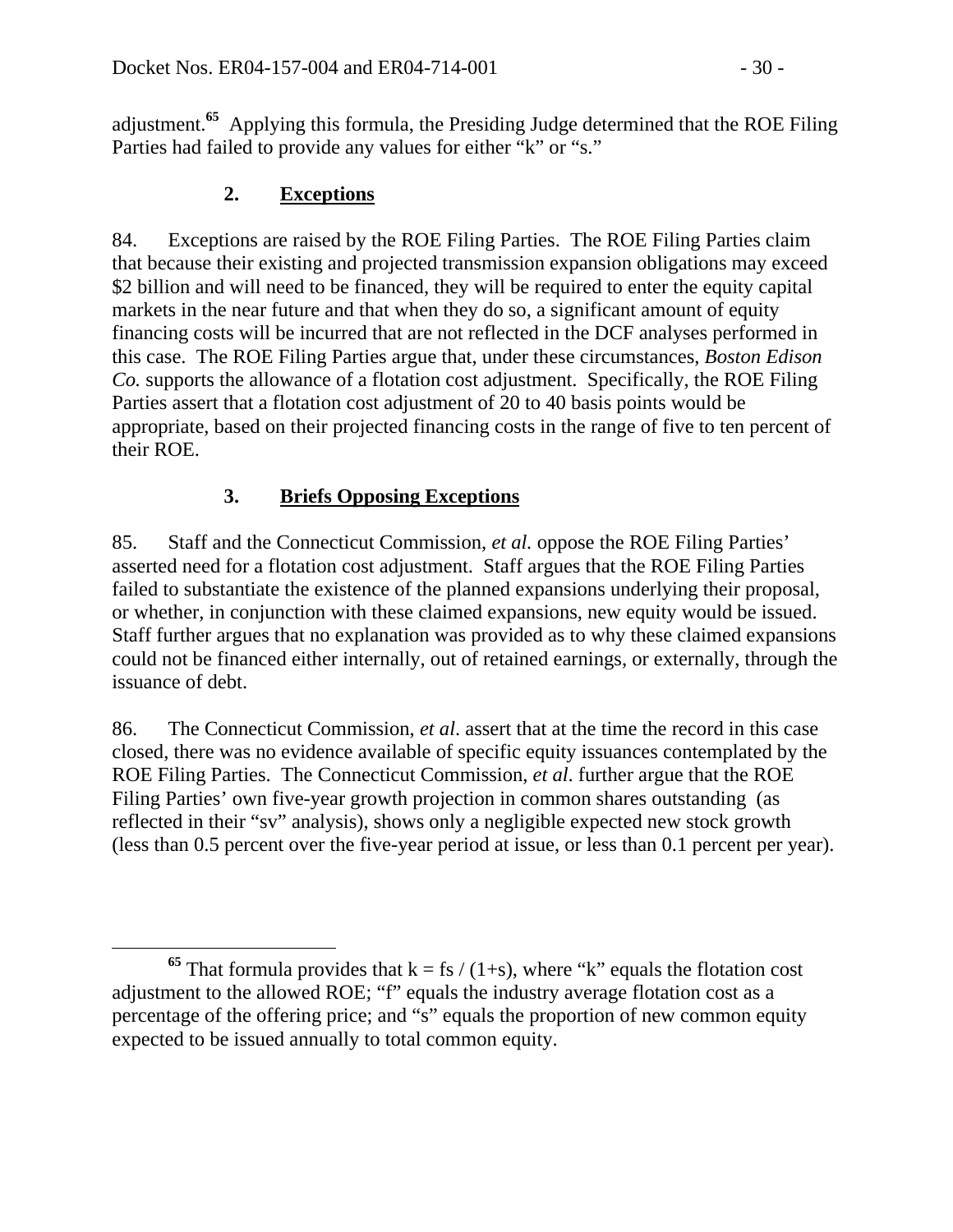adjustment.**<sup>65</sup>** Applying this formula, the Presiding Judge determined that the ROE Filing Parties had failed to provide any values for either "k" or "s."

### **2. Exceptions**

84. Exceptions are raised by the ROE Filing Parties. The ROE Filing Parties claim that because their existing and projected transmission expansion obligations may exceed \$2 billion and will need to be financed, they will be required to enter the equity capital markets in the near future and that when they do so, a significant amount of equity financing costs will be incurred that are not reflected in the DCF analyses performed in this case. The ROE Filing Parties argue that, under these circumstances, *Boston Edison Co.* supports the allowance of a flotation cost adjustment. Specifically, the ROE Filing Parties assert that a flotation cost adjustment of 20 to 40 basis points would be appropriate, based on their projected financing costs in the range of five to ten percent of their ROE.

## **3. Briefs Opposing Exceptions**

85. Staff and the Connecticut Commission, *et al.* oppose the ROE Filing Parties' asserted need for a flotation cost adjustment. Staff argues that the ROE Filing Parties failed to substantiate the existence of the planned expansions underlying their proposal, or whether, in conjunction with these claimed expansions, new equity would be issued. Staff further argues that no explanation was provided as to why these claimed expansions could not be financed either internally, out of retained earnings, or externally, through the issuance of debt.

86. The Connecticut Commission, *et al*. assert that at the time the record in this case closed, there was no evidence available of specific equity issuances contemplated by the ROE Filing Parties. The Connecticut Commission, *et al*. further argue that the ROE Filing Parties' own five-year growth projection in common shares outstanding (as reflected in their "sv" analysis), shows only a negligible expected new stock growth (less than 0.5 percent over the five-year period at issue, or less than 0.1 percent per year).

<sup>&</sup>lt;sup>65</sup> That formula provides that  $k = fs / (1+s)$ , where "k" equals the flotation cost adjustment to the allowed ROE; "f" equals the industry average flotation cost as a percentage of the offering price; and "s" equals the proportion of new common equity expected to be issued annually to total common equity.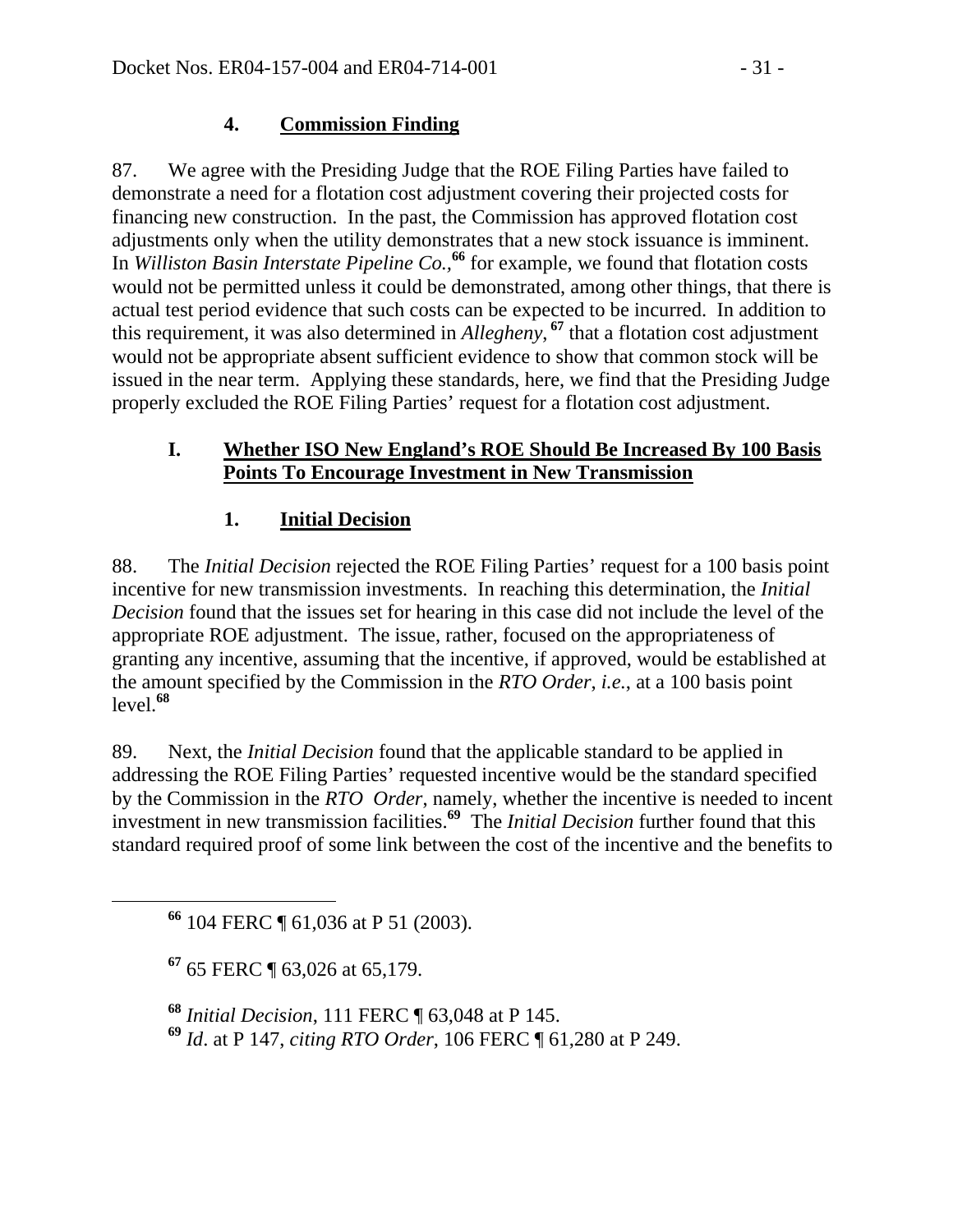### **4. Commission Finding**

87. We agree with the Presiding Judge that the ROE Filing Parties have failed to demonstrate a need for a flotation cost adjustment covering their projected costs for financing new construction. In the past, the Commission has approved flotation cost adjustments only when the utility demonstrates that a new stock issuance is imminent. In *Williston Basin Interstate Pipeline Co.,***<sup>66</sup>** for example, we found that flotation costs would not be permitted unless it could be demonstrated, among other things, that there is actual test period evidence that such costs can be expected to be incurred. In addition to this requirement, it was also determined in *Allegheny*, **<sup>67</sup>** that a flotation cost adjustment would not be appropriate absent sufficient evidence to show that common stock will be issued in the near term. Applying these standards, here, we find that the Presiding Judge properly excluded the ROE Filing Parties' request for a flotation cost adjustment.

#### **I. Whether ISO New England's ROE Should Be Increased By 100 Basis Points To Encourage Investment in New Transmission**

### **1. Initial Decision**

88. The *Initial Decision* rejected the ROE Filing Parties' request for a 100 basis point incentive for new transmission investments. In reaching this determination, the *Initial Decision* found that the issues set for hearing in this case did not include the level of the appropriate ROE adjustment. The issue, rather, focused on the appropriateness of granting any incentive, assuming that the incentive, if approved, would be established at the amount specified by the Commission in the *RTO Order*, *i.e.*, at a 100 basis point level.**<sup>68</sup>**

89. Next, the *Initial Decision* found that the applicable standard to be applied in addressing the ROE Filing Parties' requested incentive would be the standard specified by the Commission in the *RTO Order*, namely, whether the incentive is needed to incent investment in new transmission facilities.**<sup>69</sup>** The *Initial Decision* further found that this standard required proof of some link between the cost of the incentive and the benefits to

**<sup>66</sup>** 104 FERC ¶ 61,036 at P 51 (2003).

**<sup>67</sup>** 65 FERC ¶ 63,026 at 65,179.

**<sup>68</sup>** *Initial Decision*, 111 FERC ¶ 63,048 at P 145. **<sup>69</sup>** *Id*. at P 147, *citing RTO Order*, 106 FERC ¶ 61,280 at P 249.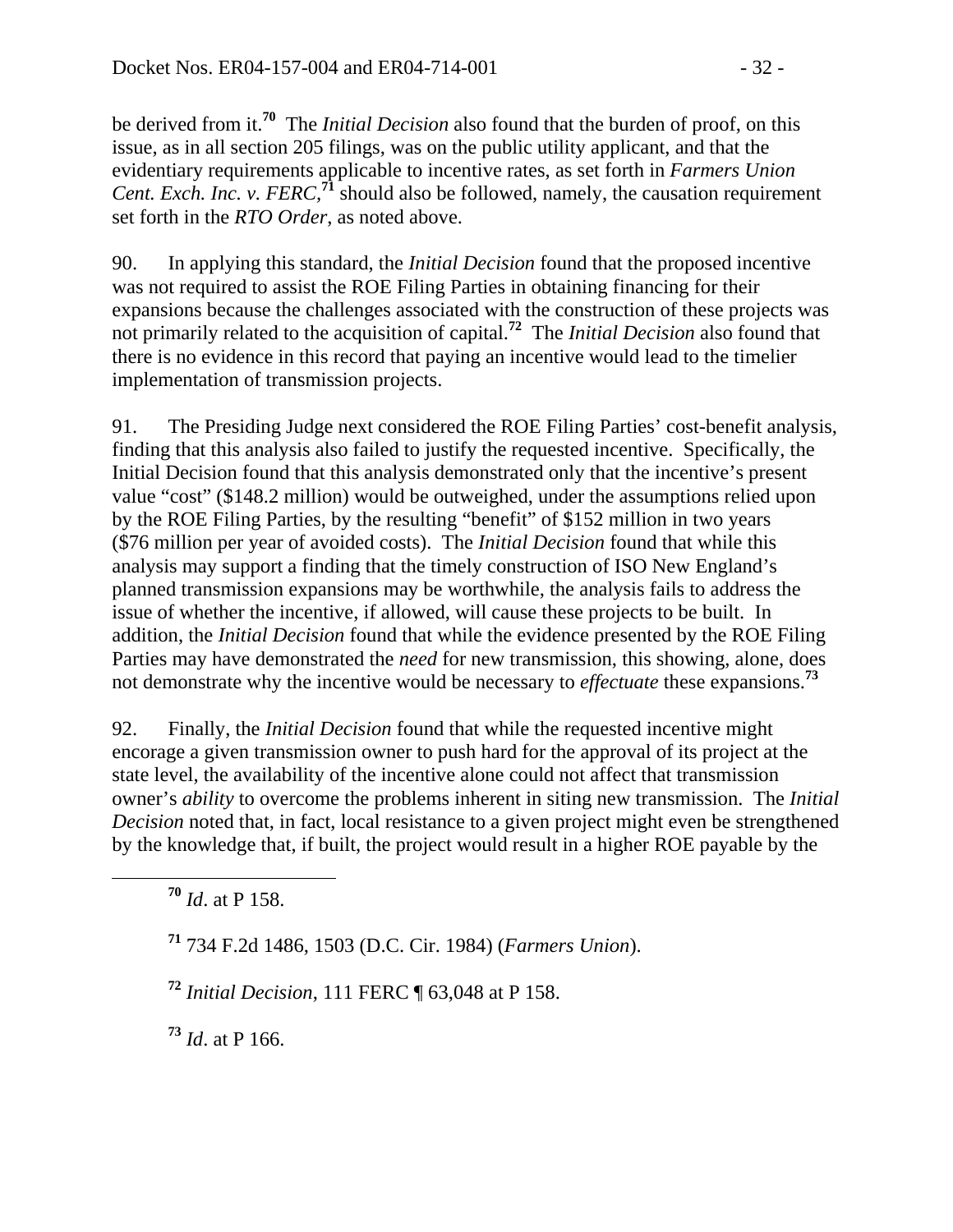be derived from it.**<sup>70</sup>** The *Initial Decision* also found that the burden of proof, on this issue, as in all section 205 filings, was on the public utility applicant, and that the evidentiary requirements applicable to incentive rates, as set forth in *Farmers Union Cent. Exch. Inc. v. FERC,***<sup>71</sup>** should also be followed, namely, the causation requirement set forth in the *RTO Order*, as noted above.

90. In applying this standard, the *Initial Decision* found that the proposed incentive was not required to assist the ROE Filing Parties in obtaining financing for their expansions because the challenges associated with the construction of these projects was not primarily related to the acquisition of capital.**<sup>72</sup>** The *Initial Decision* also found that there is no evidence in this record that paying an incentive would lead to the timelier implementation of transmission projects.

91. The Presiding Judge next considered the ROE Filing Parties' cost-benefit analysis, finding that this analysis also failed to justify the requested incentive. Specifically, the Initial Decision found that this analysis demonstrated only that the incentive's present value "cost" (\$148.2 million) would be outweighed, under the assumptions relied upon by the ROE Filing Parties, by the resulting "benefit" of \$152 million in two years (\$76 million per year of avoided costs). The *Initial Decision* found that while this analysis may support a finding that the timely construction of ISO New England's planned transmission expansions may be worthwhile, the analysis fails to address the issue of whether the incentive, if allowed, will cause these projects to be built. In addition, the *Initial Decision* found that while the evidence presented by the ROE Filing Parties may have demonstrated the *need* for new transmission, this showing, alone, does not demonstrate why the incentive would be necessary to *effectuate* these expansions.**<sup>73</sup>**

92. Finally, the *Initial Decision* found that while the requested incentive might encorage a given transmission owner to push hard for the approval of its project at the state level, the availability of the incentive alone could not affect that transmission owner's *ability* to overcome the problems inherent in siting new transmission. The *Initial Decision* noted that, in fact, local resistance to a given project might even be strengthened by the knowledge that, if built, the project would result in a higher ROE payable by the

**<sup>70</sup>** *Id*. at P 158.

**<sup>71</sup>** 734 F.2d 1486, 1503 (D.C. Cir. 1984) (*Farmers Union*).

**<sup>72</sup>** *Initial Decision*, 111 FERC ¶ 63,048 at P 158.

**<sup>73</sup>** *Id*. at P 166.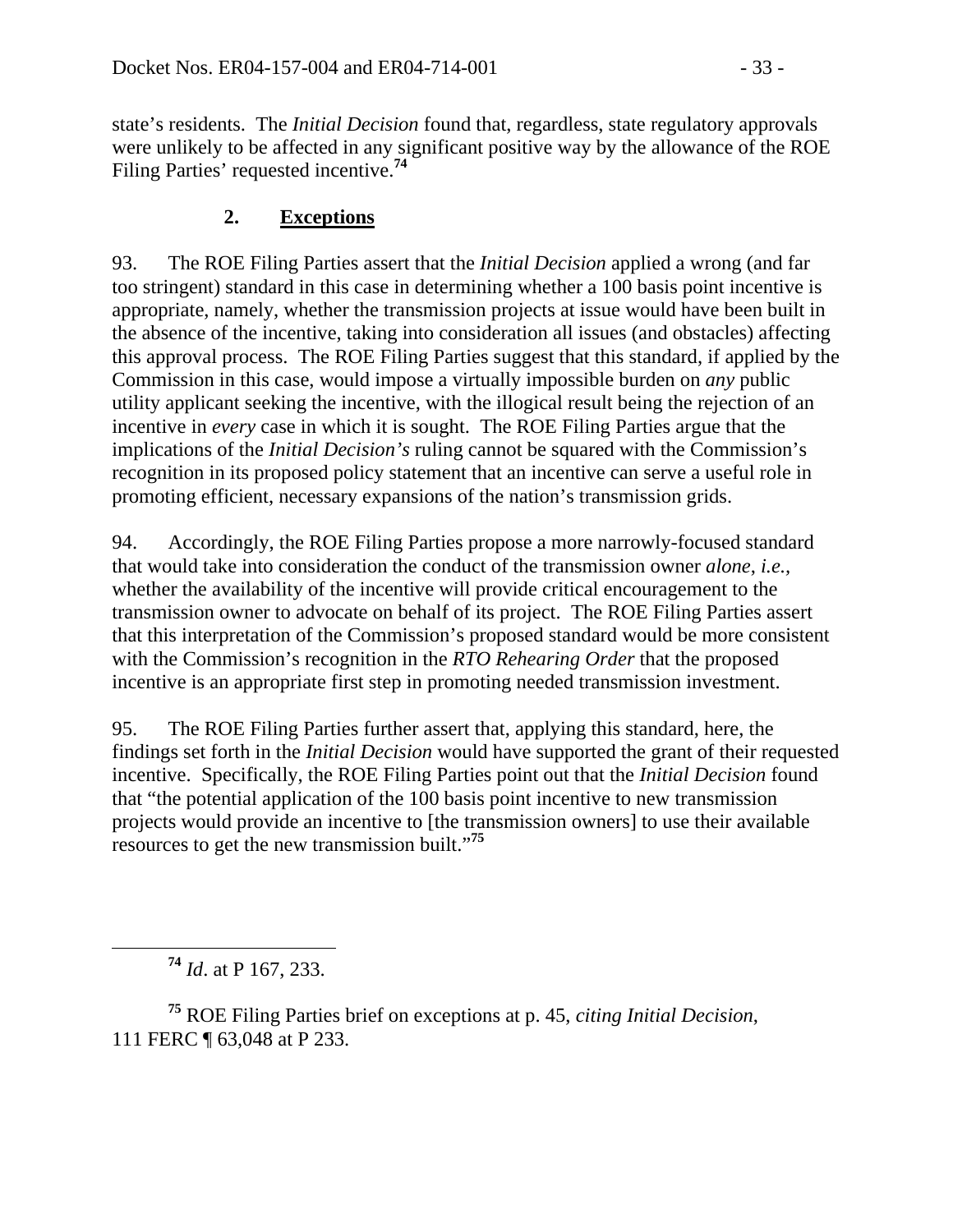state's residents. The *Initial Decision* found that, regardless, state regulatory approvals were unlikely to be affected in any significant positive way by the allowance of the ROE Filing Parties' requested incentive.**<sup>74</sup>**

## **2. Exceptions**

93. The ROE Filing Parties assert that the *Initial Decision* applied a wrong (and far too stringent) standard in this case in determining whether a 100 basis point incentive is appropriate, namely, whether the transmission projects at issue would have been built in the absence of the incentive, taking into consideration all issues (and obstacles) affecting this approval process. The ROE Filing Parties suggest that this standard, if applied by the Commission in this case, would impose a virtually impossible burden on *any* public utility applicant seeking the incentive, with the illogical result being the rejection of an incentive in *every* case in which it is sought. The ROE Filing Parties argue that the implications of the *Initial Decision's* ruling cannot be squared with the Commission's recognition in its proposed policy statement that an incentive can serve a useful role in promoting efficient, necessary expansions of the nation's transmission grids.

94. Accordingly, the ROE Filing Parties propose a more narrowly-focused standard that would take into consideration the conduct of the transmission owner *alone*, *i.e.,* whether the availability of the incentive will provide critical encouragement to the transmission owner to advocate on behalf of its project. The ROE Filing Parties assert that this interpretation of the Commission's proposed standard would be more consistent with the Commission's recognition in the *RTO Rehearing Order* that the proposed incentive is an appropriate first step in promoting needed transmission investment.

95. The ROE Filing Parties further assert that, applying this standard, here, the findings set forth in the *Initial Decision* would have supported the grant of their requested incentive. Specifically, the ROE Filing Parties point out that the *Initial Decision* found that "the potential application of the 100 basis point incentive to new transmission projects would provide an incentive to [the transmission owners] to use their available resources to get the new transmission built."**<sup>75</sup>**

**<sup>74</sup>** *Id*. at P 167, 233.

**<sup>75</sup>** ROE Filing Parties brief on exceptions at p. 45, *citing Initial Decision*, 111 FERC ¶ 63,048 at P 233.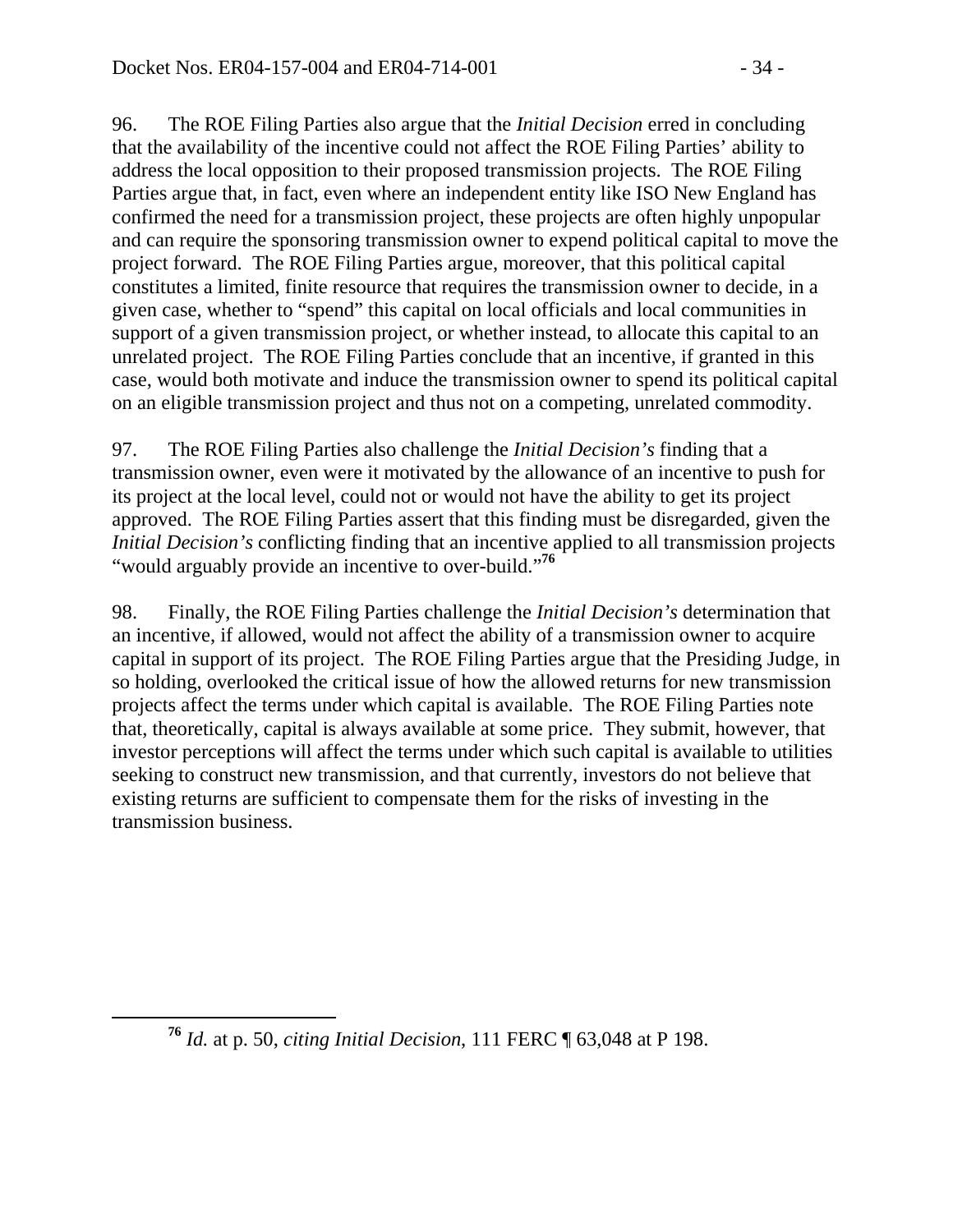96. The ROE Filing Parties also argue that the *Initial Decision* erred in concluding that the availability of the incentive could not affect the ROE Filing Parties' ability to address the local opposition to their proposed transmission projects. The ROE Filing Parties argue that, in fact, even where an independent entity like ISO New England has confirmed the need for a transmission project, these projects are often highly unpopular and can require the sponsoring transmission owner to expend political capital to move the project forward. The ROE Filing Parties argue, moreover, that this political capital constitutes a limited, finite resource that requires the transmission owner to decide, in a given case, whether to "spend" this capital on local officials and local communities in support of a given transmission project, or whether instead, to allocate this capital to an unrelated project. The ROE Filing Parties conclude that an incentive, if granted in this case, would both motivate and induce the transmission owner to spend its political capital on an eligible transmission project and thus not on a competing, unrelated commodity.

97. The ROE Filing Parties also challenge the *Initial Decision's* finding that a transmission owner, even were it motivated by the allowance of an incentive to push for its project at the local level, could not or would not have the ability to get its project approved. The ROE Filing Parties assert that this finding must be disregarded, given the *Initial Decision's* conflicting finding that an incentive applied to all transmission projects "would arguably provide an incentive to over-build."**<sup>76</sup>**

98. Finally, the ROE Filing Parties challenge the *Initial Decision's* determination that an incentive, if allowed, would not affect the ability of a transmission owner to acquire capital in support of its project. The ROE Filing Parties argue that the Presiding Judge, in so holding, overlooked the critical issue of how the allowed returns for new transmission projects affect the terms under which capital is available. The ROE Filing Parties note that, theoretically, capital is always available at some price. They submit, however, that investor perceptions will affect the terms under which such capital is available to utilities seeking to construct new transmission, and that currently, investors do not believe that existing returns are sufficient to compensate them for the risks of investing in the transmission business.

**<sup>76</sup>** *Id.* at p. 50, *citing Initial Decision*, 111 FERC ¶ 63,048 at P 198.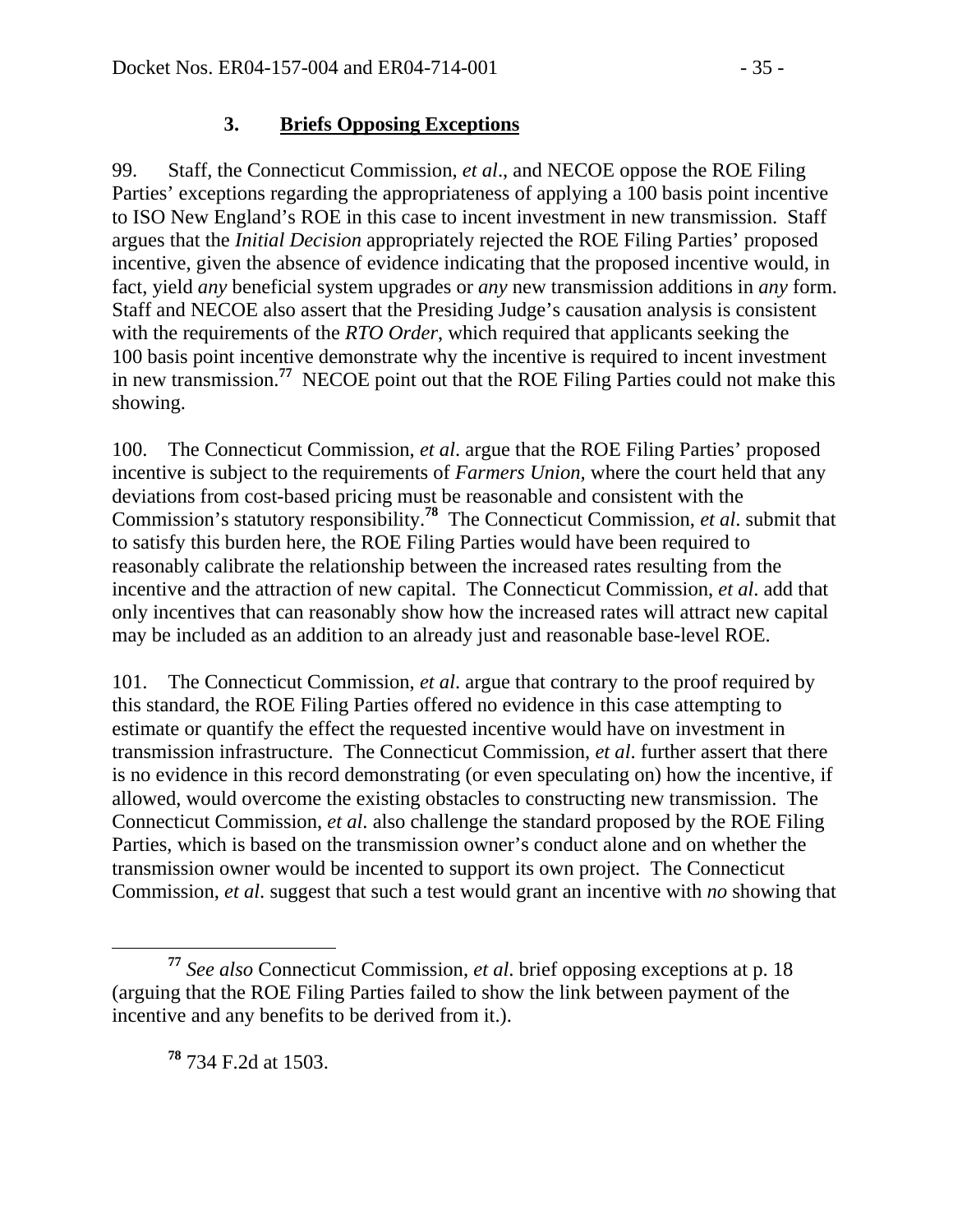#### **3. Briefs Opposing Exceptions**

99. Staff, the Connecticut Commission, *et al*., and NECOE oppose the ROE Filing Parties' exceptions regarding the appropriateness of applying a 100 basis point incentive to ISO New England's ROE in this case to incent investment in new transmission. Staff argues that the *Initial Decision* appropriately rejected the ROE Filing Parties' proposed incentive, given the absence of evidence indicating that the proposed incentive would, in fact, yield *any* beneficial system upgrades or *any* new transmission additions in *any* form. Staff and NECOE also assert that the Presiding Judge's causation analysis is consistent with the requirements of the *RTO Order*, which required that applicants seeking the 100 basis point incentive demonstrate why the incentive is required to incent investment in new transmission.**<sup>77</sup>** NECOE point out that the ROE Filing Parties could not make this showing.

100. The Connecticut Commission, *et al*. argue that the ROE Filing Parties' proposed incentive is subject to the requirements of *Farmers Union,* where the court held that any deviations from cost-based pricing must be reasonable and consistent with the Commission's statutory responsibility.**<sup>78</sup>** The Connecticut Commission, *et al*. submit that to satisfy this burden here, the ROE Filing Parties would have been required to reasonably calibrate the relationship between the increased rates resulting from the incentive and the attraction of new capital. The Connecticut Commission, *et al*. add that only incentives that can reasonably show how the increased rates will attract new capital may be included as an addition to an already just and reasonable base-level ROE.

101. The Connecticut Commission, *et al*. argue that contrary to the proof required by this standard, the ROE Filing Parties offered no evidence in this case attempting to estimate or quantify the effect the requested incentive would have on investment in transmission infrastructure. The Connecticut Commission, *et al*. further assert that there is no evidence in this record demonstrating (or even speculating on) how the incentive, if allowed, would overcome the existing obstacles to constructing new transmission. The Connecticut Commission, *et al*. also challenge the standard proposed by the ROE Filing Parties, which is based on the transmission owner's conduct alone and on whether the transmission owner would be incented to support its own project. The Connecticut Commission, *et al*. suggest that such a test would grant an incentive with *no* showing that

**<sup>78</sup>** 734 F.2d at 1503.

**<sup>77</sup>** *See also* Connecticut Commission, *et al*. brief opposing exceptions at p. 18 (arguing that the ROE Filing Parties failed to show the link between payment of the incentive and any benefits to be derived from it.).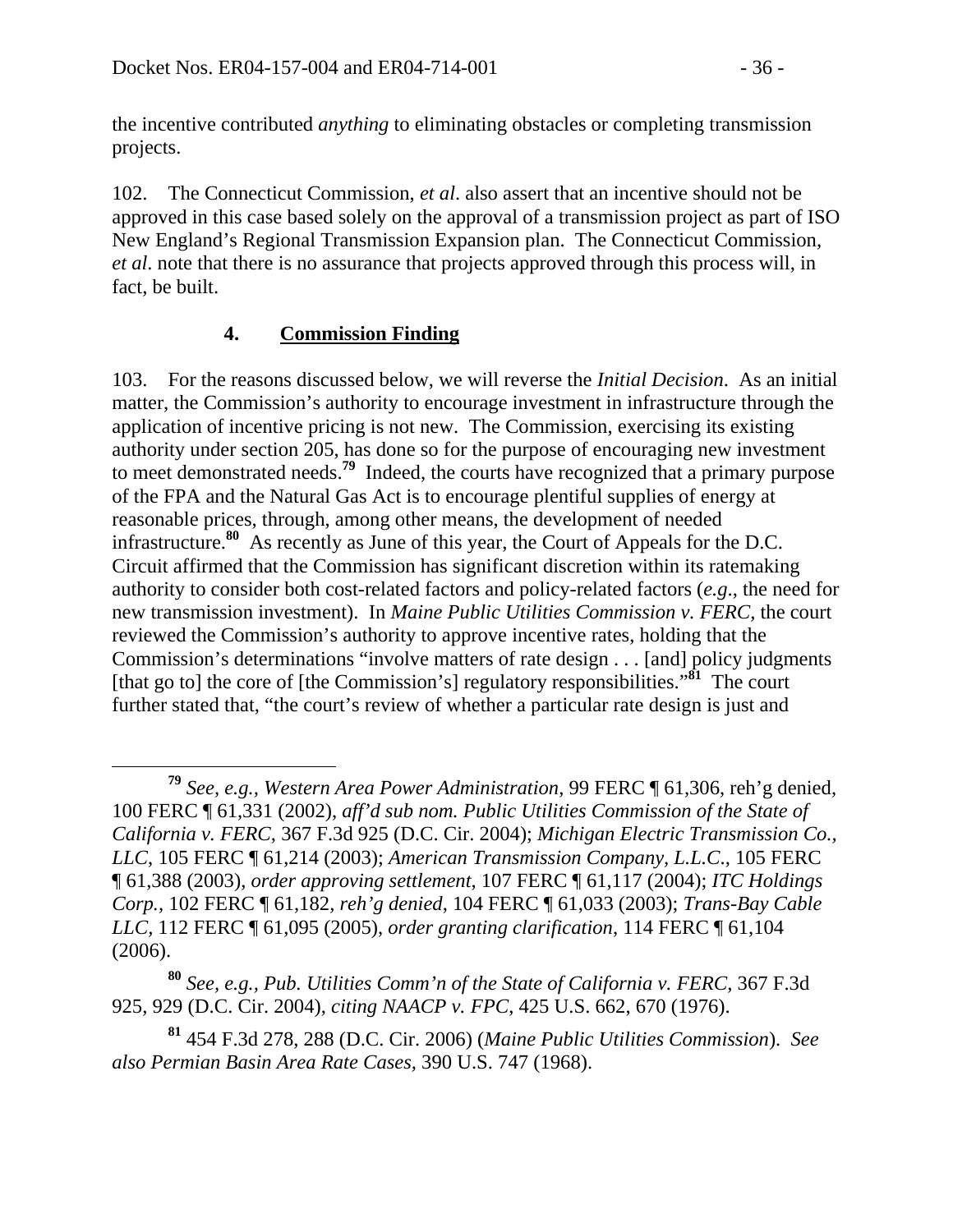the incentive contributed *anything* to eliminating obstacles or completing transmission projects.

102. The Connecticut Commission, *et al*. also assert that an incentive should not be approved in this case based solely on the approval of a transmission project as part of ISO New England's Regional Transmission Expansion plan. The Connecticut Commission, *et al*. note that there is no assurance that projects approved through this process will, in fact, be built.

#### **4. Commission Finding**

103. For the reasons discussed below, we will reverse the *Initial Decision*. As an initial matter, the Commission's authority to encourage investment in infrastructure through the application of incentive pricing is not new. The Commission, exercising its existing authority under section 205, has done so for the purpose of encouraging new investment to meet demonstrated needs.**<sup>79</sup>** Indeed, the courts have recognized that a primary purpose of the FPA and the Natural Gas Act is to encourage plentiful supplies of energy at reasonable prices, through, among other means, the development of needed infrastructure.**<sup>80</sup>** As recently as June of this year, the Court of Appeals for the D.C. Circuit affirmed that the Commission has significant discretion within its ratemaking authority to consider both cost-related factors and policy-related factors (*e.g*., the need for new transmission investment). In *Maine Public Utilities Commission v. FERC,* the court reviewed the Commission's authority to approve incentive rates, holding that the Commission's determinations "involve matters of rate design . . . [and] policy judgments [that go to] the core of [the Commission's] regulatory responsibilities."**<sup>81</sup>** The court further stated that, "the court's review of whether a particular rate design is just and

**<sup>80</sup>** *See, e.g., Pub. Utilities Comm'n of the State of California v. FERC*, 367 F.3d 925, 929 (D.C. Cir. 2004), *citing NAACP v. FPC*, 425 U.S. 662, 670 (1976).

**<sup>79</sup>** *See, e.g., Western Area Power Administration*, 99 FERC ¶ 61,306, reh'g denied, 100 FERC ¶ 61,331 (2002), *aff'd sub nom. Public Utilities Commission of the State of California v. FERC*, 367 F.3d 925 (D.C. Cir. 2004); *Michigan Electric Transmission Co., LLC*, 105 FERC ¶ 61,214 (2003); *American Transmission Company, L.L.C*., 105 FERC ¶ 61,388 (2003), *order approving settlement*, 107 FERC ¶ 61,117 (2004); *ITC Holdings Corp.,* 102 FERC ¶ 61,182*, reh'g denied*, 104 FERC ¶ 61,033 (2003); *Trans-Bay Cable LLC,* 112 FERC ¶ 61,095 (2005), *order granting clarification*, 114 FERC ¶ 61,104 (2006).

**<sup>81</sup>** 454 F.3d 278, 288 (D.C. Cir. 2006) (*Maine Public Utilities Commission*). *See also Permian Basin Area Rate Cases,* 390 U.S. 747 (1968).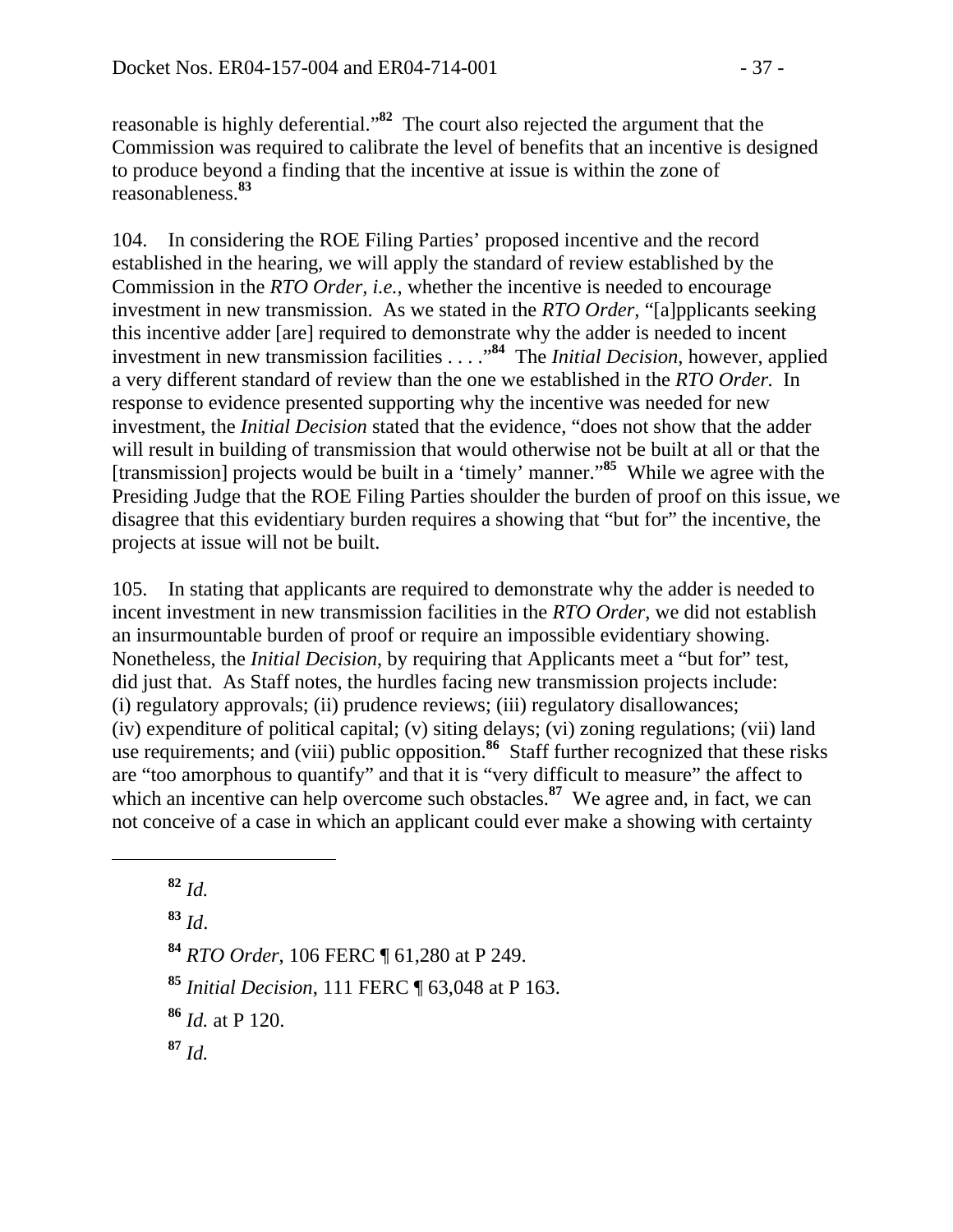reasonable is highly deferential."**<sup>82</sup>** The court also rejected the argument that the Commission was required to calibrate the level of benefits that an incentive is designed to produce beyond a finding that the incentive at issue is within the zone of reasonableness.**<sup>83</sup>**

104. In considering the ROE Filing Parties' proposed incentive and the record established in the hearing, we will apply the standard of review established by the Commission in the *RTO Order, i.e.*, whether the incentive is needed to encourage investment in new transmission. As we stated in the *RTO Order,* "[a]pplicants seeking this incentive adder [are] required to demonstrate why the adder is needed to incent investment in new transmission facilities . . . ."**<sup>84</sup>** The *Initial Decision*, however, applied a very different standard of review than the one we established in the *RTO Order.* In response to evidence presented supporting why the incentive was needed for new investment, the *Initial Decision* stated that the evidence, "does not show that the adder will result in building of transmission that would otherwise not be built at all or that the [transmission] projects would be built in a 'timely' manner."**<sup>85</sup>** While we agree with the Presiding Judge that the ROE Filing Parties shoulder the burden of proof on this issue, we disagree that this evidentiary burden requires a showing that "but for" the incentive, the projects at issue will not be built.

105. In stating that applicants are required to demonstrate why the adder is needed to incent investment in new transmission facilities in the *RTO Order*, we did not establish an insurmountable burden of proof or require an impossible evidentiary showing. Nonetheless, the *Initial Decision*, by requiring that Applicants meet a "but for" test, did just that. As Staff notes, the hurdles facing new transmission projects include: (i) regulatory approvals; (ii) prudence reviews; (iii) regulatory disallowances; (iv) expenditure of political capital; (v) siting delays; (vi) zoning regulations; (vii) land use requirements; and (viii) public opposition.<sup>86</sup> Staff further recognized that these risks are "too amorphous to quantify" and that it is "very difficult to measure" the affect to which an incentive can help overcome such obstacles.<sup>87</sup> We agree and, in fact, we can not conceive of a case in which an applicant could ever make a showing with certainty

 $\overline{a}$ 

**<sup>83</sup>** *Id*.

**<sup>84</sup>** *RTO Order*, 106 FERC ¶ 61,280 at P 249.

**<sup>85</sup>** *Initial Decision*, 111 FERC ¶ 63,048 at P 163.

**<sup>86</sup>** *Id.* at P 120.

**<sup>87</sup>** *Id.* 

 $82$  *Id.*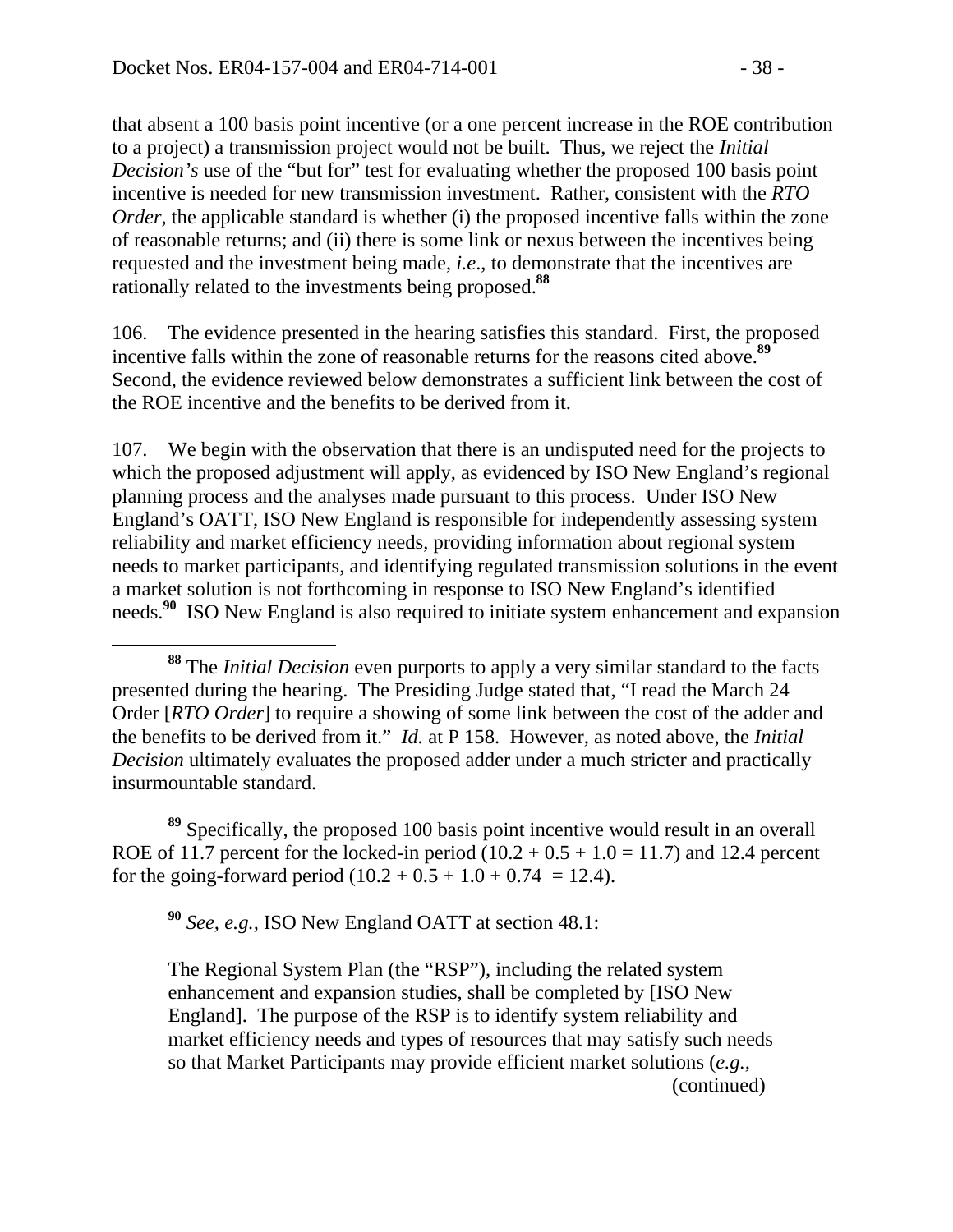that absent a 100 basis point incentive (or a one percent increase in the ROE contribution to a project) a transmission project would not be built. Thus, we reject the *Initial Decision's* use of the "but for" test for evaluating whether the proposed 100 basis point incentive is needed for new transmission investment. Rather, consistent with the *RTO Order*, the applicable standard is whether (i) the proposed incentive falls within the zone of reasonable returns; and (ii) there is some link or nexus between the incentives being requested and the investment being made, *i.e*., to demonstrate that the incentives are rationally related to the investments being proposed.**<sup>88</sup>**

106. The evidence presented in the hearing satisfies this standard. First, the proposed incentive falls within the zone of reasonable returns for the reasons cited above.**<sup>89</sup>** Second, the evidence reviewed below demonstrates a sufficient link between the cost of the ROE incentive and the benefits to be derived from it.

107. We begin with the observation that there is an undisputed need for the projects to which the proposed adjustment will apply, as evidenced by ISO New England's regional planning process and the analyses made pursuant to this process. Under ISO New England's OATT, ISO New England is responsible for independently assessing system reliability and market efficiency needs, providing information about regional system needs to market participants, and identifying regulated transmission solutions in the event a market solution is not forthcoming in response to ISO New England's identified needs.**<sup>90</sup>** ISO New England is also required to initiate system enhancement and expansion

**<sup>89</sup>** Specifically, the proposed 100 basis point incentive would result in an overall ROE of 11.7 percent for the locked-in period  $(10.2 + 0.5 + 1.0 = 11.7)$  and 12.4 percent for the going-forward period  $(10.2 + 0.5 + 1.0 + 0.74 = 12.4)$ .

**<sup>90</sup>** *See, e.g.,* ISO New England OATT at section 48.1:

The Regional System Plan (the "RSP"), including the related system enhancement and expansion studies, shall be completed by [ISO New England]. The purpose of the RSP is to identify system reliability and market efficiency needs and types of resources that may satisfy such needs so that Market Participants may provide efficient market solutions (*e.g.,*  (continued)

**<sup>88</sup>** The *Initial Decision* even purports to apply a very similar standard to the facts presented during the hearing. The Presiding Judge stated that, "I read the March 24 Order [*RTO Order*] to require a showing of some link between the cost of the adder and the benefits to be derived from it." *Id.* at P 158. However, as noted above, the *Initial Decision* ultimately evaluates the proposed adder under a much stricter and practically insurmountable standard.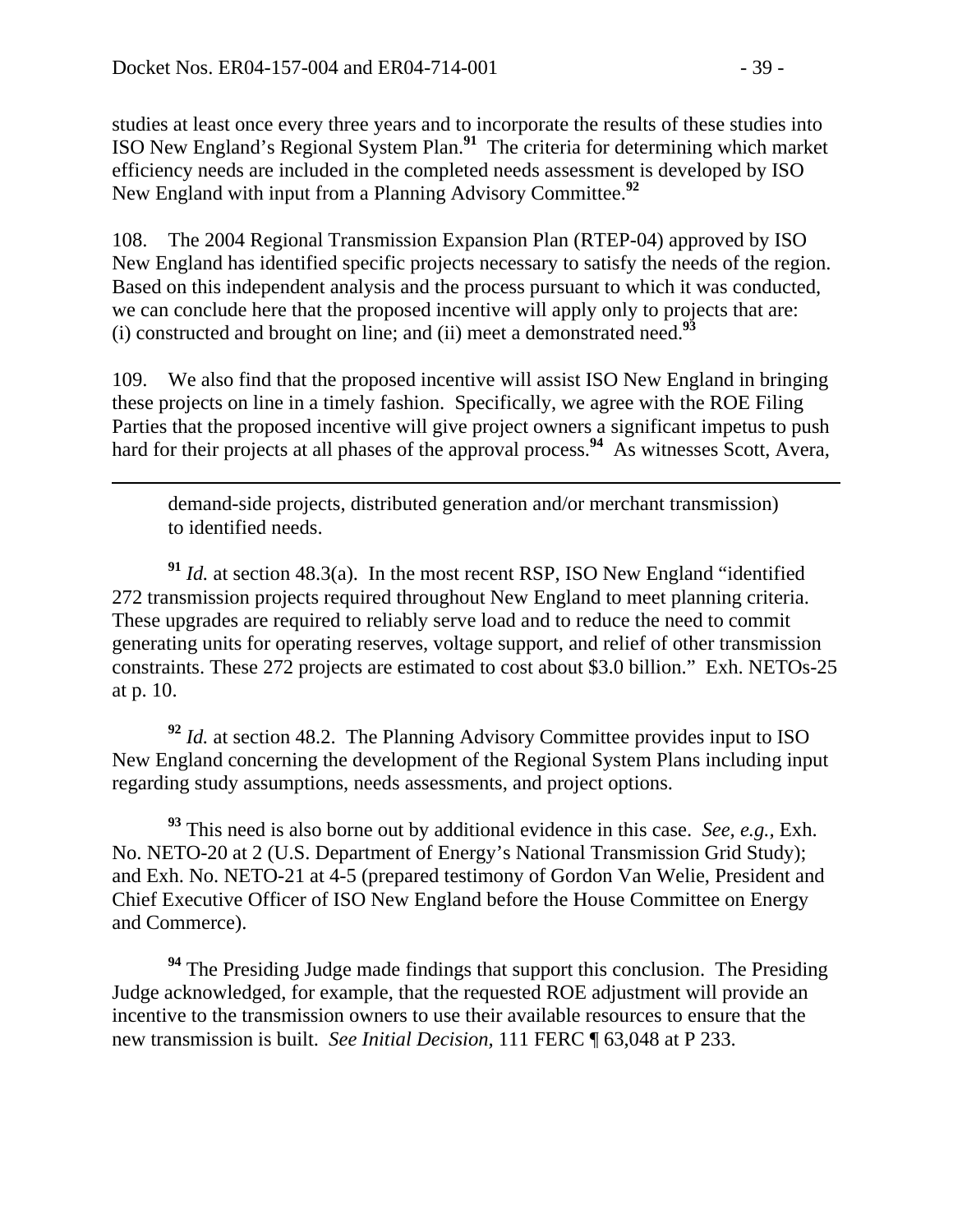$\overline{a}$ 

studies at least once every three years and to incorporate the results of these studies into ISO New England's Regional System Plan.**<sup>91</sup>** The criteria for determining which market efficiency needs are included in the completed needs assessment is developed by ISO New England with input from a Planning Advisory Committee.**<sup>92</sup>**

108. The 2004 Regional Transmission Expansion Plan (RTEP-04) approved by ISO New England has identified specific projects necessary to satisfy the needs of the region. Based on this independent analysis and the process pursuant to which it was conducted, we can conclude here that the proposed incentive will apply only to projects that are: (i) constructed and brought on line; and (ii) meet a demonstrated need.**<sup>93</sup>**

109. We also find that the proposed incentive will assist ISO New England in bringing these projects on line in a timely fashion. Specifically, we agree with the ROE Filing Parties that the proposed incentive will give project owners a significant impetus to push hard for their projects at all phases of the approval process.<sup>94</sup> As witnesses Scott, Avera,

demand-side projects, distributed generation and/or merchant transmission) to identified needs.

**<sup>91</sup>** *Id.* at section 48.3(a). In the most recent RSP, ISO New England "identified 272 transmission projects required throughout New England to meet planning criteria. These upgrades are required to reliably serve load and to reduce the need to commit generating units for operating reserves, voltage support, and relief of other transmission constraints. These 272 projects are estimated to cost about \$3.0 billion." Exh. NETOs-25 at p. 10.

**<sup>92</sup>** *Id.* at section 48.2. The Planning Advisory Committee provides input to ISO New England concerning the development of the Regional System Plans including input regarding study assumptions, needs assessments, and project options.

**<sup>93</sup>** This need is also borne out by additional evidence in this case. *See, e.g.,* Exh. No. NETO-20 at 2 (U.S. Department of Energy's National Transmission Grid Study); and Exh. No. NETO-21 at 4-5 (prepared testimony of Gordon Van Welie, President and Chief Executive Officer of ISO New England before the House Committee on Energy and Commerce).

**<sup>94</sup>** The Presiding Judge made findings that support this conclusion. The Presiding Judge acknowledged, for example, that the requested ROE adjustment will provide an incentive to the transmission owners to use their available resources to ensure that the new transmission is built. *See Initial Decision,* 111 FERC ¶ 63,048 at P 233.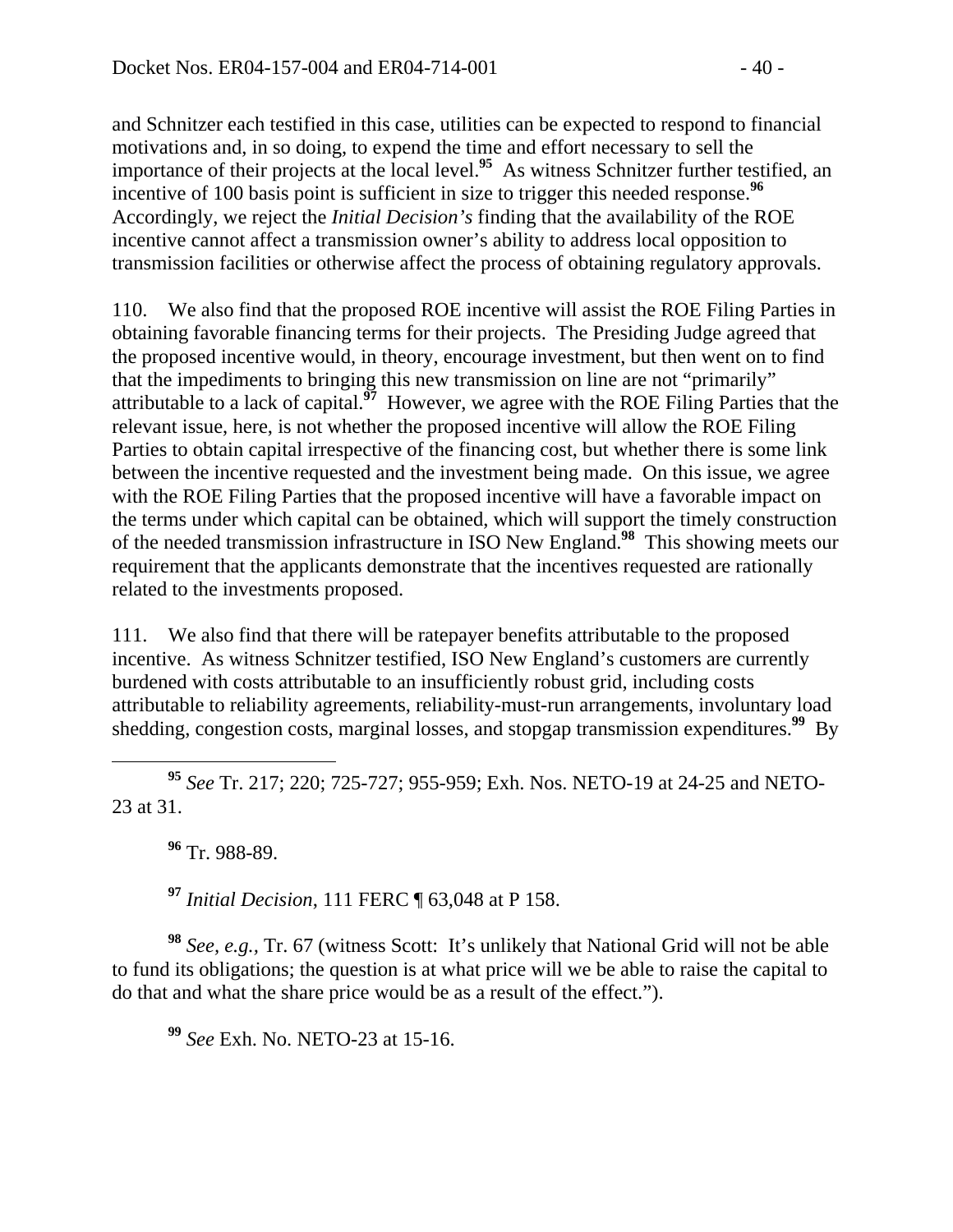and Schnitzer each testified in this case, utilities can be expected to respond to financial motivations and, in so doing, to expend the time and effort necessary to sell the importance of their projects at the local level.**<sup>95</sup>** As witness Schnitzer further testified, an incentive of 100 basis point is sufficient in size to trigger this needed response.<sup>96</sup> Accordingly, we reject the *Initial Decision's* finding that the availability of the ROE incentive cannot affect a transmission owner's ability to address local opposition to transmission facilities or otherwise affect the process of obtaining regulatory approvals.

110. We also find that the proposed ROE incentive will assist the ROE Filing Parties in obtaining favorable financing terms for their projects. The Presiding Judge agreed that the proposed incentive would, in theory, encourage investment, but then went on to find that the impediments to bringing this new transmission on line are not "primarily" attributable to a lack of capital.**<sup>97</sup>** However, we agree with the ROE Filing Parties that the relevant issue, here, is not whether the proposed incentive will allow the ROE Filing Parties to obtain capital irrespective of the financing cost, but whether there is some link between the incentive requested and the investment being made. On this issue, we agree with the ROE Filing Parties that the proposed incentive will have a favorable impact on the terms under which capital can be obtained, which will support the timely construction of the needed transmission infrastructure in ISO New England.**<sup>98</sup>** This showing meets our requirement that the applicants demonstrate that the incentives requested are rationally related to the investments proposed.

111. We also find that there will be ratepayer benefits attributable to the proposed incentive. As witness Schnitzer testified, ISO New England's customers are currently burdened with costs attributable to an insufficiently robust grid, including costs attributable to reliability agreements, reliability-must-run arrangements, involuntary load shedding, congestion costs, marginal losses, and stopgap transmission expenditures.**<sup>99</sup>** By

 **<sup>95</sup>** *See* Tr. 217; 220; 725-727; 955-959; Exh. Nos. NETO-19 at 24-25 and NETO-23 at 31.

**<sup>96</sup>** Tr. 988-89.

**<sup>97</sup>** *Initial Decision*, 111 FERC ¶ 63,048 at P 158.

**<sup>98</sup>** *See, e.g.,* Tr. 67 (witness Scott: It's unlikely that National Grid will not be able to fund its obligations; the question is at what price will we be able to raise the capital to do that and what the share price would be as a result of the effect.").

**<sup>99</sup>** *See* Exh. No. NETO-23 at 15-16.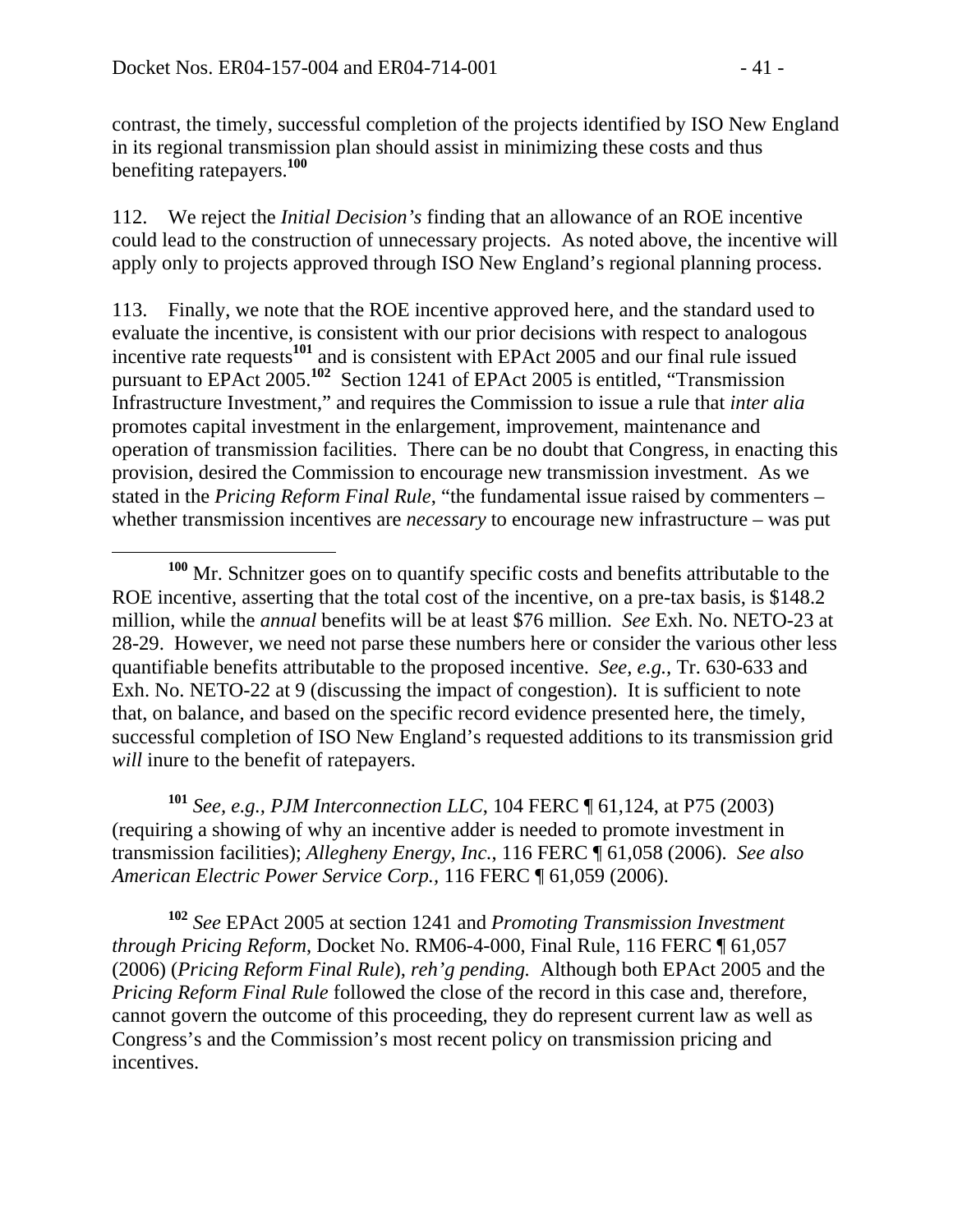contrast, the timely, successful completion of the projects identified by ISO New England in its regional transmission plan should assist in minimizing these costs and thus benefiting ratepayers.**<sup>100</sup>**

112. We reject the *Initial Decision's* finding that an allowance of an ROE incentive could lead to the construction of unnecessary projects. As noted above, the incentive will apply only to projects approved through ISO New England's regional planning process.

113. Finally, we note that the ROE incentive approved here, and the standard used to evaluate the incentive, is consistent with our prior decisions with respect to analogous incentive rate requests**<sup>101</sup>** and is consistent with EPAct 2005 and our final rule issued pursuant to EPAct 2005.**<sup>102</sup>** Section 1241 of EPAct 2005 is entitled, "Transmission Infrastructure Investment," and requires the Commission to issue a rule that *inter alia*  promotes capital investment in the enlargement, improvement, maintenance and operation of transmission facilities. There can be no doubt that Congress, in enacting this provision, desired the Commission to encourage new transmission investment. As we stated in the *Pricing Reform Final Rule*, "the fundamental issue raised by commenters – whether transmission incentives are *necessary* to encourage new infrastructure – was put

**<sup>101</sup>** *See, e.g., PJM Interconnection LLC*, 104 FERC ¶ 61,124, at P75 (2003) (requiring a showing of why an incentive adder is needed to promote investment in transmission facilities); *Allegheny Energy, Inc.*, 116 FERC ¶ 61,058 (2006). *See also American Electric Power Service Corp.,* 116 FERC ¶ 61,059 (2006).

**<sup>102</sup>** *See* EPAct 2005 at section 1241 and *Promoting Transmission Investment through Pricing Reform*, Docket No. RM06-4-000, Final Rule, 116 FERC ¶ 61,057 (2006) (*Pricing Reform Final Rule*), *reh'g pending.* Although both EPAct 2005 and the *Pricing Reform Final Rule* followed the close of the record in this case and, therefore, cannot govern the outcome of this proceeding, they do represent current law as well as Congress's and the Commission's most recent policy on transmission pricing and incentives.

**<sup>100</sup>** Mr. Schnitzer goes on to quantify specific costs and benefits attributable to the ROE incentive, asserting that the total cost of the incentive, on a pre-tax basis, is \$148.2 million, while the *annual* benefits will be at least \$76 million. *See* Exh. No. NETO-23 at 28-29. However, we need not parse these numbers here or consider the various other less quantifiable benefits attributable to the proposed incentive. *See, e.g.,* Tr. 630-633 and Exh. No. NETO-22 at 9 (discussing the impact of congestion). It is sufficient to note that, on balance, and based on the specific record evidence presented here, the timely, successful completion of ISO New England's requested additions to its transmission grid *will* inure to the benefit of ratepayers.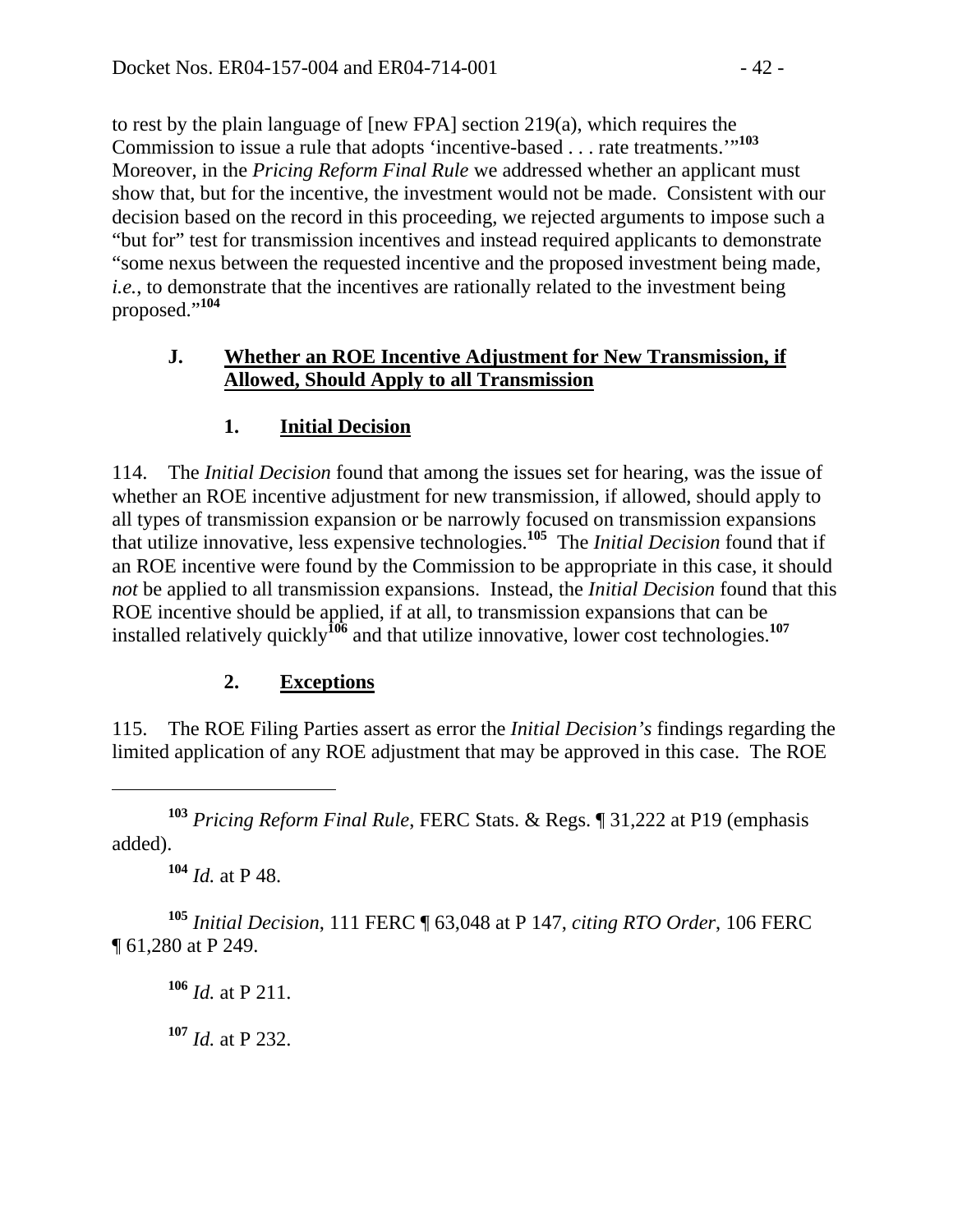to rest by the plain language of [new FPA] section 219(a), which requires the Commission to issue a rule that adopts 'incentive-based . . . rate treatments."<sup>103</sup> Moreover, in the *Pricing Reform Final Rule* we addressed whether an applicant must show that, but for the incentive, the investment would not be made. Consistent with our decision based on the record in this proceeding, we rejected arguments to impose such a "but for" test for transmission incentives and instead required applicants to demonstrate "some nexus between the requested incentive and the proposed investment being made, *i.e.*, to demonstrate that the incentives are rationally related to the investment being proposed."**<sup>104</sup>**

#### **J. Whether an ROE Incentive Adjustment for New Transmission, if Allowed, Should Apply to all Transmission**

### **1. Initial Decision**

114. The *Initial Decision* found that among the issues set for hearing, was the issue of whether an ROE incentive adjustment for new transmission, if allowed, should apply to all types of transmission expansion or be narrowly focused on transmission expansions that utilize innovative, less expensive technologies.**<sup>105</sup>** The *Initial Decision* found that if an ROE incentive were found by the Commission to be appropriate in this case, it should *not* be applied to all transmission expansions. Instead, the *Initial Decision* found that this ROE incentive should be applied, if at all, to transmission expansions that can be installed relatively quickly**<sup>106</sup>** and that utilize innovative, lower cost technologies.**<sup>107</sup>**

### **2. Exceptions**

115. The ROE Filing Parties assert as error the *Initial Decision's* findings regarding the limited application of any ROE adjustment that may be approved in this case. The ROE

**<sup>103</sup>** *Pricing Reform Final Rule*, FERC Stats. & Regs. ¶ 31,222 at P19 (emphasis added).

**<sup>104</sup>** *Id.* at P 48.

 $\overline{a}$ 

**<sup>105</sup>** *Initial Decision*, 111 FERC ¶ 63,048 at P 147, *citing RTO Order*, 106 FERC ¶ 61,280 at P 249.

**<sup>106</sup>** *Id.* at P 211.

**<sup>107</sup>** *Id.* at P 232.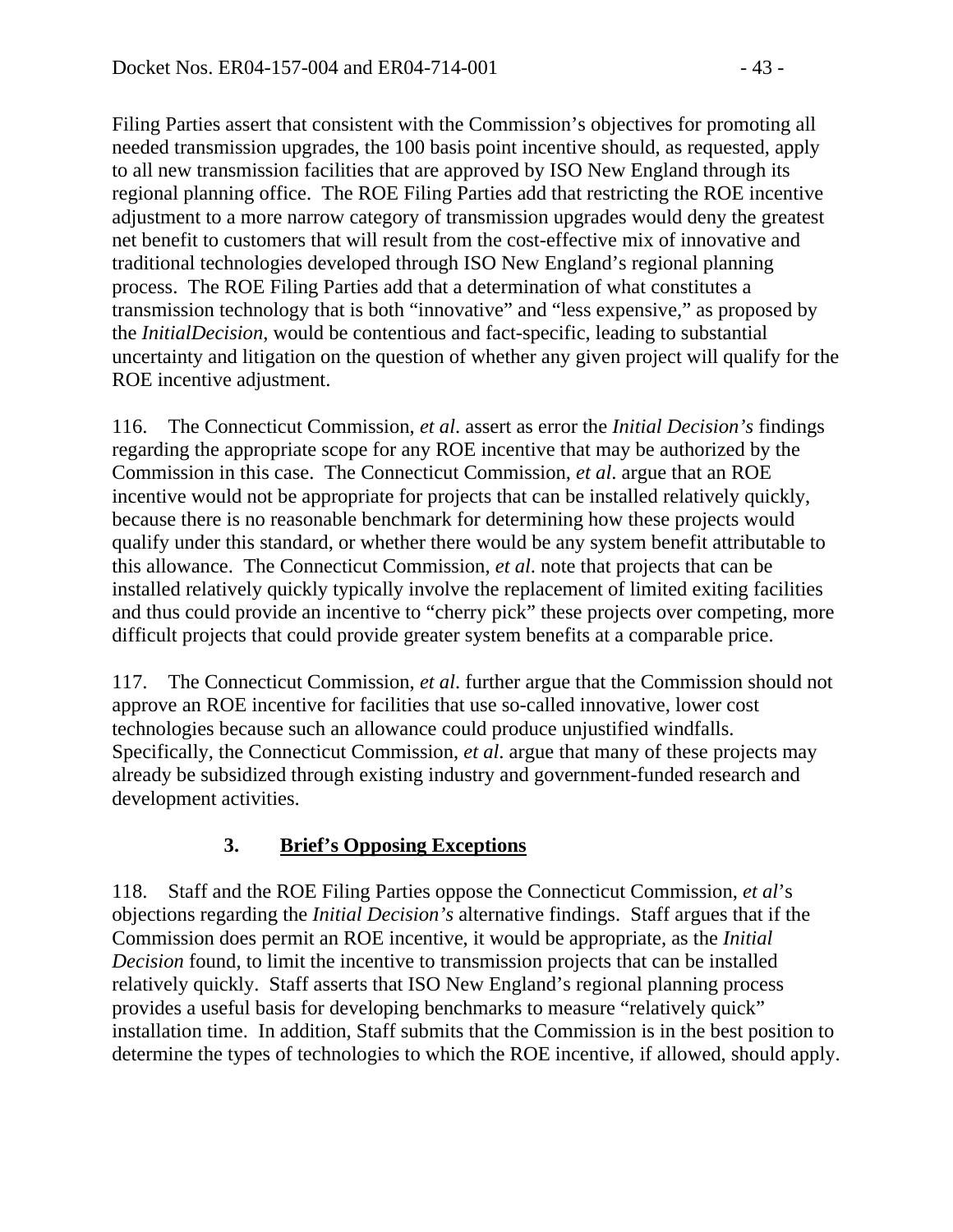Filing Parties assert that consistent with the Commission's objectives for promoting all needed transmission upgrades, the 100 basis point incentive should, as requested, apply to all new transmission facilities that are approved by ISO New England through its regional planning office. The ROE Filing Parties add that restricting the ROE incentive adjustment to a more narrow category of transmission upgrades would deny the greatest net benefit to customers that will result from the cost-effective mix of innovative and traditional technologies developed through ISO New England's regional planning process. The ROE Filing Parties add that a determination of what constitutes a transmission technology that is both "innovative" and "less expensive," as proposed by the *InitialDecision*, would be contentious and fact-specific, leading to substantial uncertainty and litigation on the question of whether any given project will qualify for the ROE incentive adjustment.

116. The Connecticut Commission, *et al*. assert as error the *Initial Decision's* findings regarding the appropriate scope for any ROE incentive that may be authorized by the Commission in this case. The Connecticut Commission, *et al*. argue that an ROE incentive would not be appropriate for projects that can be installed relatively quickly, because there is no reasonable benchmark for determining how these projects would qualify under this standard, or whether there would be any system benefit attributable to this allowance. The Connecticut Commission, *et al*. note that projects that can be installed relatively quickly typically involve the replacement of limited exiting facilities and thus could provide an incentive to "cherry pick" these projects over competing, more difficult projects that could provide greater system benefits at a comparable price.

117. The Connecticut Commission, *et al*. further argue that the Commission should not approve an ROE incentive for facilities that use so-called innovative, lower cost technologies because such an allowance could produce unjustified windfalls. Specifically, the Connecticut Commission, *et al*. argue that many of these projects may already be subsidized through existing industry and government-funded research and development activities.

# **3. Brief's Opposing Exceptions**

118. Staff and the ROE Filing Parties oppose the Connecticut Commission, *et al*'s objections regarding the *Initial Decision's* alternative findings. Staff argues that if the Commission does permit an ROE incentive, it would be appropriate, as the *Initial Decision* found, to limit the incentive to transmission projects that can be installed relatively quickly. Staff asserts that ISO New England's regional planning process provides a useful basis for developing benchmarks to measure "relatively quick" installation time. In addition, Staff submits that the Commission is in the best position to determine the types of technologies to which the ROE incentive, if allowed, should apply.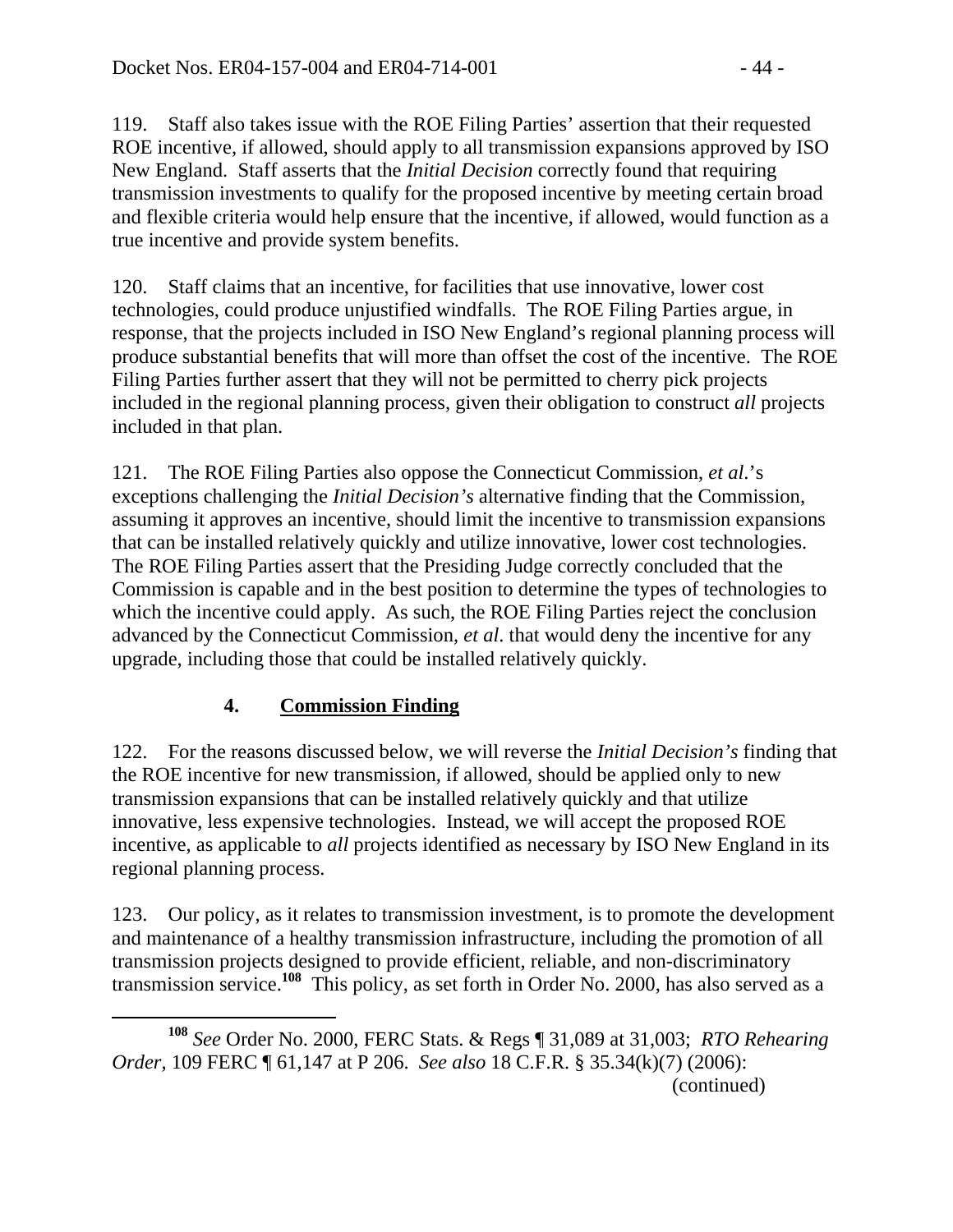119. Staff also takes issue with the ROE Filing Parties' assertion that their requested ROE incentive, if allowed, should apply to all transmission expansions approved by ISO New England. Staff asserts that the *Initial Decision* correctly found that requiring transmission investments to qualify for the proposed incentive by meeting certain broad and flexible criteria would help ensure that the incentive, if allowed, would function as a true incentive and provide system benefits.

120. Staff claims that an incentive, for facilities that use innovative, lower cost technologies, could produce unjustified windfalls. The ROE Filing Parties argue, in response, that the projects included in ISO New England's regional planning process will produce substantial benefits that will more than offset the cost of the incentive. The ROE Filing Parties further assert that they will not be permitted to cherry pick projects included in the regional planning process, given their obligation to construct *all* projects included in that plan.

121. The ROE Filing Parties also oppose the Connecticut Commission, *et al*.'s exceptions challenging the *Initial Decision's* alternative finding that the Commission, assuming it approves an incentive, should limit the incentive to transmission expansions that can be installed relatively quickly and utilize innovative, lower cost technologies. The ROE Filing Parties assert that the Presiding Judge correctly concluded that the Commission is capable and in the best position to determine the types of technologies to which the incentive could apply. As such, the ROE Filing Parties reject the conclusion advanced by the Connecticut Commission, *et al*. that would deny the incentive for any upgrade, including those that could be installed relatively quickly.

# **4. Commission Finding**

122. For the reasons discussed below, we will reverse the *Initial Decision's* finding that the ROE incentive for new transmission, if allowed, should be applied only to new transmission expansions that can be installed relatively quickly and that utilize innovative, less expensive technologies. Instead, we will accept the proposed ROE incentive, as applicable to *all* projects identified as necessary by ISO New England in its regional planning process.

123. Our policy, as it relates to transmission investment, is to promote the development and maintenance of a healthy transmission infrastructure, including the promotion of all transmission projects designed to provide efficient, reliable, and non-discriminatory transmission service.**<sup>108</sup>** This policy, as set forth in Order No. 2000, has also served as a

**<sup>108</sup>** *See* Order No. 2000, FERC Stats. & Regs ¶ 31,089 at 31,003; *RTO Rehearing Order,* 109 FERC ¶ 61,147 at P 206. *See also* 18 C.F.R. § 35.34(k)(7) (2006): (continued)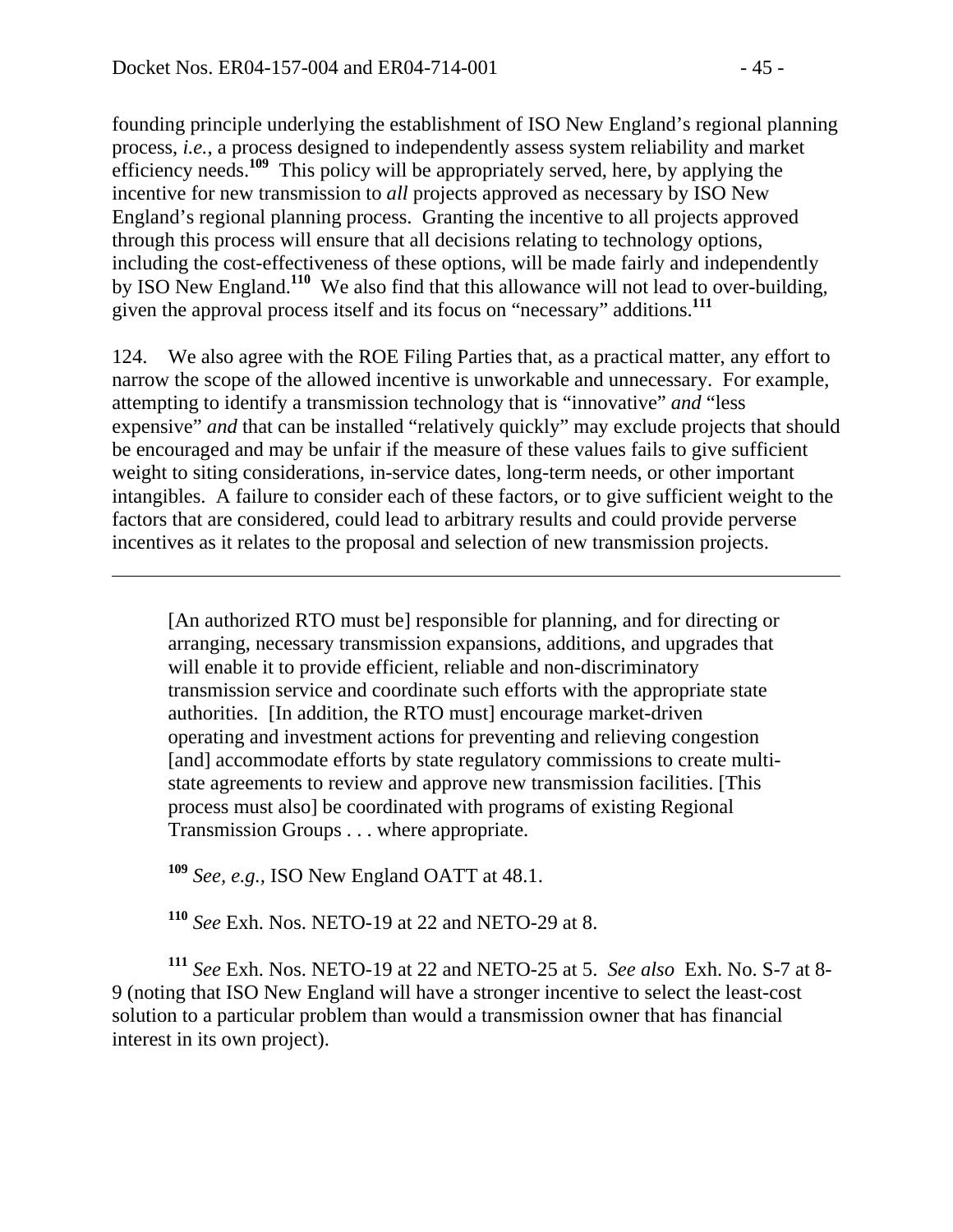$\overline{a}$ 

founding principle underlying the establishment of ISO New England's regional planning process, *i.e.*, a process designed to independently assess system reliability and market efficiency needs.**<sup>109</sup>** This policy will be appropriately served, here, by applying the incentive for new transmission to *all* projects approved as necessary by ISO New England's regional planning process. Granting the incentive to all projects approved through this process will ensure that all decisions relating to technology options, including the cost-effectiveness of these options, will be made fairly and independently by ISO New England.**<sup>110</sup>** We also find that this allowance will not lead to over-building, given the approval process itself and its focus on "necessary" additions.**<sup>111</sup>**

124. We also agree with the ROE Filing Parties that, as a practical matter, any effort to narrow the scope of the allowed incentive is unworkable and unnecessary. For example, attempting to identify a transmission technology that is "innovative" *and* "less expensive" *and* that can be installed "relatively quickly" may exclude projects that should be encouraged and may be unfair if the measure of these values fails to give sufficient weight to siting considerations, in-service dates, long-term needs, or other important intangibles. A failure to consider each of these factors, or to give sufficient weight to the factors that are considered, could lead to arbitrary results and could provide perverse incentives as it relates to the proposal and selection of new transmission projects.

[An authorized RTO must be] responsible for planning, and for directing or arranging, necessary transmission expansions, additions, and upgrades that will enable it to provide efficient, reliable and non-discriminatory transmission service and coordinate such efforts with the appropriate state authorities. [In addition, the RTO must] encourage market-driven operating and investment actions for preventing and relieving congestion [and] accommodate efforts by state regulatory commissions to create multistate agreements to review and approve new transmission facilities. [This process must also] be coordinated with programs of existing Regional Transmission Groups . . . where appropriate.

**<sup>109</sup>** *See, e.g.,* ISO New England OATT at 48.1.

**<sup>110</sup>** *See* Exh. Nos. NETO-19 at 22 and NETO-29 at 8.

**<sup>111</sup>** *See* Exh. Nos. NETO-19 at 22 and NETO-25 at 5. *See also* Exh. No. S-7 at 8- 9 (noting that ISO New England will have a stronger incentive to select the least-cost solution to a particular problem than would a transmission owner that has financial interest in its own project).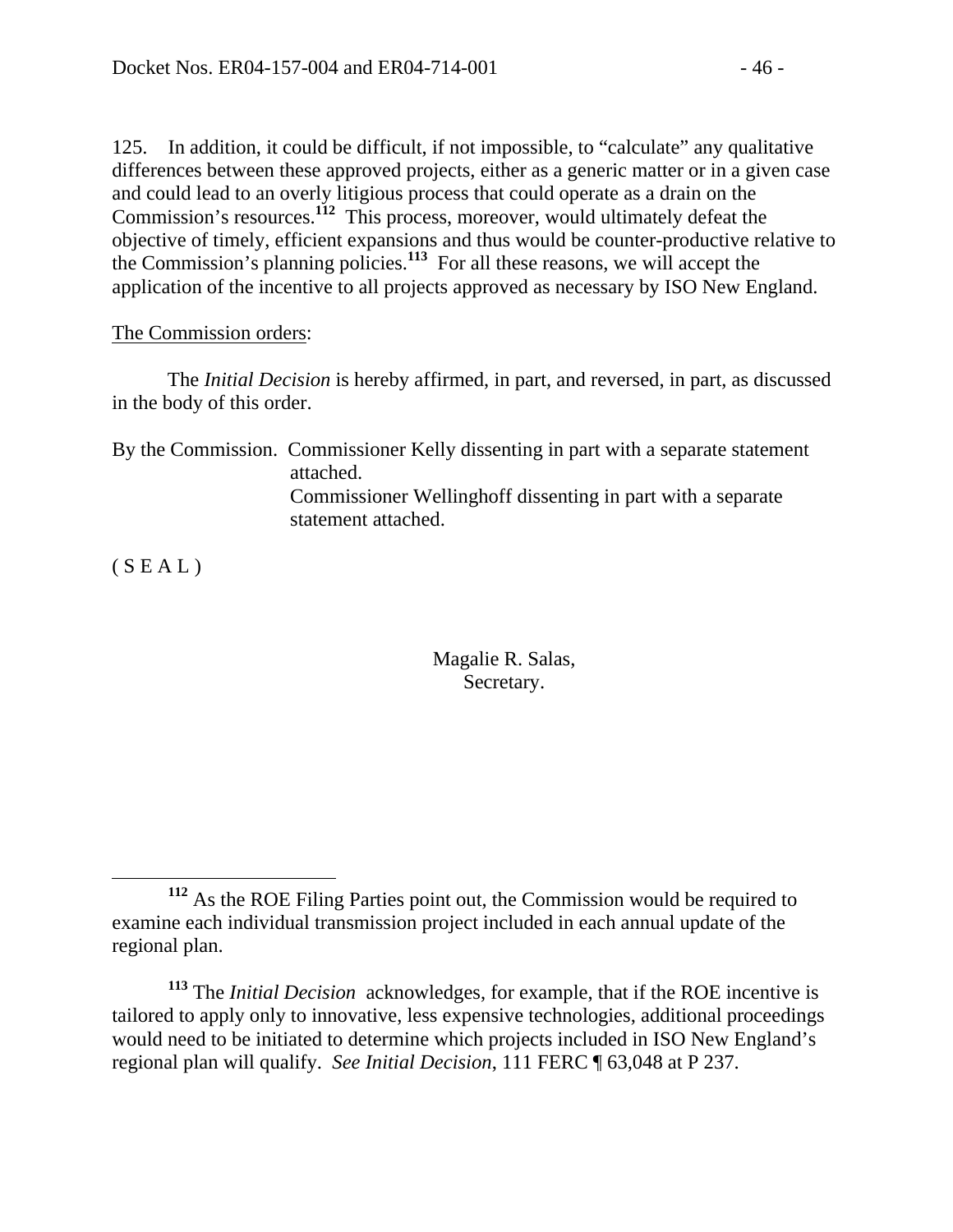125. In addition, it could be difficult, if not impossible, to "calculate" any qualitative differences between these approved projects, either as a generic matter or in a given case and could lead to an overly litigious process that could operate as a drain on the Commission's resources.**<sup>112</sup>** This process, moreover, would ultimately defeat the objective of timely, efficient expansions and thus would be counter-productive relative to the Commission's planning policies.**<sup>113</sup>** For all these reasons, we will accept the application of the incentive to all projects approved as necessary by ISO New England.

#### The Commission orders:

 The *Initial Decision* is hereby affirmed, in part, and reversed, in part, as discussed in the body of this order.

By the Commission. Commissioner Kelly dissenting in part with a separate statement attached. Commissioner Wellinghoff dissenting in part with a separate statement attached.

 $(S E A L)$ 

#### Magalie R. Salas, Secretary.

**<sup>112</sup>** As the ROE Filing Parties point out, the Commission would be required to examine each individual transmission project included in each annual update of the regional plan.

**<sup>113</sup>** The *Initial Decision* acknowledges, for example, that if the ROE incentive is tailored to apply only to innovative, less expensive technologies, additional proceedings would need to be initiated to determine which projects included in ISO New England's regional plan will qualify. *See Initial Decision*, 111 FERC ¶ 63,048 at P 237.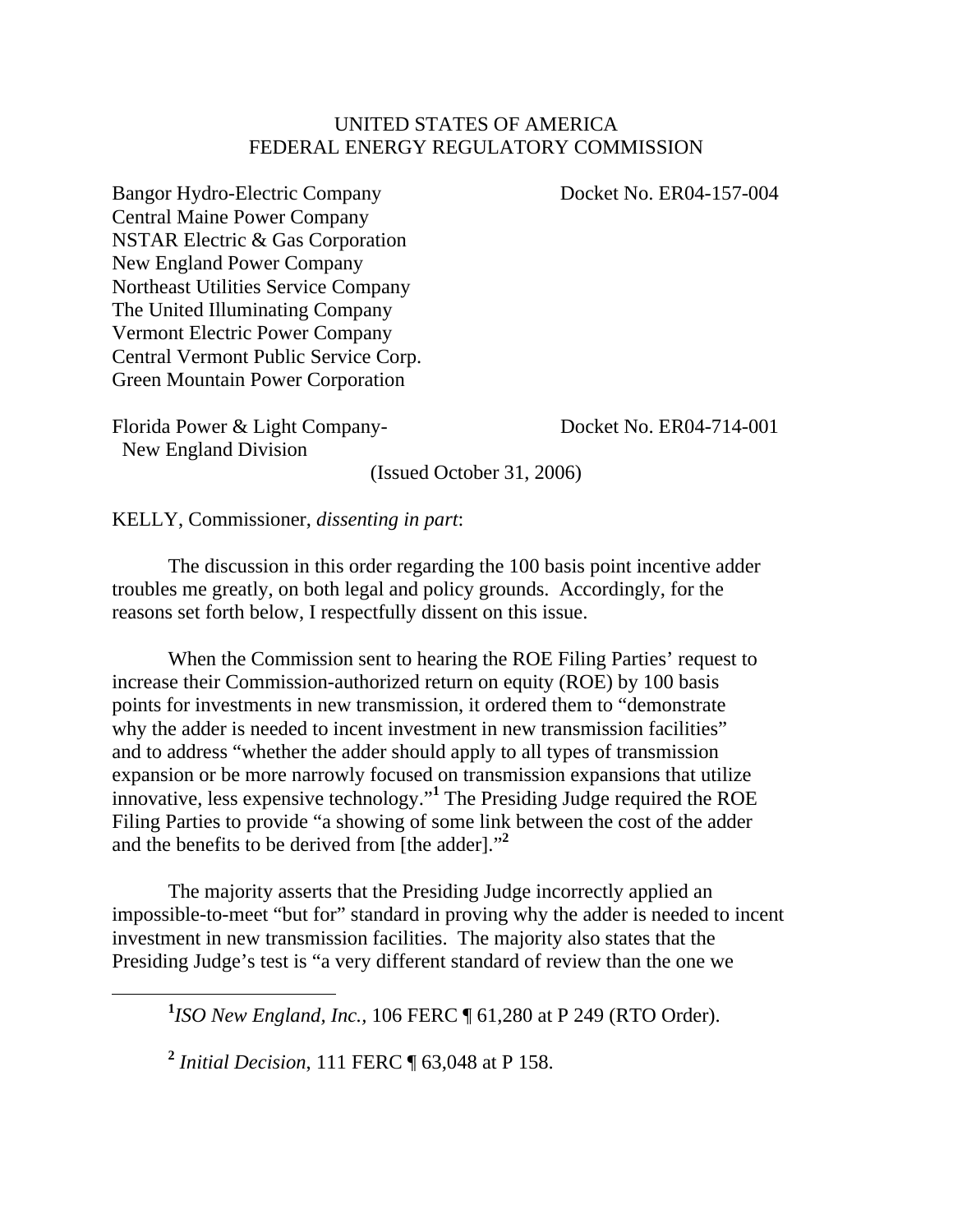#### UNITED STATES OF AMERICA FEDERAL ENERGY REGULATORY COMMISSION

Bangor Hydro-Electric Company Docket No. ER04-157-004 Central Maine Power Company NSTAR Electric & Gas Corporation New England Power Company Northeast Utilities Service Company The United Illuminating Company Vermont Electric Power Company Central Vermont Public Service Corp. Green Mountain Power Corporation

Florida Power & Light Company-<br>Docket No. ER04-714-001 New England Division

(Issued October 31, 2006)

KELLY, Commissioner, *dissenting in part*:

 The discussion in this order regarding the 100 basis point incentive adder troubles me greatly, on both legal and policy grounds. Accordingly, for the reasons set forth below, I respectfully dissent on this issue.

When the Commission sent to hearing the ROE Filing Parties' request to increase their Commission-authorized return on equity (ROE) by 100 basis points for investments in new transmission, it ordered them to "demonstrate why the adder is needed to incent investment in new transmission facilities" and to address "whether the adder should apply to all types of transmission expansion or be more narrowly focused on transmission expansions that utilize innovative, less expensive technology."**<sup>1</sup>** The Presiding Judge required the ROE Filing Parties to provide "a showing of some link between the cost of the adder and the benefits to be derived from [the adder]."**<sup>2</sup>**

The majority asserts that the Presiding Judge incorrectly applied an impossible-to-meet "but for" standard in proving why the adder is needed to incent investment in new transmission facilities. The majority also states that the Presiding Judge's test is "a very different standard of review than the one we

<u>1</u> *ISO New England, Inc.,* 106 FERC ¶ 61,280 at P 249 (RTO Order).

**<sup>2</sup>** *Initial Decision*, 111 FERC ¶ 63,048 at P 158.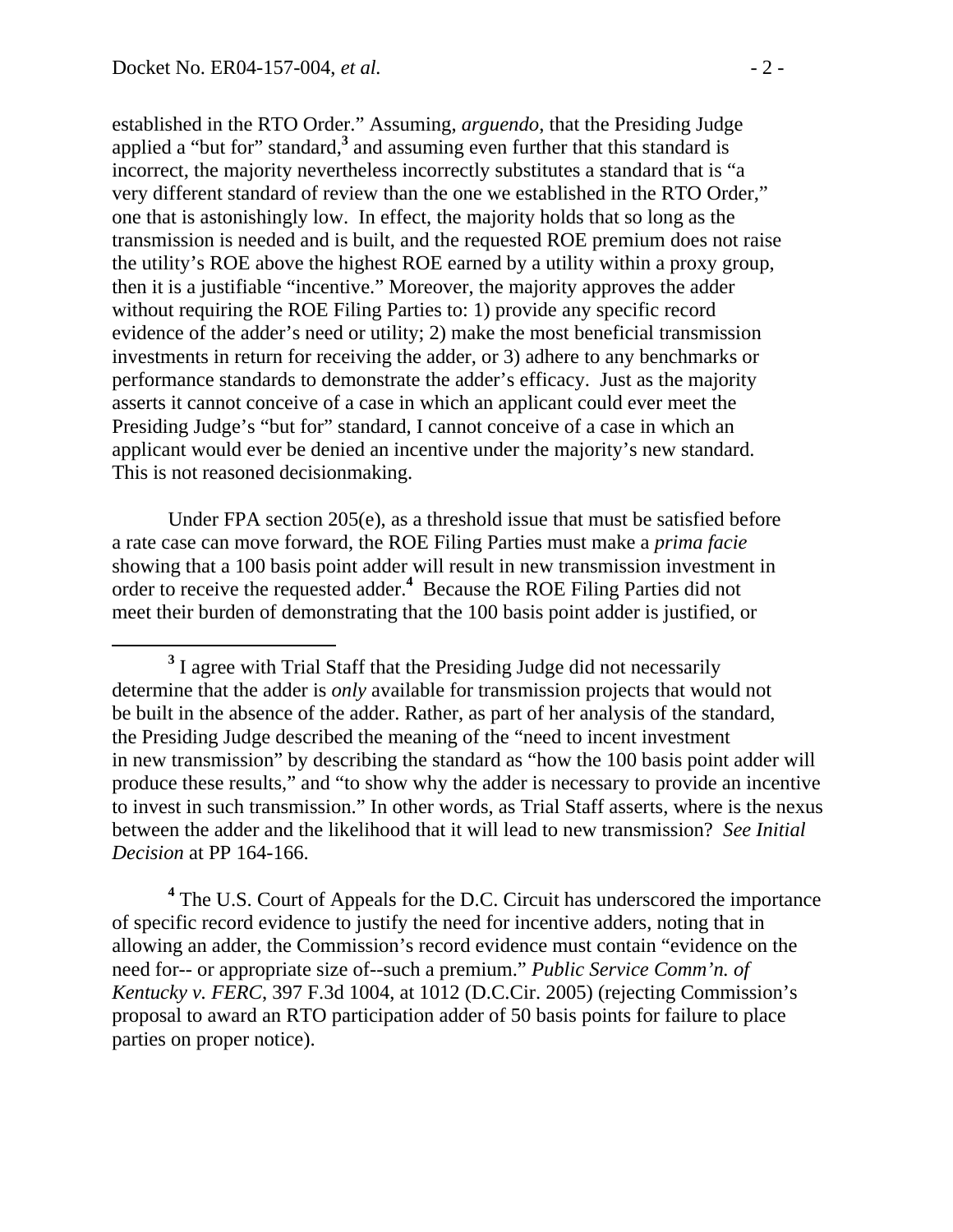established in the RTO Order." Assuming, *arguendo*, that the Presiding Judge applied a "but for" standard,<sup>3</sup> and assuming even further that this standard is incorrect, the majority nevertheless incorrectly substitutes a standard that is "a very different standard of review than the one we established in the RTO Order," one that is astonishingly low. In effect, the majority holds that so long as the transmission is needed and is built, and the requested ROE premium does not raise the utility's ROE above the highest ROE earned by a utility within a proxy group, then it is a justifiable "incentive." Moreover, the majority approves the adder without requiring the ROE Filing Parties to: 1) provide any specific record evidence of the adder's need or utility; 2) make the most beneficial transmission investments in return for receiving the adder, or 3) adhere to any benchmarks or performance standards to demonstrate the adder's efficacy. Just as the majority asserts it cannot conceive of a case in which an applicant could ever meet the Presiding Judge's "but for" standard, I cannot conceive of a case in which an applicant would ever be denied an incentive under the majority's new standard. This is not reasoned decisionmaking.

Under FPA section 205(e), as a threshold issue that must be satisfied before a rate case can move forward, the ROE Filing Parties must make a *prima facie*  showing that a 100 basis point adder will result in new transmission investment in order to receive the requested adder.**<sup>4</sup>** Because the ROE Filing Parties did not meet their burden of demonstrating that the 100 basis point adder is justified, or

<sup>4</sup> The U.S. Court of Appeals for the D.C. Circuit has underscored the importance of specific record evidence to justify the need for incentive adders, noting that in allowing an adder, the Commission's record evidence must contain "evidence on the need for-- or appropriate size of--such a premium." *Public Service Comm'n. of Kentucky v. FERC*, 397 F.3d 1004, at 1012 (D.C.Cir. 2005) (rejecting Commission's proposal to award an RTO participation adder of 50 basis points for failure to place parties on proper notice).

**<sup>3</sup>** <sup>3</sup> I agree with Trial Staff that the Presiding Judge did not necessarily determine that the adder is *only* available for transmission projects that would not be built in the absence of the adder. Rather, as part of her analysis of the standard, the Presiding Judge described the meaning of the "need to incent investment in new transmission" by describing the standard as "how the 100 basis point adder will produce these results," and "to show why the adder is necessary to provide an incentive to invest in such transmission." In other words, as Trial Staff asserts, where is the nexus between the adder and the likelihood that it will lead to new transmission? *See Initial Decision* at PP 164-166.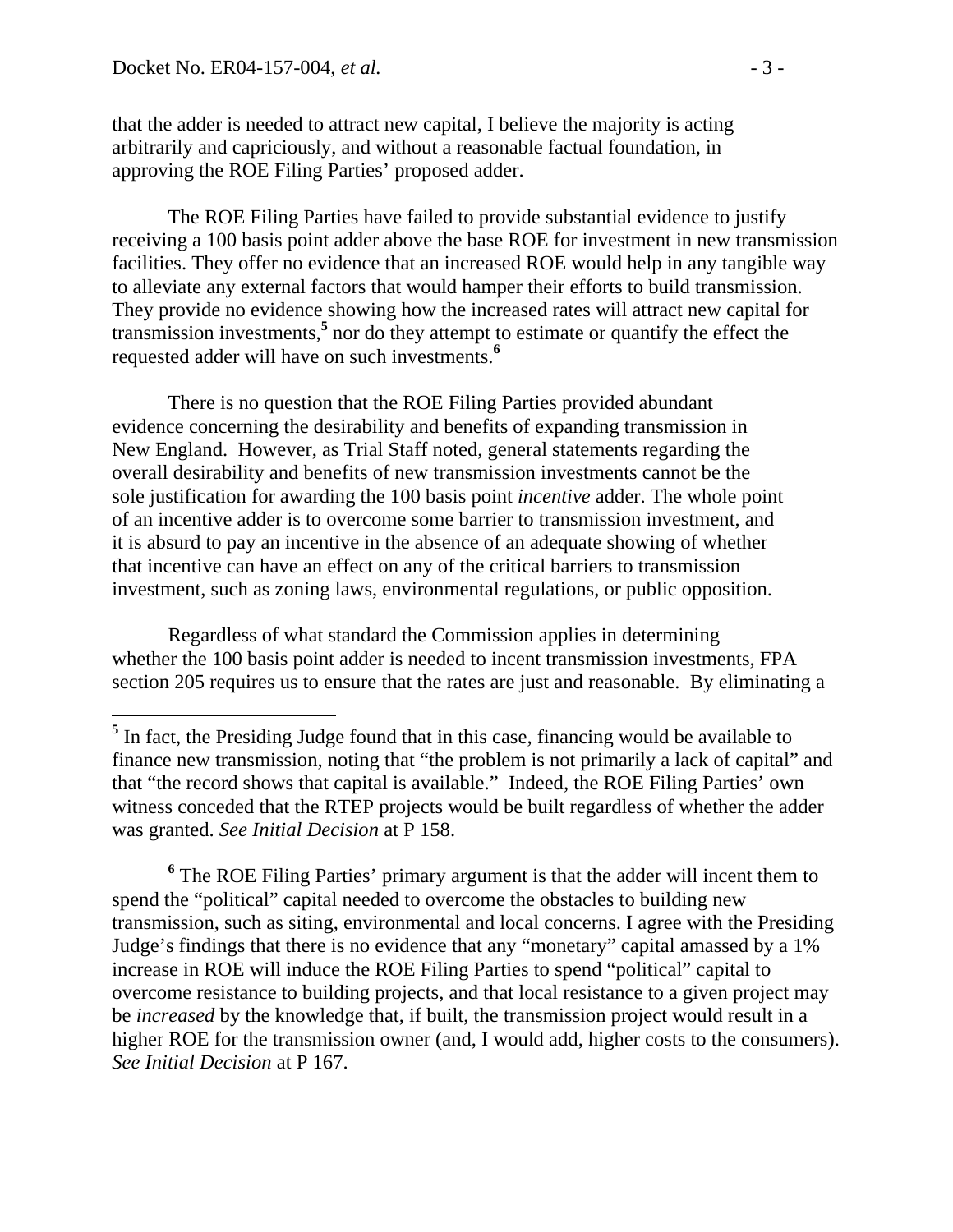that the adder is needed to attract new capital, I believe the majority is acting arbitrarily and capriciously, and without a reasonable factual foundation, in approving the ROE Filing Parties' proposed adder.

The ROE Filing Parties have failed to provide substantial evidence to justify receiving a 100 basis point adder above the base ROE for investment in new transmission facilities. They offer no evidence that an increased ROE would help in any tangible way to alleviate any external factors that would hamper their efforts to build transmission. They provide no evidence showing how the increased rates will attract new capital for transmission investments,**<sup>5</sup>** nor do they attempt to estimate or quantify the effect the requested adder will have on such investments.**<sup>6</sup>**

There is no question that the ROE Filing Parties provided abundant evidence concerning the desirability and benefits of expanding transmission in New England. However, as Trial Staff noted, general statements regarding the overall desirability and benefits of new transmission investments cannot be the sole justification for awarding the 100 basis point *incentive* adder. The whole point of an incentive adder is to overcome some barrier to transmission investment, and it is absurd to pay an incentive in the absence of an adequate showing of whether that incentive can have an effect on any of the critical barriers to transmission investment, such as zoning laws, environmental regulations, or public opposition.

Regardless of what standard the Commission applies in determining whether the 100 basis point adder is needed to incent transmission investments, FPA section 205 requires us to ensure that the rates are just and reasonable. By eliminating a

<sup>6</sup> The ROE Filing Parties' primary argument is that the adder will incent them to spend the "political" capital needed to overcome the obstacles to building new transmission, such as siting, environmental and local concerns. I agree with the Presiding Judge's findings that there is no evidence that any "monetary" capital amassed by a 1% increase in ROE will induce the ROE Filing Parties to spend "political" capital to overcome resistance to building projects, and that local resistance to a given project may be *increased* by the knowledge that, if built, the transmission project would result in a higher ROE for the transmission owner (and, I would add, higher costs to the consumers). *See Initial Decision* at P 167.

<sup>&</sup>lt;sup>5</sup> In fact, the Presiding Judge found that in this case, financing would be available to finance new transmission, noting that "the problem is not primarily a lack of capital" and that "the record shows that capital is available." Indeed, the ROE Filing Parties' own witness conceded that the RTEP projects would be built regardless of whether the adder was granted. *See Initial Decision* at P 158.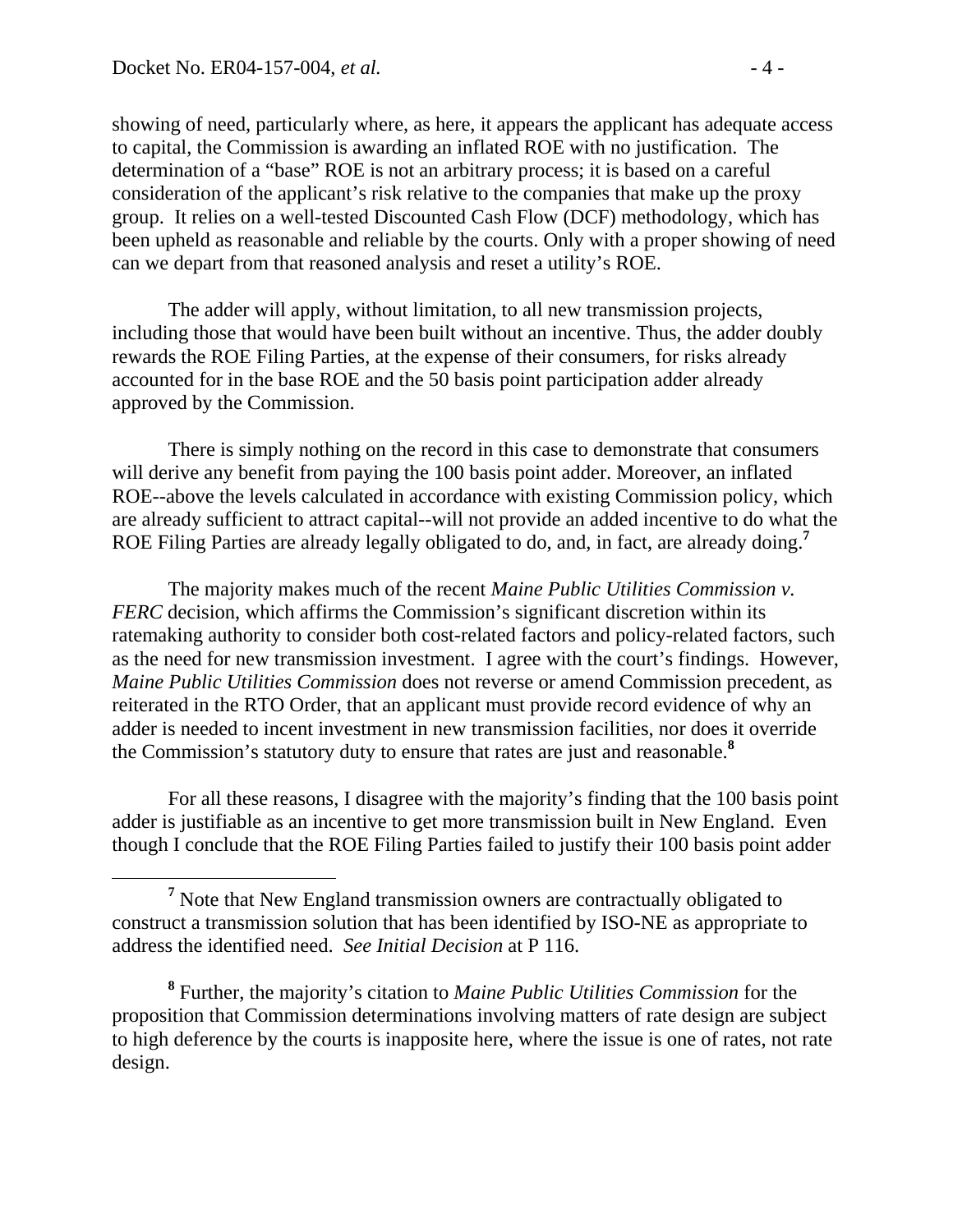showing of need, particularly where, as here, it appears the applicant has adequate access to capital, the Commission is awarding an inflated ROE with no justification. The determination of a "base" ROE is not an arbitrary process; it is based on a careful consideration of the applicant's risk relative to the companies that make up the proxy group. It relies on a well-tested Discounted Cash Flow (DCF) methodology, which has been upheld as reasonable and reliable by the courts. Only with a proper showing of need can we depart from that reasoned analysis and reset a utility's ROE.

The adder will apply, without limitation, to all new transmission projects, including those that would have been built without an incentive. Thus, the adder doubly rewards the ROE Filing Parties, at the expense of their consumers, for risks already accounted for in the base ROE and the 50 basis point participation adder already approved by the Commission.

 There is simply nothing on the record in this case to demonstrate that consumers will derive any benefit from paying the 100 basis point adder. Moreover, an inflated ROE--above the levels calculated in accordance with existing Commission policy, which are already sufficient to attract capital--will not provide an added incentive to do what the ROE Filing Parties are already legally obligated to do, and, in fact, are already doing.**<sup>7</sup>**

The majority makes much of the recent *Maine Public Utilities Commission v. FERC* decision, which affirms the Commission's significant discretion within its ratemaking authority to consider both cost-related factors and policy-related factors, such as the need for new transmission investment. I agree with the court's findings. However, *Maine Public Utilities Commission* does not reverse or amend Commission precedent, as reiterated in the RTO Order, that an applicant must provide record evidence of why an adder is needed to incent investment in new transmission facilities, nor does it override the Commission's statutory duty to ensure that rates are just and reasonable.**<sup>8</sup>**

 For all these reasons, I disagree with the majority's finding that the 100 basis point adder is justifiable as an incentive to get more transmission built in New England. Even though I conclude that the ROE Filing Parties failed to justify their 100 basis point adder

**<sup>7</sup>** <sup>7</sup> Note that New England transmission owners are contractually obligated to construct a transmission solution that has been identified by ISO-NE as appropriate to address the identified need. *See Initial Decision* at P 116.

**<sup>8</sup>** Further, the majority's citation to *Maine Public Utilities Commission* for the proposition that Commission determinations involving matters of rate design are subject to high deference by the courts is inapposite here, where the issue is one of rates, not rate design.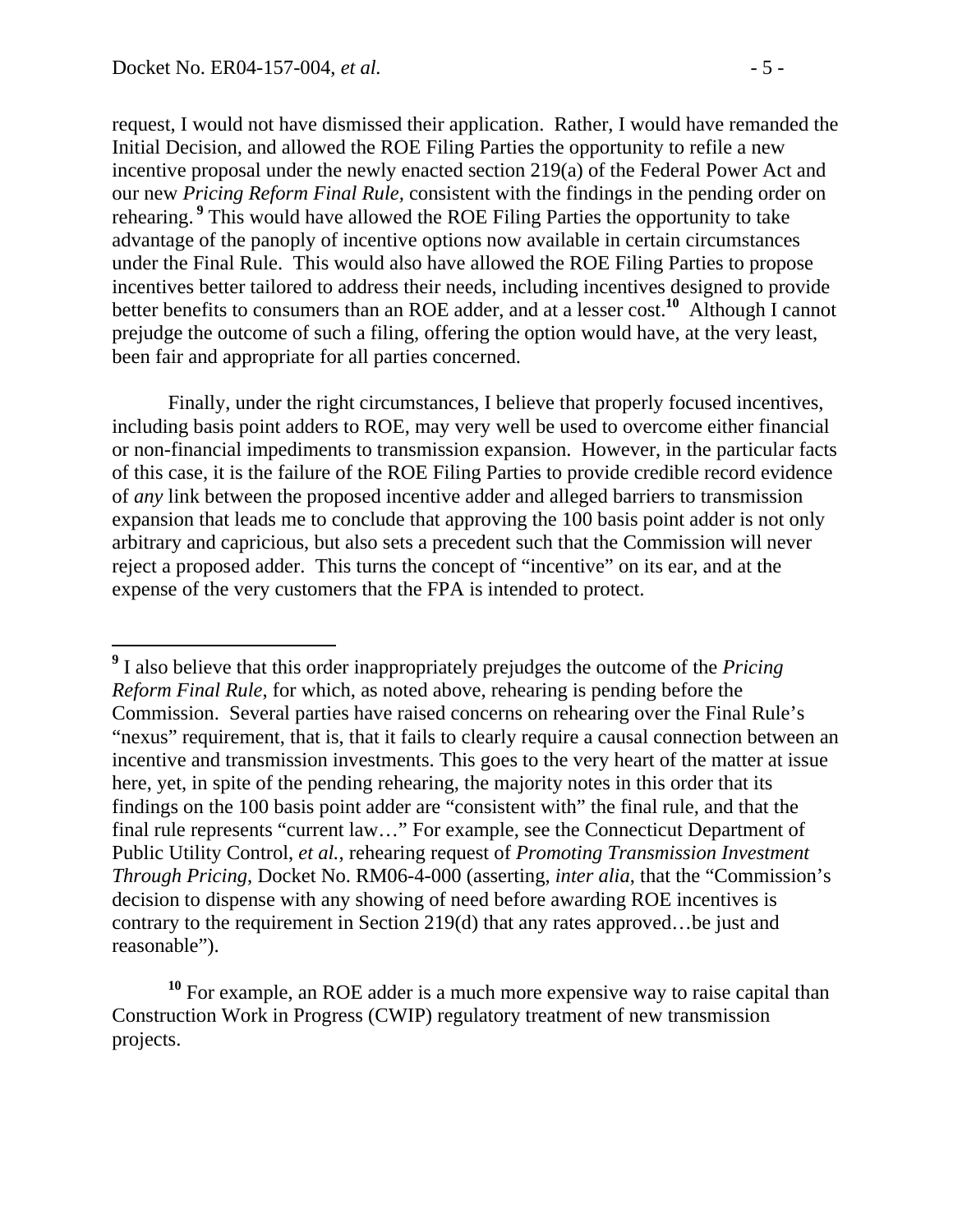$\overline{a}$ 

request, I would not have dismissed their application. Rather, I would have remanded the Initial Decision, and allowed the ROE Filing Parties the opportunity to refile a new incentive proposal under the newly enacted section 219(a) of the Federal Power Act and our new *Pricing Reform Final Rule,* consistent with the findings in the pending order on rehearing.**<sup>9</sup>** This would have allowed the ROE Filing Parties the opportunity to take advantage of the panoply of incentive options now available in certain circumstances under the Final Rule. This would also have allowed the ROE Filing Parties to propose incentives better tailored to address their needs, including incentives designed to provide better benefits to consumers than an ROE adder, and at a lesser cost.**<sup>10</sup>** Although I cannot prejudge the outcome of such a filing, offering the option would have, at the very least, been fair and appropriate for all parties concerned.

Finally, under the right circumstances, I believe that properly focused incentives, including basis point adders to ROE, may very well be used to overcome either financial or non-financial impediments to transmission expansion. However, in the particular facts of this case, it is the failure of the ROE Filing Parties to provide credible record evidence of *any* link between the proposed incentive adder and alleged barriers to transmission expansion that leads me to conclude that approving the 100 basis point adder is not only arbitrary and capricious, but also sets a precedent such that the Commission will never reject a proposed adder. This turns the concept of "incentive" on its ear, and at the expense of the very customers that the FPA is intended to protect.

**<sup>9</sup>** I also believe that this order inappropriately prejudges the outcome of the *Pricing Reform Final Rule*, for which, as noted above, rehearing is pending before the Commission. Several parties have raised concerns on rehearing over the Final Rule's "nexus" requirement, that is, that it fails to clearly require a causal connection between an incentive and transmission investments. This goes to the very heart of the matter at issue here, yet, in spite of the pending rehearing, the majority notes in this order that its findings on the 100 basis point adder are "consistent with" the final rule, and that the final rule represents "current law…" For example, see the Connecticut Department of Public Utility Control, *et al.*, rehearing request of *Promoting Transmission Investment Through Pricing*, Docket No. RM06-4-000 (asserting, *inter alia*, that the "Commission's decision to dispense with any showing of need before awarding ROE incentives is contrary to the requirement in Section 219(d) that any rates approved…be just and reasonable").

**<sup>10</sup>** For example, an ROE adder is a much more expensive way to raise capital than Construction Work in Progress (CWIP) regulatory treatment of new transmission projects.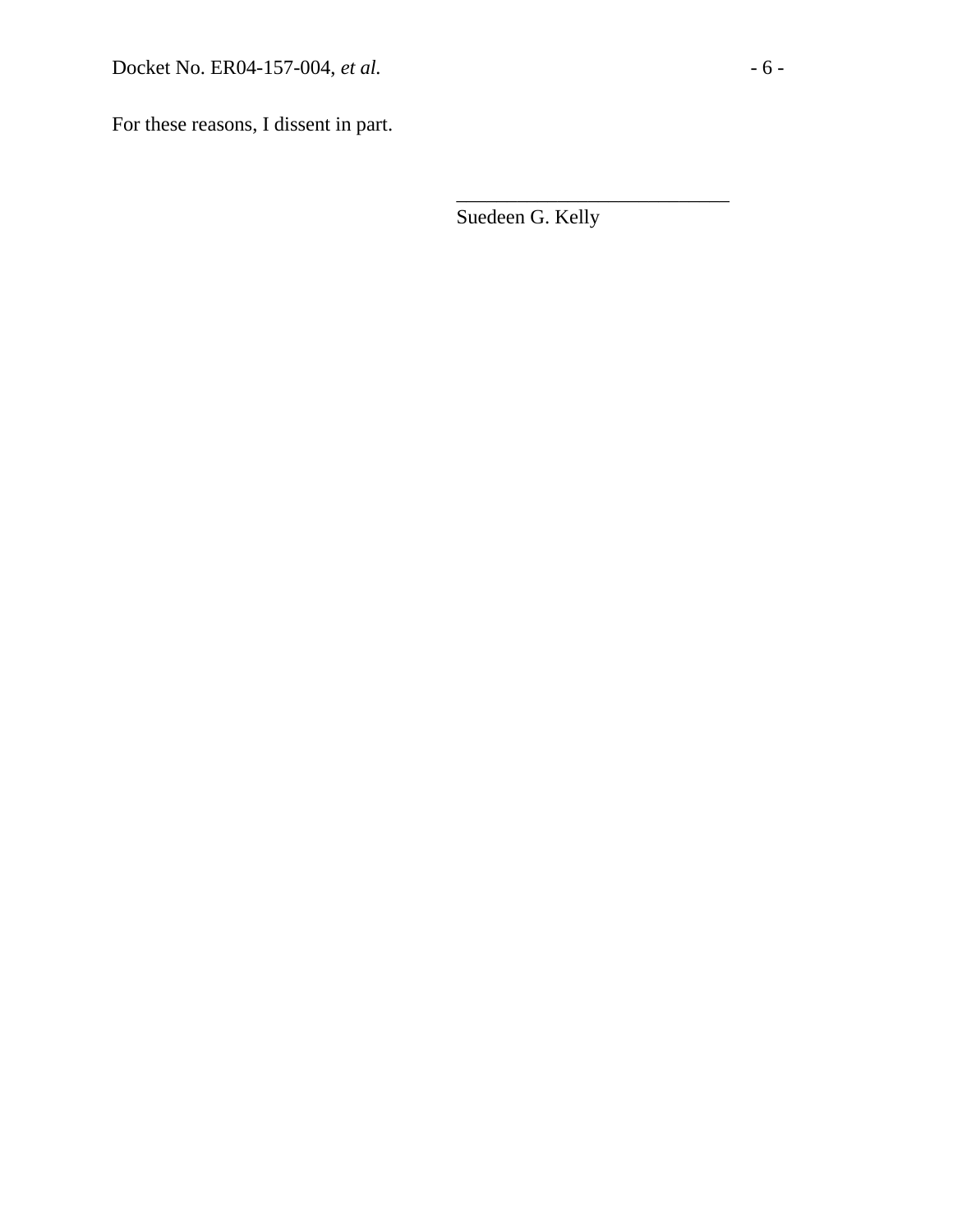For these reasons, I dissent in part.

Suedeen G. Kelly

 $\overline{\phantom{a}}$  , which is a set of the set of the set of the set of the set of the set of the set of the set of the set of the set of the set of the set of the set of the set of the set of the set of the set of the set of th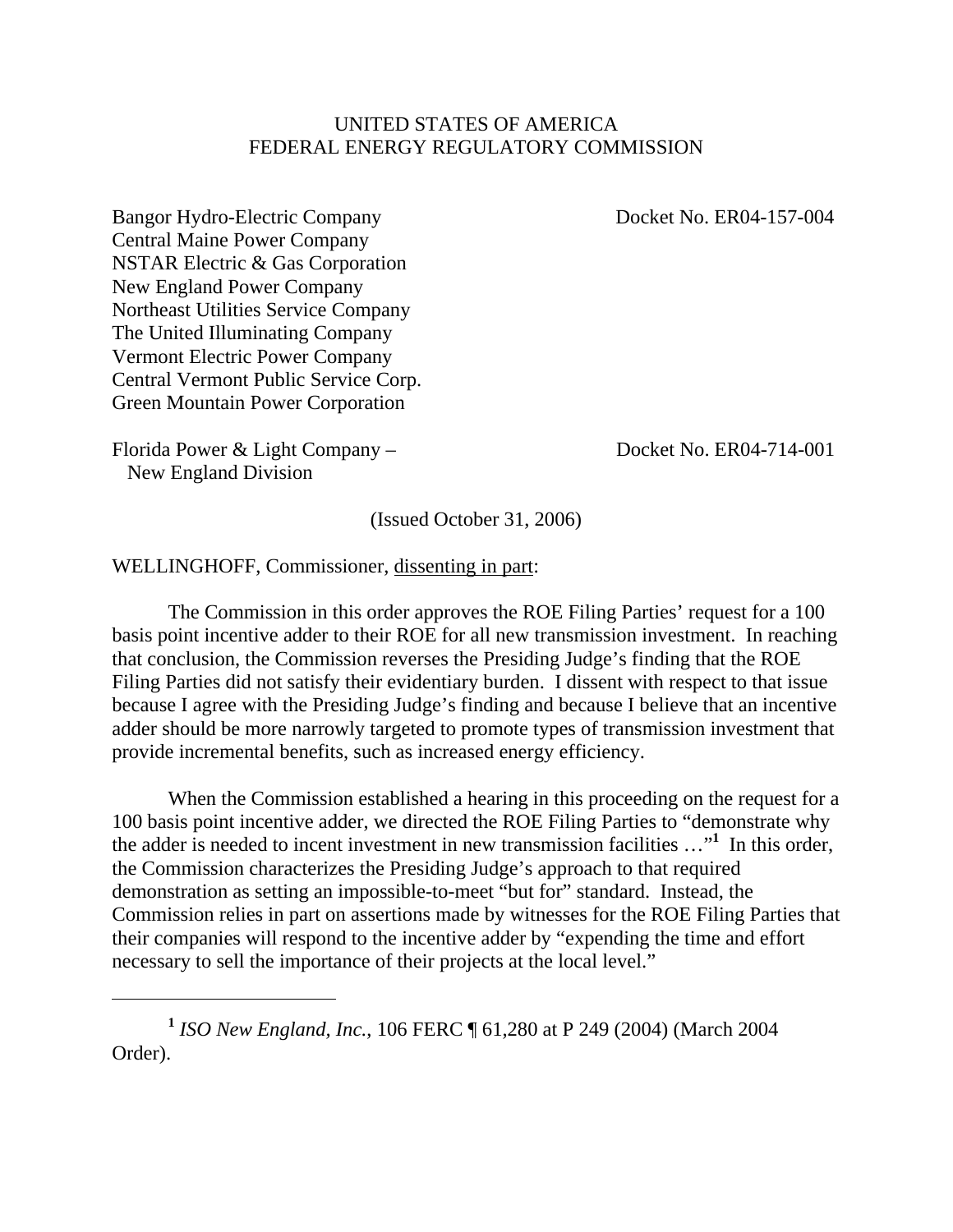#### UNITED STATES OF AMERICA FEDERAL ENERGY REGULATORY COMMISSION

Bangor Hydro-Electric Company Docket No. ER04-157-004 Central Maine Power Company NSTAR Electric & Gas Corporation New England Power Company Northeast Utilities Service Company The United Illuminating Company Vermont Electric Power Company Central Vermont Public Service Corp. Green Mountain Power Corporation

Florida Power & Light Company – Docket No. ER04-714-001 New England Division

 $\overline{a}$ 

(Issued October 31, 2006)

WELLINGHOFF, Commissioner, dissenting in part:

 The Commission in this order approves the ROE Filing Parties' request for a 100 basis point incentive adder to their ROE for all new transmission investment. In reaching that conclusion, the Commission reverses the Presiding Judge's finding that the ROE Filing Parties did not satisfy their evidentiary burden. I dissent with respect to that issue because I agree with the Presiding Judge's finding and because I believe that an incentive adder should be more narrowly targeted to promote types of transmission investment that provide incremental benefits, such as increased energy efficiency.

 When the Commission established a hearing in this proceeding on the request for a 100 basis point incentive adder, we directed the ROE Filing Parties to "demonstrate why the adder is needed to incent investment in new transmission facilities …"**<sup>1</sup>** In this order, the Commission characterizes the Presiding Judge's approach to that required demonstration as setting an impossible-to-meet "but for" standard. Instead, the Commission relies in part on assertions made by witnesses for the ROE Filing Parties that their companies will respond to the incentive adder by "expending the time and effort necessary to sell the importance of their projects at the local level."

**<sup>1</sup>** *ISO New England, Inc.*, 106 FERC ¶ 61,280 at P 249 (2004) (March 2004 Order).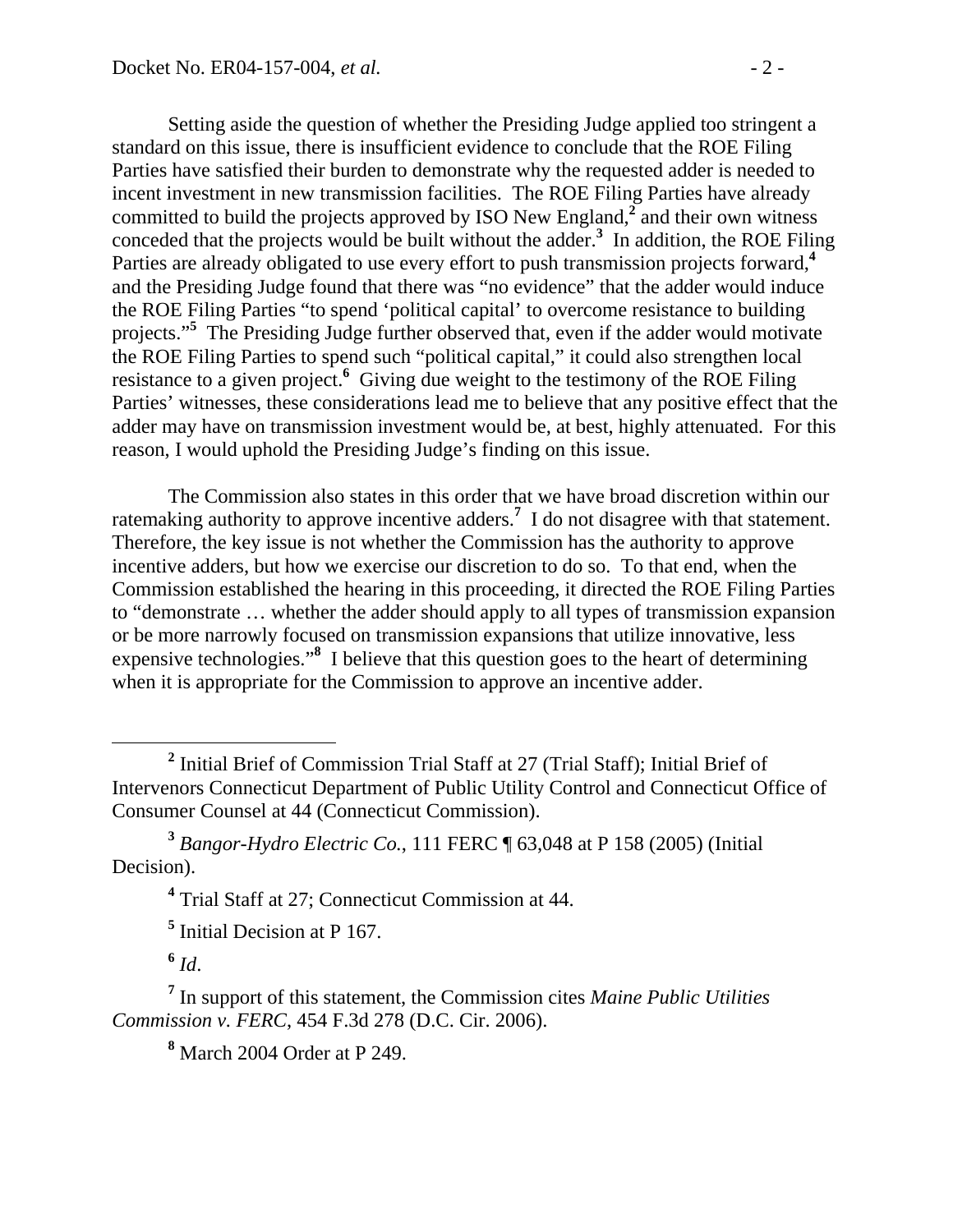Setting aside the question of whether the Presiding Judge applied too stringent a standard on this issue, there is insufficient evidence to conclude that the ROE Filing Parties have satisfied their burden to demonstrate why the requested adder is needed to incent investment in new transmission facilities. The ROE Filing Parties have already committed to build the projects approved by ISO New England,<sup> $\overline{2}$ </sup> and their own witness conceded that the projects would be built without the adder.**<sup>3</sup>** In addition, the ROE Filing Parties are already obligated to use every effort to push transmission projects forward,**<sup>4</sup>** and the Presiding Judge found that there was "no evidence" that the adder would induce the ROE Filing Parties "to spend 'political capital' to overcome resistance to building projects."**<sup>5</sup>** The Presiding Judge further observed that, even if the adder would motivate the ROE Filing Parties to spend such "political capital," it could also strengthen local resistance to a given project.<sup>6</sup> Giving due weight to the testimony of the ROE Filing Parties' witnesses, these considerations lead me to believe that any positive effect that the adder may have on transmission investment would be, at best, highly attenuated. For this reason, I would uphold the Presiding Judge's finding on this issue.

 The Commission also states in this order that we have broad discretion within our ratemaking authority to approve incentive adders.**<sup>7</sup>** I do not disagree with that statement. Therefore, the key issue is not whether the Commission has the authority to approve incentive adders, but how we exercise our discretion to do so. To that end, when the Commission established the hearing in this proceeding, it directed the ROE Filing Parties to "demonstrate … whether the adder should apply to all types of transmission expansion or be more narrowly focused on transmission expansions that utilize innovative, less expensive technologies."<sup>8</sup> I believe that this question goes to the heart of determining when it is appropriate for the Commission to approve an incentive adder.

**<sup>6</sup>** *Id*.

**8** March 2004 Order at P 249.

**<sup>2</sup>**  $<sup>2</sup>$  Initial Brief of Commission Trial Staff at 27 (Trial Staff); Initial Brief of</sup> Intervenors Connecticut Department of Public Utility Control and Connecticut Office of Consumer Counsel at 44 (Connecticut Commission).

**<sup>3</sup>** *Bangor-Hydro Electric Co.*, 111 FERC ¶ 63,048 at P 158 (2005) (Initial Decision).

<sup>&</sup>lt;sup>4</sup> Trial Staff at 27; Connecticut Commission at 44.

**<sup>5</sup>** Initial Decision at P 167.

**<sup>7</sup>** In support of this statement, the Commission cites *Maine Public Utilities Commission v. FERC*, 454 F.3d 278 (D.C. Cir. 2006).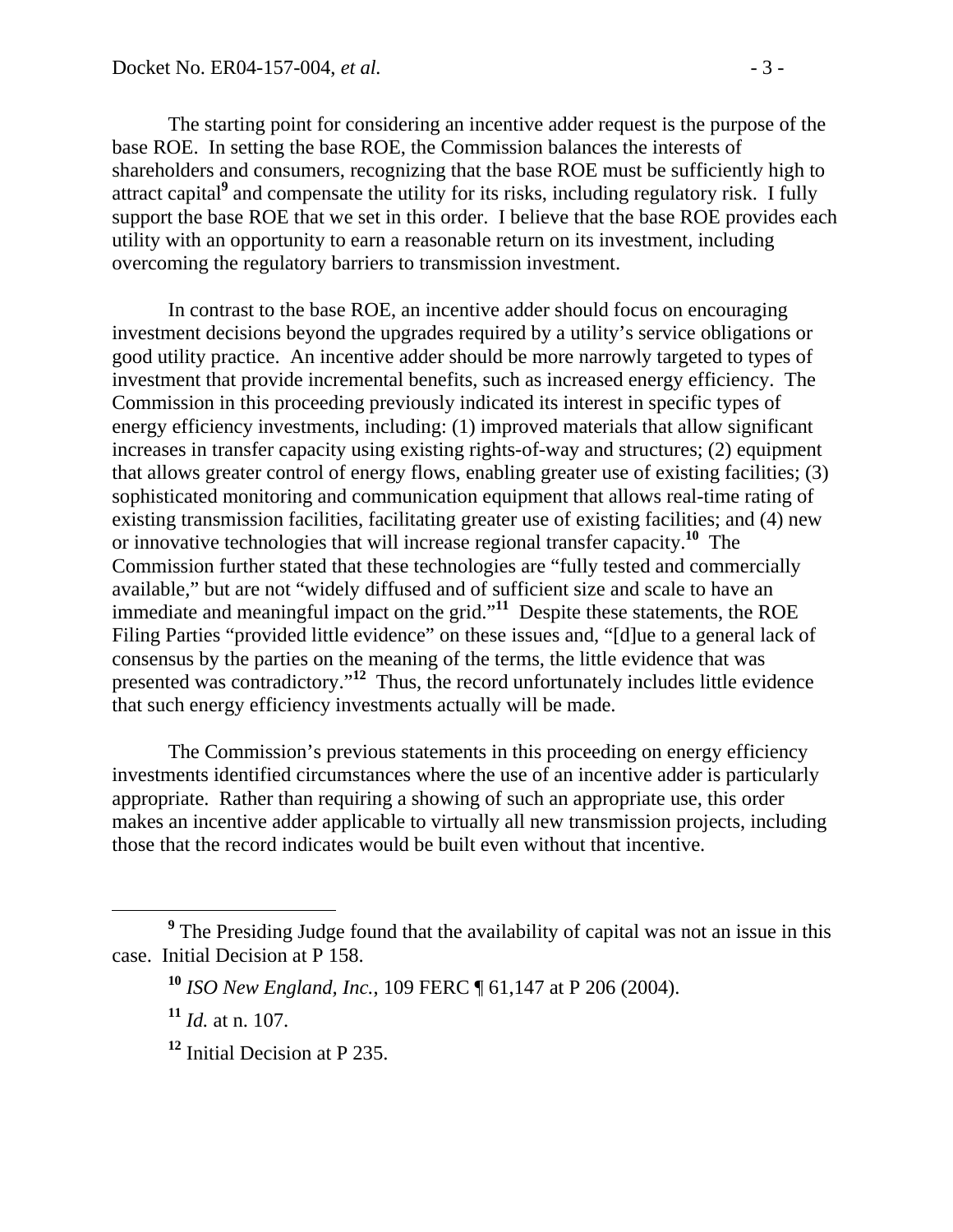The starting point for considering an incentive adder request is the purpose of the base ROE. In setting the base ROE, the Commission balances the interests of shareholders and consumers, recognizing that the base ROE must be sufficiently high to attract capital<sup>9</sup> and compensate the utility for its risks, including regulatory risk. I fully support the base ROE that we set in this order. I believe that the base ROE provides each utility with an opportunity to earn a reasonable return on its investment, including overcoming the regulatory barriers to transmission investment.

 In contrast to the base ROE, an incentive adder should focus on encouraging investment decisions beyond the upgrades required by a utility's service obligations or good utility practice. An incentive adder should be more narrowly targeted to types of investment that provide incremental benefits, such as increased energy efficiency. The Commission in this proceeding previously indicated its interest in specific types of energy efficiency investments, including: (1) improved materials that allow significant increases in transfer capacity using existing rights-of-way and structures; (2) equipment that allows greater control of energy flows, enabling greater use of existing facilities; (3) sophisticated monitoring and communication equipment that allows real-time rating of existing transmission facilities, facilitating greater use of existing facilities; and (4) new or innovative technologies that will increase regional transfer capacity.**<sup>10</sup>** The Commission further stated that these technologies are "fully tested and commercially available," but are not "widely diffused and of sufficient size and scale to have an immediate and meaningful impact on the grid."**<sup>11</sup>** Despite these statements, the ROE Filing Parties "provided little evidence" on these issues and, "[d]ue to a general lack of consensus by the parties on the meaning of the terms, the little evidence that was presented was contradictory."**<sup>12</sup>** Thus, the record unfortunately includes little evidence that such energy efficiency investments actually will be made.

The Commission's previous statements in this proceeding on energy efficiency investments identified circumstances where the use of an incentive adder is particularly appropriate. Rather than requiring a showing of such an appropriate use, this order makes an incentive adder applicable to virtually all new transmission projects, including those that the record indicates would be built even without that incentive.

**<sup>9</sup>** The Presiding Judge found that the availability of capital was not an issue in this case. Initial Decision at P 158.

**<sup>10</sup>** *ISO New England, Inc.*, 109 FERC ¶ 61,147 at P 206 (2004).

**<sup>11</sup>** *Id.* at n. 107.

**<sup>12</sup>** Initial Decision at P 235.